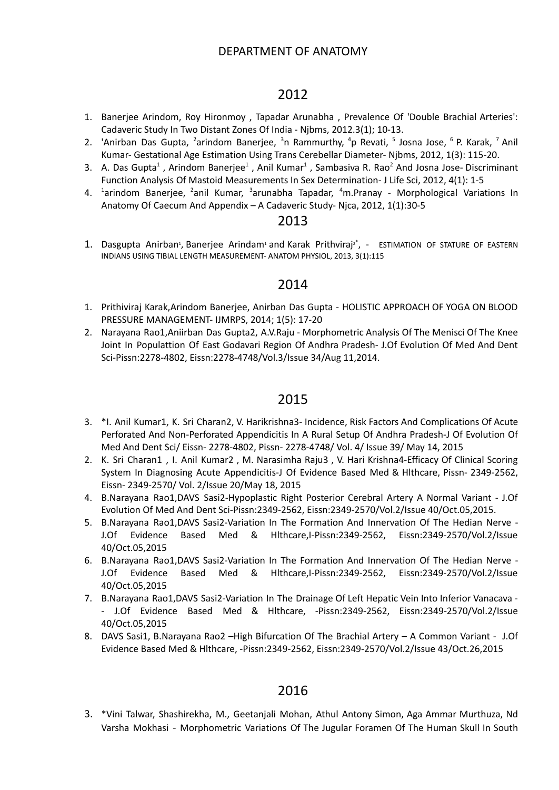- 1. Banerjee Arindom, Roy Hironmoy , Tapadar Arunabha , Prevalence Of 'Double Brachial Arteries': Cadaveric Study In Two Distant Zones Of India - Njbms, 2012.3(1); 10-13.
- 2. 'Anirban Das Gupta, <sup>2</sup>arindom Banerjee, <sup>3</sup>n Rammurthy, <sup>4</sup>p Revati, <sup>5</sup> Josna Jose, <sup>6</sup> P. Karak, <sup>7</sup> Anil Kumar- Gestational Age Estimation Using Trans Cerebellar Diameter- Njbms, 2012, 1(3): 115-20.
- 3. A. Das Gupta<sup>1</sup>, Arindom Banerjee<sup>1</sup>, Anil Kumar<sup>1</sup>, Sambasiva R. Rao<sup>2</sup> And Josna Jose- Discriminant Function Analysis Of Mastoid Measurements In Sex Determination- J Life Sci, 2012, 4(1): 1-5
- 4. <sup>1</sup>arindom Banerjee, <sup>2</sup>anil Kumar, <sup>3</sup>arunabha Tapadar, <sup>4</sup>m.Pranay Morphological Variations In Anatomy Of Caecum And Appendix – A Cadaveric Study- Njca, 2012, 1(1):30-5

### 2013

1. [Dasgupta](https://www.longdom.org/author-profile/dasgupta-anirban-267986) Anirban<sup>[1](https://www.longdom.org/open-access/estimation-of-stature-of-eastern-indians-from-measurements-of-tibial-length-19794.html#a1)</sup>, [Banerjee](https://www.longdom.org/author-profile/banerjee-arindam-267987) Arindam<sup>1</sup> and Karak [Prithviraj](https://www.longdom.org/author-profile/karak-prithviraj-267990)<sup>[2](https://www.longdom.org/open-access/estimation-of-stature-of-eastern-indians-from-measurements-of-tibial-length-19794.html#a2)[\\*](https://www.longdom.org/open-access/estimation-of-stature-of-eastern-indians-from-measurements-of-tibial-length-19794.html#corr267990)</sup>, - ESTIMATION OF STATURE OF EASTERN INDIANS USING TIBIAL LENGTH MEASUREMENT- ANATOM PHYSIOL, 2013, 3(1):115

### 2014

- 1. Prithiviraj Karak,Arindom Banerjee, Anirban Das Gupta HOLISTIC APPROACH OF YOGA ON BLOOD PRESSURE MANAGEMENT- IJMRPS, 2014; 1(5): 17-20
- 2. Narayana Rao1,Aniirban Das Gupta2, A.V.Raju Morphometric Analysis Of The Menisci Of The Knee Joint In Populattion Of East Godavari Region Of Andhra Pradesh- J.Of Evolution Of Med And Dent Sci-Pissn:2278-4802, Eissn:2278-4748/Vol.3/Issue 34/Aug 11,2014.

## 2015

- 3. \*I. Anil Kumar1, K. Sri Charan2, V. Harikrishna3- Incidence, Risk Factors And Complications Of Acute Perforated And Non-Perforated Appendicitis In A Rural Setup Of Andhra Pradesh-J Of Evolution Of Med And Dent Sci/ Eissn- 2278-4802, Pissn- 2278-4748/ Vol. 4/ Issue 39/ May 14, 2015
- 2. K. Sri Charan1 , I. Anil Kumar2 , M. Narasimha Raju3 , V. Hari Krishna4-Efficacy Of Clinical Scoring System In Diagnosing Acute Appendicitis-J Of Evidence Based Med & Hlthcare, Pissn- 2349-2562, Eissn- 2349-2570/ Vol. 2/Issue 20/May 18, 2015
- 4. B.Narayana Rao1,DAVS Sasi2-Hypoplastic Right Posterior Cerebral Artery A Normal Variant J.Of Evolution Of Med And Dent Sci-Pissn:2349-2562, Eissn:2349-2570/Vol.2/Issue 40/Oct.05,2015.
- 5. B.Narayana Rao1,DAVS Sasi2-Variation In The Formation And Innervation Of The Hedian Nerve J.Of Evidence Based Med & Hlthcare,I-Pissn:2349-2562, Eissn:2349-2570/Vol.2/Issue 40/Oct.05,2015
- 6. B.Narayana Rao1,DAVS Sasi2-Variation In The Formation And Innervation Of The Hedian Nerve J.Of Evidence Based Med & Hlthcare,I-Pissn:2349-2562, Eissn:2349-2570/Vol.2/Issue 40/Oct.05,2015
- 7. B.Narayana Rao1,DAVS Sasi2-Variation In The Drainage Of Left Hepatic Vein Into Inferior Vanacava - J.Of Evidence Based Med & Hlthcare, -Pissn:2349-2562, Eissn:2349-2570/Vol.2/Issue 40/Oct.05,2015
- 8. DAVS Sasi1, B.Narayana Rao2 -High Bifurcation Of The Brachial Artery A Common Variant J.Of Evidence Based Med & Hlthcare, -Pissn:2349-2562, Eissn:2349-2570/Vol.2/Issue 43/Oct.26,2015

### 2016

3. \*Vini Talwar, Shashirekha, M., Geetanjali Mohan, Athul Antony Simon, Aga Ammar Murthuza, Nd Varsha Mokhasi - Morphometric Variations Of The Jugular Foramen Of The Human Skull In South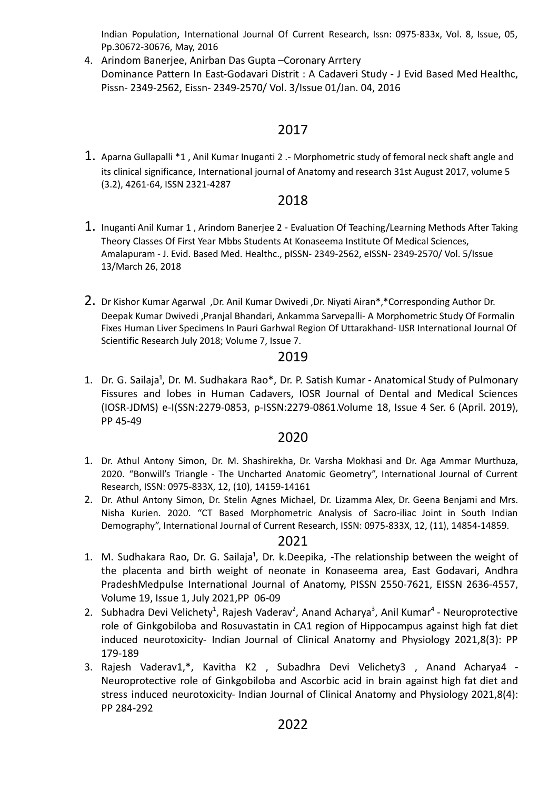Indian Population, International Journal Of Current Research, Issn: 0975-833x, Vol. 8, Issue, 05, Pp.30672-30676, May, 2016

4. Arindom Banerjee, Anirban Das Gupta –Coronary Arrtery Dominance Pattern In East-Godavari Distrit : A Cadaveri Study - J Evid Based Med Healthc, Pissn- 2349-2562, Eissn- 2349-2570/ Vol. 3/Issue 01/Jan. 04, 2016

## 2017

1. Aparna Gullapalli \*1, Anil Kumar Inuganti 2.- Morphometric study of femoral neck shaft angle and its clinical significance, International journal of Anatomy and research 31st August 2017, volume 5 (3.2), 4261-64, ISSN 2321-4287

### 2018

- 1. Inuganti Anil Kumar <sup>1</sup> , Arindom Banerjee <sup>2</sup> Evaluation Of Teaching/Learning Methods After Taking Theory Classes Of First Year Mbbs Students At Konaseema Institute Of Medical Sciences, Amalapuram - J. Evid. Based Med. Healthc., pISSN- 2349-2562, eISSN- 2349-2570/ Vol. 5/Issue 13/March 26, 2018
- 2. Dr Kishor Kumar Agarwal ,Dr. Anil Kumar Dwivedi ,Dr. Niyati Airan\*,\*Corresponding Author Dr. Deepak Kumar Dwivedi ,Pranjal Bhandari, Ankamma Sarvepalli- A Morphometric Study Of Formalin Fixes Human Liver Specimens In Pauri Garhwal Region Of Uttarakhand- IJSR International Journal Of Scientific Research July 2018; Volume 7, Issue 7.

### 2019

1. Dr. G. Sailaja<sup>1</sup>, Dr. M. Sudhakara Rao\*, Dr. P. Satish Kumar - Anatomical Study of Pulmonary Fissures and lobes in Human Cadavers, IOSR Journal of Dental and Medical Sciences (IOSR-JDMS) e-I(SSN:2279-0853, p-ISSN:2279-0861.Volume 18, Issue 4 Ser. 6 (April. 2019), PP 45-49

## 2020

- 1. Dr. Athul Antony Simon, Dr. M. Shashirekha, Dr. Varsha Mokhasi and Dr. Aga Ammar Murthuza, 2020. "Bonwill's Triangle - The Uncharted Anatomic Geometry", International Journal of Current Research, ISSN: 0975-833X, 12, (10), 14159-14161
- 2. Dr. Athul Antony Simon, Dr. Stelin Agnes Michael, Dr. Lizamma Alex, Dr. Geena Benjami and Mrs. Nisha Kurien. 2020. "CT Based Morphometric Analysis of Sacro-iliac Joint in South Indian Demography", International Journal of Current Research, ISSN: 0975-833X, 12, (11), 14854-14859.

- 1. M. Sudhakara Rao, Dr. G. Sailaja<sup>1</sup>, Dr. k.Deepika,  $-$ The relationship between the weight of the placenta and birth weight of neonate in Konaseema area, East Godavari, Andhra PradeshMedpulse International Journal of Anatomy, PISSN 2550-7621, EISSN 2636-4557, Volume 19, Issue 1, July 2021,PP 06-09
- 2. Subhadra Devi Velichety<sup>1</sup>, Rajesh Vaderav<sup>2</sup>, Anand Acharya<sup>3</sup>, Anil Kumar<sup>4</sup> Neuroprotective role of Ginkgobiloba and Rosuvastatin in CA1 region of Hippocampus against high fat diet induced neurotoxicity- Indian Journal of Clinical Anatomy and Physiology 2021,8(3): PP 179-189
- 3. Rajesh Vaderav1,\*, Kavitha K2 , Subadhra Devi Velichety3 , Anand Acharya4 Neuroprotective role of Ginkgobiloba and Ascorbic acid in brain against high fat diet and stress induced neurotoxicity- Indian Journal of Clinical Anatomy and Physiology 2021,8(4): PP 284-292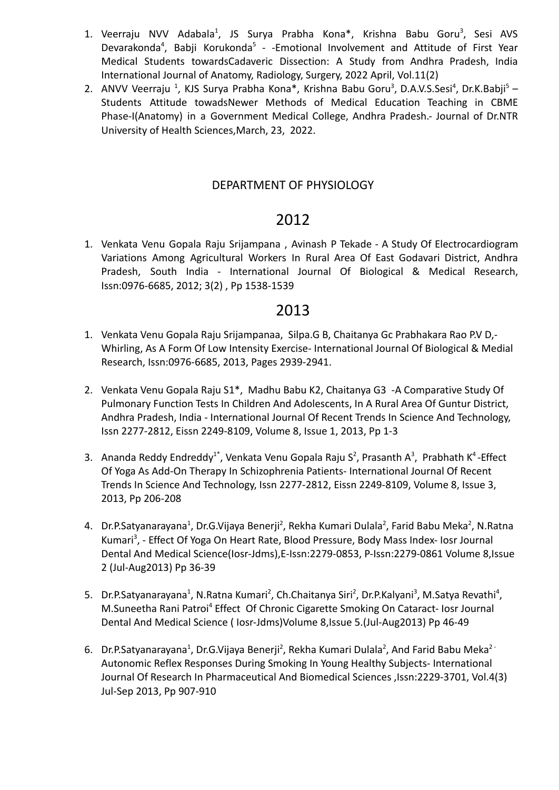- 1. Veerraju NVV Adabala<sup>1</sup>, JS Surya Prabha Kona\*, Krishna Babu Goru<sup>3</sup>, Sesi AVS Devarakonda<sup>4</sup>, Babji Korukonda<sup>5</sup> - -Emotional Involvement and Attitude of First Year Medical Students towardsCadaveric Dissection: A Study from Andhra Pradesh, India International Journal of Anatomy, Radiology, Surgery, 2022 April, Vol.11(2)
- 2. ANVV Veerraju <sup>1</sup>, KJS Surya Prabha Kona\*, Krishna Babu Goru<sup>3</sup>, D.A.V.S.Sesi<sup>4</sup>, Dr.K.Babji<sup>5</sup> Students Attitude towadsNewer Methods of Medical Education Teaching in CBME Phase-I(Anatomy) in a Government Medical College, Andhra Pradesh.- Journal of Dr.NTR University of Health Sciences,March, 23, 2022.

### DEPARTMENT OF PHYSIOLOGY

# 2012

1. Venkata Venu Gopala Raju [Srijampana](https://www.jdrntruhs.org/searchresult.asp?search=&author=Venkata+Venu+Gopala+Raju+Srijampana&journal=Y&but_search=Search&entries=10&pg=1&s=0) , Avinash P Tekade - A Study Of Electrocardiogram Variations Among Agricultural Workers In Rural Area Of East Godavari District, Andhra Pradesh, South India - International Journal Of Biological & Medical Research, Issn:0976-6685, 2012; 3(2) , Pp 1538-1539

- 1. [Venkata Venu Gopala Raju Srijampana](https://www.jdrntruhs.org/searchresult.asp?search=&author=Venkata+Venu+Gopala+Raju+Srijampana&journal=Y&but_search=Search&entries=10&pg=1&s=0)a, Silpa.G B, Chaitanya Gc Prabhakara Rao P.V D,- Whirling, As A Form Of Low Intensity Exercise- International Journal Of Biological & Medial Research, Issn:0976-6685, 2013, Pages 2939-2941.
- 2. [Venkata Venu Gopala Raju S](https://www.jdrntruhs.org/searchresult.asp?search=&author=Venkata+Venu+Gopala+Raju+Srijampana&journal=Y&but_search=Search&entries=10&pg=1&s=0)1\*, Madhu Babu K2, Chaitanya G3 -A Comparative Study Of Pulmonary Function Tests In Children And Adolescents, In A Rural Area Of Guntur District, Andhra Pradesh, India - International Journal Of Recent Trends In Science And Technology, Issn 2277-2812, Eissn 2249-8109, Volume 8, Issue 1, 2013, Pp 1-3
- 3. [Ananda Reddy Endreddy](https://www.jdrntruhs.org/searchresult.asp?search=&author=Ananda+Reddy+Endreddy&journal=Y&but_search=Search&entries=10&pg=1&s=0)<sup>1\*</sup>, [Venkata Venu Gopala Raju](https://www.jdrntruhs.org/searchresult.asp?search=&author=Venkata+Venu+Gopala+Raju+Srijampana&journal=Y&but_search=Search&entries=10&pg=1&s=0) S<sup>2</sup>, Prasanth A<sup>3</sup>, [Prabhath](https://www.jdrntruhs.org/searchresult.asp?search=&author=Konathala+Prabhath&journal=Y&but_search=Search&entries=10&pg=1&s=0) K<sup>4</sup>-Effect Of Yoga As Add-On Therapy In Schizophrenia Patients- International Journal Of Recent Trends In Science And Technology, Issn 2277-2812, Eissn 2249-8109, Volume 8, Issue 3, 2013, Pp 206-208
- 4. Dr.P.Satyanarayana<sup>1</sup>, Dr.G.Vijaya Benerji<sup>2</sup>, Rekha Kumari Dulala<sup>2</sup>, Farid Babu Meka<sup>2</sup>, N.Ratna Kumari<sup>3</sup>, - Effect Of Yoga On Heart Rate, Blood Pressure, Body Mass Index- Iosr Journal Dental And Medical Science(Iosr-Jdms),E-Issn:2279-0853, P-Issn:2279-0861 Volume 8,Issue 2 (Jul-Aug2013) Pp 36-39
- 5. Dr.P.Satyanarayana<sup>1</sup>, N.Ratna Kumari<sup>2</sup>, Ch.Chaitanya Siri<sup>2</sup>, Dr.P.Kalyani<sup>3</sup>, M.Satya Revathi<sup>4</sup>, M.Suneetha Rani Patroi<sup>4</sup> Effect Of Chronic Cigarette Smoking On Cataract- losr Journal Dental And Medical Science ( Iosr-Jdms)Volume 8,Issue 5.(Jul-Aug2013) Pp 46-49
- 6. Dr.P.Satyanarayana<sup>1</sup>, Dr.G.Vijaya Benerji<sup>2</sup>, Rekha Kumari Dulala<sup>2</sup>, And Farid Babu Meka<sup>2 -</sup> Autonomic Reflex Responses During Smoking In Young Healthy Subjects- International Journal Of Research In Pharmaceutical And Biomedical Sciences ,Issn:2229-3701, Vol.4(3) Jul-Sep 2013, Pp 907-910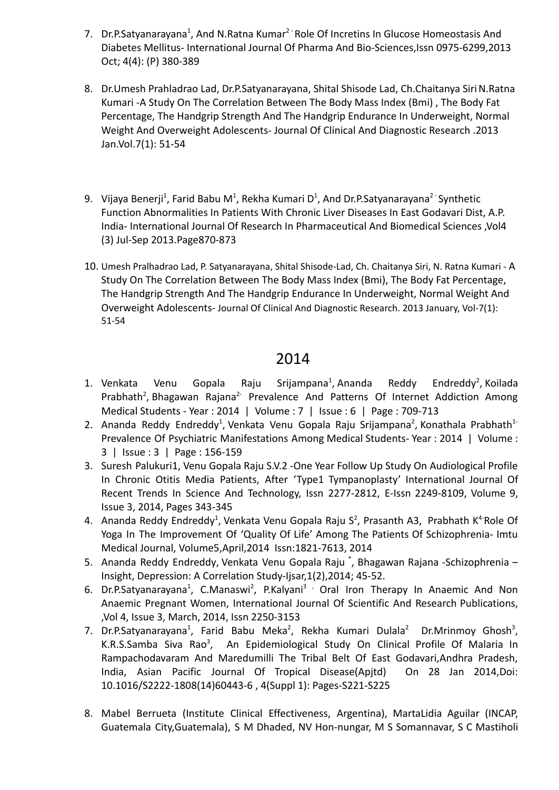- 7. Dr.P.Satyanarayana<sup>1</sup>, And N.Ratna Kumar<sup>2 -</sup> Role Of Incretins In Glucose Homeostasis And Diabetes Mellitus- International Journal Of Pharma And Bio-Sciences,Issn 0975-6299,2013 Oct; 4(4): (P) 380-389
- 8. Dr.Umesh Prahladrao Lad, Dr.P.Satyanarayana, Shital Shisode Lad, Ch.Chaitanya SiriN.Ratna Kumari -A Study On The Correlation Between The Body Mass Index (Bmi) , The Body Fat Percentage, The Handgrip Strength And The Handgrip Endurance In Underweight, Normal Weight And Overweight Adolescents- Journal Of Clinical And Diagnostic Research .2013 Jan.Vol.7(1): 51-54
- 9. Vijaya Benerji<sup>1</sup>, Farid Babu M<sup>1</sup>, Rekha Kumari D<sup>1</sup>, And Dr.P.Satyanarayana<sup>2 -</sup> Synthetic Function Abnormalities In Patients With Chronic Liver Diseases In East Godavari Dist, A.P. India- International Journal Of Research In Pharmaceutical And Biomedical Sciences ,Vol4 (3) Jul-Sep 2013.Page870-873
- 10. Umesh Pralhadrao Lad, P. Satyanarayana, Shital Shisode-Lad, Ch. Chaitanya Siri, N. Ratna Kumari A Study On The Correlation Between The Body Mass Index (Bmi), The Body Fat Percentage, The Handgrip Strength And The Handgrip Endurance In Underweight, Normal Weight And Overweight Adolescents- Journal Of Clinical And Diagnostic Research. 2013 January, Vol-7(1): 51-54

- 1. Venkata Venu Gopala Raju [Srijampana](https://www.mjdrdypu.org/searchresult.asp?search=&author=Venkata+Venu+Gopala+Raju+Srijampana&journal=Y&but_search=Search&entries=10&pg=1&s=0)<sup>1</sup>, Ananda Reddy [Endreddy](https://www.mjdrdypu.org/searchresult.asp?search=&author=Ananda+Reddy+Endreddy&journal=Y&but_search=Search&entries=10&pg=1&s=0)<sup>2</sup>, Endreddy<sup>2</sup>, [Koilada](https://www.mjdrdypu.org/searchresult.asp?search=&author=Koilada+Prabhath&journal=Y&but_search=Search&entries=10&pg=1&s=0) [Prabhath](https://www.mjdrdypu.org/searchresult.asp?search=&author=Koilada+Prabhath&journal=Y&but_search=Search&entries=10&pg=1&s=0)<sup>2</sup>, [Bhagawan](https://www.mjdrdypu.org/searchresult.asp?search=&author=Bhagawan+Rajana&journal=Y&but_search=Search&entries=10&pg=1&s=0) Rajana<sup>2-</sup> Prevalence And Patterns Of Internet Addiction Among Medical Students - Year : 2014 | Volume : 7 | Issue : 6 | Page : 709-713
- 2. Ananda Reddy [Endreddy](https://www.jdrntruhs.org/searchresult.asp?search=&author=Ananda+Reddy+Endreddy&journal=Y&but_search=Search&entries=10&pg=1&s=0)<sup>1</sup>, Venkata Venu Gopala Raju [Srijampana](https://www.jdrntruhs.org/searchresult.asp?search=&author=Venkata+Venu+Gopala+Raju+Srijampana&journal=Y&but_search=Search&entries=10&pg=1&s=0)<sup>2</sup>, [Konathala](https://www.jdrntruhs.org/searchresult.asp?search=&author=Konathala+Prabhath&journal=Y&but_search=Search&entries=10&pg=1&s=0) Prabhath<sup>1-</sup> Prevalence Of Psychiatric Manifestations Among Medical Students- Year : 2014 | Volume : 3 | Issue : 3 | Page : 156-159
- 3. Suresh Palukuri1, Venu Gopala Raju S.V.2 -One Year Follow Up Study On Audiological Profile In Chronic Otitis Media Patients, After 'Type1 Tympanoplasty' International Journal Of Recent Trends In Science And Technology, Issn 2277-2812, E-Issn 2249-8109, Volume 9, Issue 3, 2014, Pages 343-345
- 4. Ananda Reddy [Endreddy](https://www.jdrntruhs.org/searchresult.asp?search=&author=Ananda+Reddy+Endreddy&journal=Y&but_search=Search&entries=10&pg=1&s=0)<sup>1</sup>, [Venkata](https://www.jdrntruhs.org/searchresult.asp?search=&author=Venkata+Venu+Gopala+Raju+Srijampana&journal=Y&but_search=Search&entries=10&pg=1&s=0) Venu Gopala Raju S<sup>2</sup>, Prasanth A3, [Prabhath](https://www.jdrntruhs.org/searchresult.asp?search=&author=Konathala+Prabhath&journal=Y&but_search=Search&entries=10&pg=1&s=0) K<sup>4-</sup>Role Of Yoga In The Improvement Of 'Quality Of Life' Among The Patients Of Schizophrenia- Imtu Medical Journal, Volume5,April,2014 Issn:1821-7613, 2014
- 5. Ananda Reddy [Endreddy,](https://www.jdrntruhs.org/searchresult.asp?search=&author=Ananda+Reddy+Endreddy&journal=Y&but_search=Search&entries=10&pg=1&s=0) [Venkata](https://www.jdrntruhs.org/searchresult.asp?search=&author=Venkata+Venu+Gopala+Raju+Srijampana&journal=Y&but_search=Search&entries=10&pg=1&s=0) Venu Gopala Raju \* , Bhagawan Rajana -Schizophrenia Insight, Depression: A Correlation Study-Ijsar,1(2),2014; 45-52.
- 6. Dr.P.Satyanarayana<sup>1</sup>, C.Manaswi<sup>2</sup>, P.Kalyani<sup>3</sup> / Oral Iron Therapy In Anaemic And Non Anaemic Pregnant Women, International Journal Of Scientific And Research Publications, ,Vol 4, Issue 3, March, 2014, Issn 2250-3153
- 7. Dr.P.Satyanarayana<sup>1</sup>, Farid Babu Meka<sup>2</sup>, Rekha Kumari Dulala<sup>2</sup> Dr.Mrinmoy Ghosh<sup>3</sup>, K.R.S.Samba Siva Rao<sup>3</sup>, An Epidemiological Study On Clinical Profile Of Malaria In Rampachodavaram And Maredumilli The Tribal Belt Of East Godavari,Andhra Pradesh, India, Asian Pacific Journal Of Tropical Disease(Apjtd) On 28 Jan 2014,Doi: 10.1016/S2222-1808(14)60443-6 , 4(Suppl 1): Pages-S221-S225
- 8. Mabel Berrueta (Institute Clinical Effectiveness, Argentina), MartaLidia Aguilar (INCAP, Guatemala City,Guatemala), S M Dhaded, NV Hon-nungar, M S Somannavar, S C Mastiholi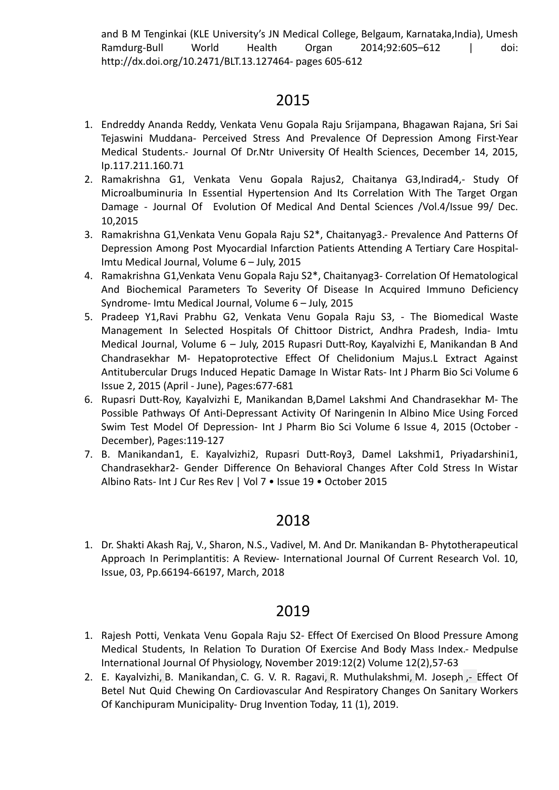and B M Tenginkai (KLE University's JN Medical College, Belgaum, Karnataka, India), Umesh Ramdurg-Bull World Health Organ 2014;92:605–612 | doi: [http://dx.doi.org/10.2471/BLT.13.127464- pages 605-612](http://dx.doi.org/10.2471/BLT.13.127464-%20pages%20605-612)

# 2015

- 1. Endreddy Ananda Reddy, Venkata Venu Gopala Raju Srijampana, Bhagawan Rajana, Sri Sai Tejaswini Muddana- Perceived Stress And Prevalence Of Depression Among First-Year Medical Students.- Journal Of Dr.Ntr University Of Health Sciences, December 14, 2015, Ip.117.211.160.71
- 2. Ramakrishna G1, Venkata Venu Gopala Rajus2, Chaitanya G3,Indirad4,- Study Of Microalbuminuria In Essential Hypertension And Its Correlation With The Target Organ Damage - Journal Of Evolution Of Medical And Dental Sciences /Vol.4/Issue 99/ Dec. 10,2015
- 3. Ramakrishna G1,Venkata Venu Gopala Raju S2\*, Chaitanyag3.- Prevalence And Patterns Of Depression Among Post Myocardial Infarction Patients Attending A Tertiary Care Hospital-Imtu Medical Journal, Volume 6 – July, 2015
- 4. Ramakrishna G1,Venkata Venu Gopala Raju S2\*, Chaitanyag3- Correlation Of Hematological And Biochemical Parameters To Severity Of Disease In Acquired Immuno Deficiency Syndrome- Imtu Medical Journal, Volume 6 – July, 2015
- 5. Pradeep Y1,Ravi Prabhu G2, Venkata Venu Gopala Raju S3, The Biomedical Waste Management In Selected Hospitals Of Chittoor District, Andhra Pradesh, India- Imtu Medical Journal, Volume 6 – July, 2015 Rupasri Dutt-Roy, Kayalvizhi E, Manikandan B And Chandrasekhar M- Hepatoprotective Effect Of Chelidonium Majus.L Extract Against Antitubercular Drugs Induced Hepatic Damage In Wistar Rats- Int J Pharm Bio Sci Volume 6 Issue 2, 2015 (April - June), Pages:677-681
- 6. Rupasri Dutt-Roy, Kayalvizhi E, Manikandan B,Damel Lakshmi And Chandrasekhar M- The Possible Pathways Of Anti-Depressant Activity Of Naringenin In Albino Mice Using Forced Swim Test Model Of Depression- Int J Pharm Bio Sci Volume 6 Issue 4, 2015 (October - December), Pages:119-127
- 7. B. Manikandan1, E. Kayalvizhi2, Rupasri Dutt-Roy3, Damel Lakshmi1, Priyadarshini1, Chandrasekhar2- Gender Difference On Behavioral Changes After Cold Stress In Wistar Albino Rats- Int J Cur Res Rev | Vol 7 • Issue 19 • October 2015

# 2018

1. Dr. Shakti Akash Raj, V., Sharon, N.S., Vadivel, M. And Dr. Manikandan B- Phytotherapeutical Approach In Perimplantitis: A Review- International Journal Of Current Research Vol. 10, Issue, 03, Pp.66194-66197, March, 2018

- 1. Rajesh Potti, Venkata Venu Gopala Raju S2- Effect Of Exercised On Blood Pressure Among Medical Students, In Relation To Duration Of Exercise And Body Mass Index.- Medpulse International Journal Of Physiology, November 2019:12(2) Volume 12(2),57-63
- 2. E. [Kayalvizhi,](https://www.semanticscholar.org/author/E.-Kayalvizhi/50555335) B. [Manikandan,](https://www.semanticscholar.org/author/B.-Manikandan/3228629) C. G. V. R. [Ragavi](https://www.semanticscholar.org/author/C.-G.-V.-R.-Ragavi/2081314428), R. [Muthulakshmi,](https://www.semanticscholar.org/author/R.-Muthulakshmi/49677914) M. [Joseph](https://www.semanticscholar.org/author/M.-Joseph/28445957) ,- Effect Of Betel Nut Quid Chewing On Cardiovascular And Respiratory Changes On Sanitary Workers Of Kanchipuram Municipality- Drug Invention Today, 11 (1), 2019.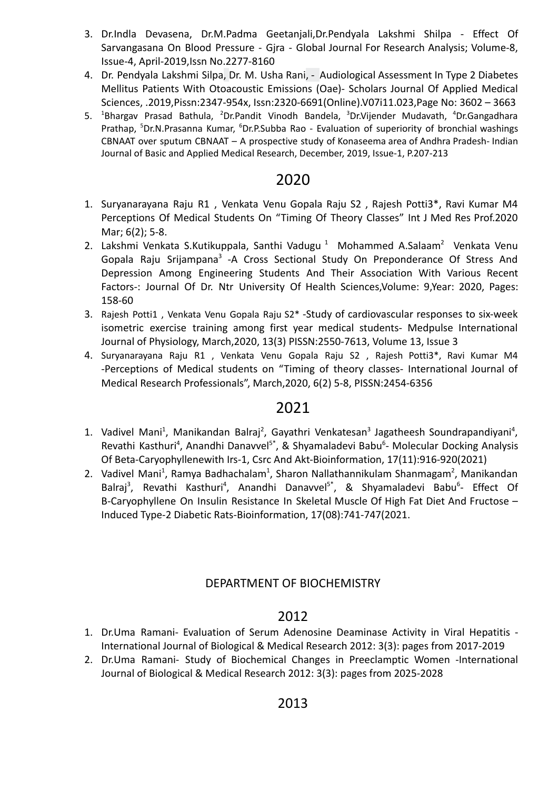- 3. Dr.Indla Devasena, Dr.M.Padma Geetanjali,Dr.Pendyala Lakshmi Shilpa Effect Of Sarvangasana On Blood Pressure - Gjra - Global Journal For Research Analysis; Volume-8, Issue-4, April-2019,Issn No.2277-8160
- 4. Dr. [Pendyala](https://www.semanticscholar.org/author/Dr.-Pendyala-Lakshmi-Silpa/2082238203) Lakshmi Silpa, Dr. M. [Usha](https://www.semanticscholar.org/author/Dr.-M.-Usha-Rani/70231748) Rani, Audiological Assessment In Type 2 Diabetes Mellitus Patients With Otoacoustic Emissions (Oae)- Scholars Journal Of Applied Medical Sciences, .2019,Pissn:2347-954x, Issn:2320-6691(Online).V07i11.023,Page No: 3602 – 3663
- 5. <sup>1</sup>Bhargav Prasad Bathula, <sup>2</sup>Dr.Pandit Vinodh Bandela, <sup>3</sup>Dr.Vijender Mudavath, <sup>4</sup>Dr.Gangadhara Prathap, <sup>5</sup>Dr.N.Prasanna Kumar, <sup>6</sup>Dr.P.Subba Rao - Evaluation of superiority of bronchial washings CBNAAT over sputum CBNAAT – A prospective study of Konaseema area of Andhra Pradesh- Indian Journal of Basic and Applied Medical Research, December, 2019, Issue-1, P.207-213

- 1. Suryanarayana Raju R1 , Venkata Venu Gopala Raju S2 , Rajesh Potti3\*, Ravi Kumar M4 Perceptions Of Medical Students On "Timing Of Theory Classes" Int J Med Res Prof.2020 Mar; 6(2); 5-8.
- 2. Lakshmi [Venkata](https://www.jdrntruhs.org/searchresult.asp?search=&author=Venkata+Venu+Gopala+Raju+Srijampana&journal=Y&but_search=Search&entries=10&pg=1&s=0) S.Kutikuppala, Santhi Vadugu<sup>1</sup> Mohammed A.Salaam<sup>2</sup> Venkata Venu Gopala Raju [Srijampana](https://www.jdrntruhs.org/searchresult.asp?search=&author=Venkata+Venu+Gopala+Raju+Srijampana&journal=Y&but_search=Search&entries=10&pg=1&s=0)<sup>3</sup> -A Cross Sectional Study On Preponderance Of Stress And Depression Among Engineering Students And Their Association With Various Recent Factors-: Journal Of Dr. Ntr University Of Health Sciences,Volume: 9,Year: 2020, Pages: 158-60
- 3. Rajesh Potti1 , Venkata Venu Gopala Raju S2\* -Study of cardiovascular responses to six-week isometric exercise training among first year medical students- Medpulse International Journal of Physiology, March,2020, 13(3) PISSN:2550-7613, Volume 13, Issue 3
- 4. Suryanarayana Raju R1 , Venkata Venu Gopala Raju S2 , Rajesh Potti3\*, Ravi Kumar M4 -Perceptions of Medical students on "Timing of theory classes- International Journal of Medical Research Professionals", March,2020, 6(2) 5-8, PISSN:2454-6356

# 2021

- 1. Vadivel Mani<sup>1</sup>, Manikandan Balraj<sup>2</sup>, Gayathri Venkatesan<sup>3</sup> Jagatheesh Soundrapandiyani<sup>4</sup>, Revathi Kasthuri<sup>4</sup>, Anandhi Danavvel<sup>5\*</sup>, & Shyamaladevi Babu<sup>6</sup>- Molecular Docking Analysis Of Beta-Caryophyllenewith Irs-1, Csrc And Akt-Bioinformation, 17(11):916-920(2021)
- 2. Vadivel Mani<sup>1</sup>, Ramya Badhachalam<sup>1</sup>, Sharon Nallathannikulam Shanmagam<sup>2</sup>, Manikandan Balraj<sup>3</sup>, Revathi Kasthuri<sup>4</sup>, Anandhi Danavvel<sup>5\*</sup>, & Shyamaladevi Babu<sup>6</sup>- Effect Of B-Caryophyllene On Insulin Resistance In Skeletal Muscle Of High Fat Diet And Fructose – Induced Type-2 Diabetic Rats-Bioinformation, 17(08):741-747(2021.

## DEPARTMENT OF BIOCHEMISTRY

- 1. Dr.Uma Ramani- Evaluation of Serum Adenosine Deaminase Activity in Viral Hepatitis International Journal of Biological & Medical Research 2012: 3(3): pages from 2017-2019
- 2. Dr.Uma Ramani- Study of Biochemical Changes in Preeclamptic Women -International Journal of Biological & Medical Research 2012: 3(3): pages from 2025-2028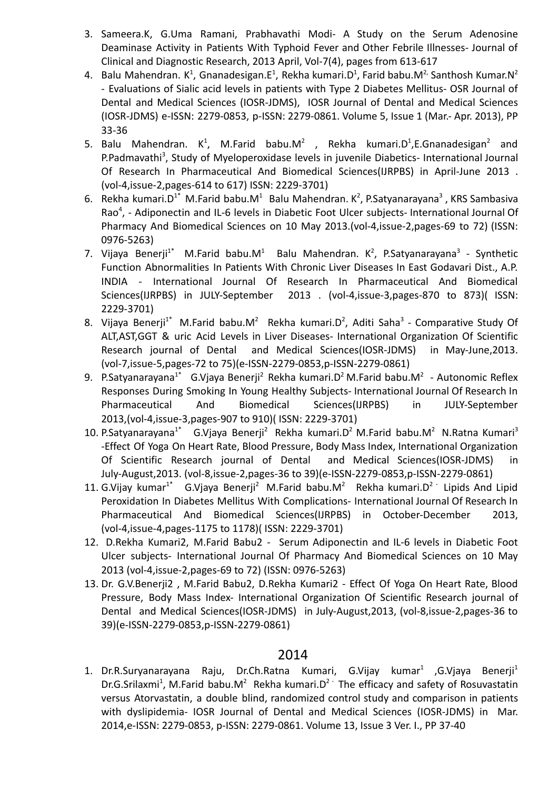- 3. Sameera.K, G.Uma Ramani, Prabhavathi Modi- A Study on the Serum Adenosine Deaminase Activity in Patients With Typhoid Fever and Other Febrile Illnesses- Journal of Clinical and Diagnostic Research, 2013 April, Vol-7(4), pages from 613-617
- 4. Balu Mahendran. K<sup>1</sup>, Gnanadesigan.E<sup>1</sup>, Rekha kumari.D<sup>1</sup>, Farid babu.M<sup>2,</sup> Santhosh Kumar.N<sup>2</sup> - Evaluations of Sialic acid levels in patients with Type 2 Diabetes Mellitus- OSR Journal of Dental and Medical Sciences (IOSR-JDMS), IOSR Journal of Dental and Medical Sciences (IOSR-JDMS) e-ISSN: 2279-0853, p-ISSN: 2279-0861. Volume 5, Issue 1 (Mar.- Apr. 2013), PP 33-36
- 5. Balu Mahendran.  $K^1$ , M.Farid babu.M<sup>2</sup>, Rekha kumari.D<sup>1</sup>,E.Gnanadesigan<sup>2</sup> and P.Padmavathi<sup>3</sup>, Study of Myeloperoxidase levels in juvenile Diabetics- International Journal Of Research In Pharmaceutical And Biomedical Sciences(IJRPBS) in April-June 2013 . (vol-4,issue-2,pages-614 to 617) ISSN: 2229-3701)
- 6. Rekha kumari.D<sup>1\*</sup> M.Farid babu.M<sup>1</sup> Balu Mahendran. K<sup>2</sup>, P.Satyanarayana<sup>3</sup>, KRS Sambasiva Rao<sup>4</sup>, - Adiponectin and IL-6 levels in Diabetic Foot Ulcer subjects- International Journal Of Pharmacy And Biomedical Sciences on 10 May 2013.(vol-4,issue-2,pages-69 to 72) (ISSN: 0976-5263)
- 7. Vijaya Benerji<sup>1\*</sup> M.Farid babu.M<sup>1</sup> Balu Mahendran. K<sup>2</sup>, P.Satyanarayana<sup>3</sup> Synthetic Function Abnormalities In Patients With Chronic Liver Diseases In East Godavari Dist., A.P. INDIA - International Journal Of Research In Pharmaceutical And Biomedical Sciences(IJRPBS) in JULY-September 2013 . (vol-4,issue-3,pages-870 to 873)( ISSN: 2229-3701)
- 8. Vijaya Benerji<sup>1\*</sup> M.Farid babu.M<sup>2</sup> Rekha kumari.D<sup>2</sup>, Aditi Saha<sup>3</sup> Comparative Study Of ALT,AST,GGT & uric Acid Levels in Liver Diseases- International Organization Of Scientific Research journal of Dental and Medical Sciences(IOSR-JDMS) in May-June,2013. (vol-7,issue-5,pages-72 to 75)(e-ISSN-2279-0853,p-ISSN-2279-0861)
- 9. P.Satyanarayana<sup>1\*</sup> G.Vjaya Benerji<sup>2</sup> Rekha kumari.D<sup>2</sup> M.Farid babu.M<sup>2</sup> Autonomic Reflex Responses During Smoking In Young Healthy Subjects- International Journal Of Research In Pharmaceutical And Biomedical Sciences(IJRPBS) in JULY-September 2013,(vol-4,issue-3,pages-907 to 910)( ISSN: 2229-3701)
- 10. P.Satyanarayana<sup>1\*</sup> G.Vjaya Benerji<sup>2</sup> Rekha kumari.D<sup>2</sup> M.Farid babu.M<sup>2</sup> N.Ratna Kumari<sup>3</sup> -Effect Of Yoga On Heart Rate, Blood Pressure, Body Mass Index, International Organization Of Scientific Research journal of Dental and Medical Sciences(IOSR-JDMS) in July-August,2013. (vol-8,issue-2,pages-36 to 39)(e-ISSN-2279-0853,p-ISSN-2279-0861)
- 11. G.Vijay kumar<sup>1\*</sup> G.Vjaya Benerji<sup>2</sup> M.Farid babu.M<sup>2</sup> Rekha kumari.D<sup>2</sup> Lipids And Lipid Peroxidation In Diabetes Mellitus With Complications- International Journal Of Research In Pharmaceutical And Biomedical Sciences(IJRPBS) in October-December 2013, (vol-4,issue-4,pages-1175 to 1178)( ISSN: 2229-3701)
- 12. D.Rekha Kumari2, M.Farid Babu2 Serum Adiponectin and IL-6 levels in Diabetic Foot Ulcer subjects- International Journal Of Pharmacy And Biomedical Sciences on 10 May 2013 (vol-4,issue-2,pages-69 to 72) (ISSN: 0976-5263)
- 13. Dr. G.V.Benerji2 , M.Farid Babu2, D.Rekha Kumari2 Effect Of Yoga On Heart Rate, Blood Pressure, Body Mass Index- International Organization Of Scientific Research journal of Dental and Medical Sciences(IOSR-JDMS) in July-August,2013, (vol-8,issue-2,pages-36 to 39)(e-ISSN-2279-0853,p-ISSN-2279-0861)

1. Dr.R.Suryanarayana Raju, Dr.Ch.Ratna Kumari, G.Vijay kumar<sup>1</sup> ,G.Vjaya Benerji<sup>1</sup> Dr.G.Srilaxmi<sup>1</sup>, M.Farid babu.M<sup>2</sup> Rekha kumari.D<sup>2 -</sup> The efficacy and safety of Rosuvastatin versus Atorvastatin, a double blind, randomized control study and comparison in patients with dyslipidemia- IOSR Journal of Dental and Medical Sciences (IOSR-JDMS) in Mar. 2014,e-ISSN: 2279-0853, p-ISSN: 2279-0861. Volume 13, Issue 3 Ver. I., PP 37-40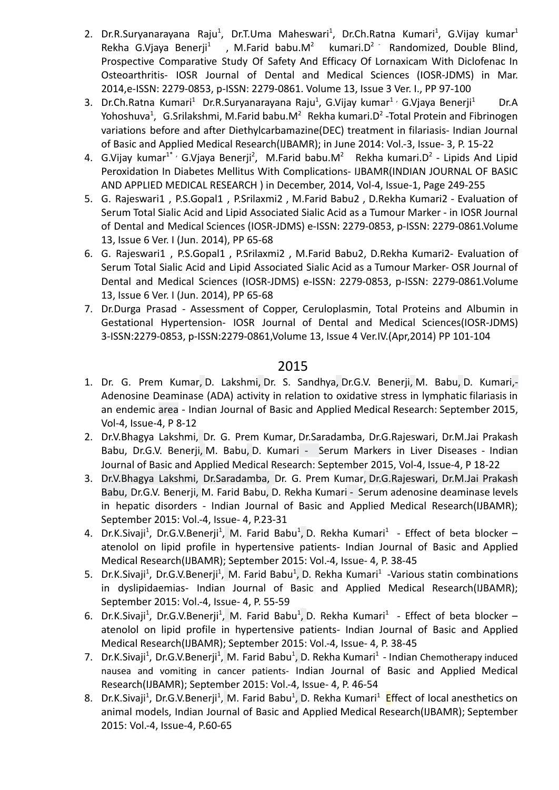- 2. Dr.R.Suryanarayana Raju<sup>1</sup>, Dr.T.Uma Maheswari<sup>1</sup>, Dr.Ch.Ratna Kumari<sup>1</sup>, G.Vijay kumar<sup>1</sup> Rekha G.Viaya Benerji<sup>1</sup>, M.Farid babu. $M^2$ kumari.D<sup>2 -</sup> Randomized, Double Blind, Prospective Comparative Study Of Safety And Efficacy Of Lornaxicam With Diclofenac In Osteoarthritis- IOSR Journal of Dental and Medical Sciences (IOSR-JDMS) in Mar. 2014,e-ISSN: 2279-0853, p-ISSN: 2279-0861. Volume 13, Issue 3 Ver. I., PP 97-100
- 3. Dr.Ch.Ratna Kumari<sup>1</sup> Dr.R.Suryanarayana Raju<sup>1</sup>, G.Vijay kumar<sup>1,</sup> G.Vjaya Benerji<sup>1</sup> Dr.A Yohoshuva<sup>1</sup>, G.Srilakshmi, M.Farid babu.M<sup>2</sup> Rekha kumari.D<sup>2</sup> -Total Protein and Fibrinogen variations before and after Diethylcarbamazine(DEC) treatment in filariasis- Indian Journal of Basic and Applied Medical Research(IJBAMR); in June 2014: Vol.-3, Issue- 3, P. 15-22
- 4. G.Vijay kumar<sup>1\*</sup> G.Vjaya Benerji<sup>2</sup>, M.Farid babu.M<sup>2</sup> Rekha kumari.D<sup>2</sup> Lipids And Lipid Peroxidation In Diabetes Mellitus With Complications- IJBAMR(INDIAN JOURNAL OF BASIC AND APPLIED MEDICAL RESEARCH ) in December, 2014, Vol-4, Issue-1, Page 249-255
- 5. G. Rajeswari1 , P.S.Gopal1 , P.Srilaxmi2 , M.Farid Babu2 , D.Rekha Kumari2 Evaluation of Serum Total Sialic Acid and Lipid Associated Sialic Acid as a Tumour Marker - in IOSR Journal of Dental and Medical Sciences (IOSR-JDMS) e-ISSN: 2279-0853, p-ISSN: 2279-0861.Volume 13, Issue 6 Ver. I (Jun. 2014), PP 65-68
- 6. G. Rajeswari1 , P.S.Gopal1 , P.Srilaxmi2 , M.Farid Babu2, D.Rekha Kumari2- Evaluation of Serum Total Sialic Acid and Lipid Associated Sialic Acid as a Tumour Marker- OSR Journal of Dental and Medical Sciences (IOSR-JDMS) e-ISSN: 2279-0853, p-ISSN: 2279-0861.Volume 13, Issue 6 Ver. I (Jun. 2014), PP 65-68
- 7. Dr.Durga Prasad Assessment of Copper, Ceruloplasmin, Total Proteins and Albumin in Gestational Hypertension- IOSR Journal of Dental and Medical Sciences(IOSR-JDMS) 3-ISSN:2279-0853, p-ISSN:2279-0861,Volume 13, Issue 4 Ver.IV.(Apr,2014) PP 101-104

- 1. Dr. G. Prem [Kumar,](https://www.semanticscholar.org/author/Dr.-G.-Prem-Kumar/80854175) D. [Lakshmi](https://www.semanticscholar.org/author/D.-Lakshmi/15641673), Dr. S. [Sandhya](https://www.semanticscholar.org/author/Dr.-S.-Sandhya/4615191), Dr.G.V. [Benerji](https://www.semanticscholar.org/author/Dr.G.V.-Benerji/83175401), M. [Babu](https://www.semanticscholar.org/author/M.-Babu/144242056), D. [Kumari](https://www.semanticscholar.org/author/D.-Kumari/2139467489),- Adenosine Deaminase (ADA) activity in relation to oxidative stress in lymphatic filariasis in an endemic area - Indian Journal of Basic and Applied Medical Research: September 2015, Vol-4, Issue-4, P 8-12
- 2. Dr.V.Bhagya Lakshmi, Dr. G. Prem [Kumar,](https://www.semanticscholar.org/author/Dr.-G.-Prem-Kumar/80854175) Dr.Saradamba, Dr.G.Rajeswari, Dr.M.Jai Prakash Babu, Dr.G.V. [Benerji](https://www.semanticscholar.org/author/Dr.G.V.-Benerji/83175401), M. [Babu,](https://www.semanticscholar.org/author/M.-Babu/144242056) D. [Kumari](https://www.semanticscholar.org/author/D.-Kumari/2139467489) - Serum Markers in Liver Diseases - Indian Journal of Basic and Applied Medical Research: September 2015, Vol-4, Issue-4, P 18-22
- 3. Dr.V.Bhagya Lakshmi, Dr.Saradamba, Dr. G. Prem [Kumar,](https://www.semanticscholar.org/author/Dr.-G.-Prem-Kumar/80854175) Dr.G.Rajeswari, Dr.M.Jai Prakash Babu, Dr.G.V. [Benerji,](https://www.semanticscholar.org/author/Dr.G.V.-Benerji/83175401) M. Farid [Babu,](https://www.semanticscholar.org/author/M.-Babu/144242056) D. Rekha [Kumari](https://www.semanticscholar.org/author/D.-Kumari/2139467489) - Serum adenosine deaminase levels in hepatic disorders - Indian Journal of Basic and Applied Medical Research(IJBAMR); September 2015: Vol.-4, Issue- 4, P.23-31
- 4. Dr.K.Sivaji<sup>1</sup>, Dr.G.V.Benerji<sup>1</sup>, M. Farid [Babu](https://www.semanticscholar.org/author/M.-Babu/144242056)<sup>1</sup>, D. Rekha [Kumari](https://www.semanticscholar.org/author/D.-Kumari/2139467489)<sup>1</sup> Effect of beta blocker atenolol on lipid profile in hypertensive patients- Indian Journal of Basic and Applied Medical Research(IJBAMR); September 2015: Vol.-4, Issue- 4, P. 38-45
- 5. Dr.K.Sivaji<sup>1</sup>, Dr.G.V.Benerji<sup>1</sup>, M. Farid [Babu](https://www.semanticscholar.org/author/M.-Babu/144242056)<sup>1</sup>, D. Rekha [Kumari](https://www.semanticscholar.org/author/D.-Kumari/2139467489)<sup>1</sup> -Various statin combinations in dyslipidaemias- Indian Journal of Basic and Applied Medical Research(IJBAMR); September 2015: Vol.-4, Issue- 4, P. 55-59
- 6. Dr.K.Sivaji<sup>1</sup>, Dr.G.V.Benerji<sup>1</sup>, M. Farid [Babu](https://www.semanticscholar.org/author/M.-Babu/144242056)<sup>1</sup>, D. Rekha [Kumari](https://www.semanticscholar.org/author/D.-Kumari/2139467489)<sup>1</sup> Effect of beta blocker atenolol on lipid profile in hypertensive patients- Indian Journal of Basic and Applied Medical Research(IJBAMR); September 2015: Vol.-4, Issue- 4, P. 38-45
- 7. Dr.K.Sivaji<sup>1</sup>, Dr.G.V.Benerji<sup>1</sup>, M. Farid [Babu](https://www.semanticscholar.org/author/M.-Babu/144242056)<sup>1</sup>, D. Rekha [Kumari](https://www.semanticscholar.org/author/D.-Kumari/2139467489)<sup>1</sup> Indian Chemotherapy induced nausea and vomiting in cancer patients- Indian Journal of Basic and Applied Medical Research(IJBAMR); September 2015: Vol.-4, Issue- 4, P. 46-54
- 8. Dr.K.Sivaji<sup>1</sup>, Dr.G.V.Benerji<sup>1</sup>, M. Farid [Babu](https://www.semanticscholar.org/author/M.-Babu/144242056)<sup>1</sup>, D. Rekha [Kumari](https://www.semanticscholar.org/author/D.-Kumari/2139467489)<sup>1</sup> Effect of local anesthetics on animal models, Indian Journal of Basic and Applied Medical Research(IJBAMR); September 2015: Vol.-4, Issue-4, P.60-65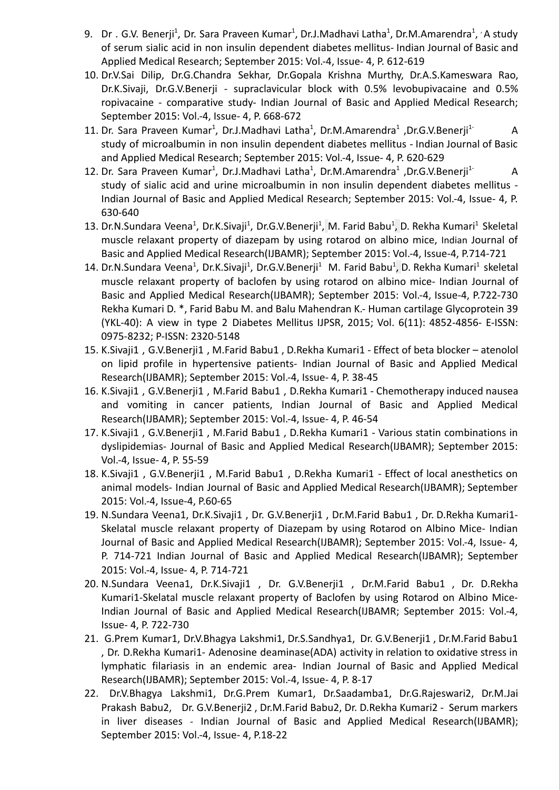- 9. Dr. G.V. Benerji<sup>1</sup>, Dr. Sara Praveen Kumar<sup>1</sup>, Dr.J.Madhavi Latha<sup>1</sup>, Dr.M.Amarendra<sup>1</sup>, *'* A study of serum sialic acid in non insulin dependent diabetes mellitus- Indian Journal of Basic and Applied Medical Research; September 2015: Vol.-4, Issue- 4, P. 612-619
- 10. Dr.V.Sai Dilip, Dr.G.Chandra Sekhar, Dr.Gopala Krishna Murthy, Dr.A.S.Kameswara Rao, Dr.K.Sivaji, Dr.G.V.Benerji - supraclavicular block with 0.5% levobupivacaine and 0.5% ropivacaine - comparative study- Indian Journal of Basic and Applied Medical Research; September 2015: Vol.-4, Issue- 4, P. 668-672
- 11. Dr. Sara Praveen Kumar<sup>1</sup>, Dr.J.Madhavi Latha<sup>1</sup>, Dr.M.Amarendra<sup>1</sup> ,Dr.G.V.Benerji<sup>1-</sup> A study of microalbumin in non insulin dependent diabetes mellitus - Indian Journal of Basic and Applied Medical Research; September 2015: Vol.-4, Issue- 4, P. 620-629
- 12. Dr. Sara Praveen Kumar<sup>1</sup>, Dr.J.Madhavi Latha<sup>1</sup>, Dr.M.Amarendra<sup>1</sup> ,Dr.G.V.Benerji<sup>1-</sup> A study of sialic acid and urine microalbumin in non insulin dependent diabetes mellitus - Indian Journal of Basic and Applied Medical Research; September 2015: Vol.-4, Issue- 4, P. 630-640
- 13. Dr.N.Sundara Veena<sup>1</sup>, Dr.K.Sivaji<sup>1</sup>, Dr.G.V.Benerji<sup>1</sup>, M. Farid [Babu](https://www.semanticscholar.org/author/M.-Babu/144242056)<sup>1</sup>, D. Rekha [Kumari](https://www.semanticscholar.org/author/D.-Kumari/2139467489)<sup>1</sup> Skeletal muscle relaxant property of diazepam by using rotarod on albino mice, Indian Journal of Basic and Applied Medical Research(IJBAMR); September 2015: Vol.-4, Issue-4, P.714-721
- 14. Dr.N.Sundara Veena<sup>1</sup>, Dr.K.Sivaji<sup>1</sup>, Dr.G.V.Benerji<sup>1</sup> M. Farid [Babu](https://www.semanticscholar.org/author/M.-Babu/144242056)<sup>1</sup>, D. Rekha [Kumari](https://www.semanticscholar.org/author/D.-Kumari/2139467489)<sup>1</sup> skeletal muscle relaxant property of baclofen by using rotarod on albino mice- Indian Journal of Basic and Applied Medical Research(IJBAMR); September 2015: Vol.-4, Issue-4, P.722-730 Rekha Kumari D. \*, Farid Babu M. and Balu Mahendran K.- Human cartilage Glycoprotein 39 (YKL-40): A view in type 2 Diabetes Mellitus IJPSR, 2015; Vol. 6(11): 4852-4856- E-ISSN: 0975-8232; P-ISSN: 2320-5148
- 15. K.Sivaji1 , G.V.Benerji1 , M.Farid Babu1 , D.Rekha Kumari1 Effect of beta blocker atenolol on lipid profile in hypertensive patients- Indian Journal of Basic and Applied Medical Research(IJBAMR); September 2015: Vol.-4, Issue- 4, P. 38-45
- 16. K.Sivaji1 , G.V.Benerji1 , M.Farid Babu1 , D.Rekha Kumari1 Chemotherapy induced nausea and vomiting in cancer patients, Indian Journal of Basic and Applied Medical Research(IJBAMR); September 2015: Vol.-4, Issue- 4, P. 46-54
- 17. K.Sivaji1 , G.V.Benerji1 , M.Farid Babu1 , D.Rekha Kumari1 Various statin combinations in dyslipidemias- Journal of Basic and Applied Medical Research(IJBAMR); September 2015: Vol.-4, Issue- 4, P. 55-59
- 18. K.Sivaji1 , G.V.Benerji1 , M.Farid Babu1 , D.Rekha Kumari1 Effect of local anesthetics on animal models- Indian Journal of Basic and Applied Medical Research(IJBAMR); September 2015: Vol.-4, Issue-4, P.60-65
- 19. N.Sundara Veena1, Dr.K.Sivaji1 , Dr. G.V.Benerji1 , Dr.M.Farid Babu1 , Dr. D.Rekha Kumari1- Skelatal muscle relaxant property of Diazepam by using Rotarod on Albino Mice- Indian Journal of Basic and Applied Medical Research(IJBAMR); September 2015: Vol.-4, Issue- 4, P. 714-721 Indian Journal of Basic and Applied Medical Research(IJBAMR); September 2015: Vol.-4, Issue- 4, P. 714-721
- 20. N.Sundara Veena1, Dr.K.Sivaji1 , Dr. G.V.Benerji1 , Dr.M.Farid Babu1 , Dr. D.Rekha Kumari1-Skelatal muscle relaxant property of Baclofen by using Rotarod on Albino Mice-Indian Journal of Basic and Applied Medical Research(IJBAMR; September 2015: Vol.-4, Issue- 4, P. 722-730
- 21. G.Prem Kumar1, Dr.V.Bhagya Lakshmi1, Dr.S.Sandhya1, Dr. G.V.Benerji1 , Dr.M.Farid Babu1 , Dr. D.Rekha Kumari1- Adenosine deaminase(ADA) activity in relation to oxidative stress in lymphatic filariasis in an endemic area- Indian Journal of Basic and Applied Medical Research(IJBAMR); September 2015: Vol.-4, Issue- 4, P. 8-17
- 22. Dr.V.Bhagya Lakshmi1, Dr.G.Prem Kumar1, Dr.Saadamba1, Dr.G.Rajeswari2, Dr.M.Jai Prakash Babu2, Dr. G.V.Benerji2 , Dr.M.Farid Babu2, Dr. D.Rekha Kumari2 - Serum markers in liver diseases - Indian Journal of Basic and Applied Medical Research(IJBAMR); September 2015: Vol.-4, Issue- 4, P.18-22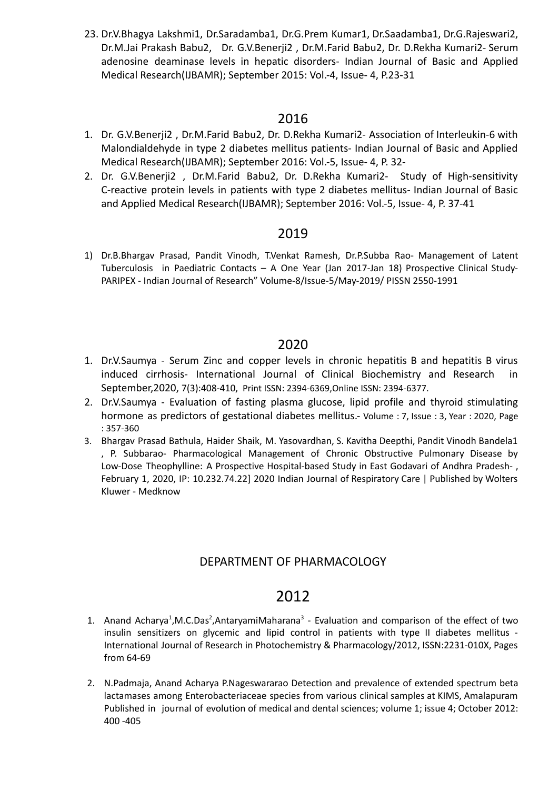23. Dr.V.Bhagya Lakshmi1, Dr.Saradamba1, Dr.G.Prem Kumar1, Dr.Saadamba1, Dr.G.Rajeswari2, Dr.M.Jai Prakash Babu2, Dr. G.V.Benerji2 , Dr.M.Farid Babu2, Dr. D.Rekha Kumari2- Serum adenosine deaminase levels in hepatic disorders- Indian Journal of Basic and Applied Medical Research(IJBAMR); September 2015: Vol.-4, Issue- 4, P.23-31

## 2016

- 1. Dr. G.V.Benerji2 , Dr.M.Farid Babu2, Dr. D.Rekha Kumari2- Association of Interleukin-6 with Malondialdehyde in type 2 diabetes mellitus patients- Indian Journal of Basic and Applied Medical Research(IJBAMR); September 2016: Vol.-5, Issue- 4, P. 32-
- 2. Dr. G.V.Benerji2 , Dr.M.Farid Babu2, Dr. D.Rekha Kumari2- Study of High-sensitivity C-reactive protein levels in patients with type 2 diabetes mellitus- Indian Journal of Basic and Applied Medical Research(IJBAMR); September 2016: Vol.-5, Issue- 4, P. 37-41

## 2019

1) Dr.B.Bhargav Prasad, Pandit Vinodh, T.Venkat Ramesh, Dr.P.Subba Rao- Management of Latent Tuberculosis in Paediatric Contacts – A One Year (Jan 2017-Jan 18) Prospective Clinical Study-PARIPEX - Indian Journal of Research" Volume-8/Issue-5/May-2019/ PISSN 2550-1991

## 2020

- 1. Dr.V.Saumya Serum Zinc and copper levels in chronic hepatitis B and hepatitis B virus induced cirrhosis- International Journal of Clinical Biochemistry and Research in September,2020, 7(3):408-410, Print ISSN: 2394-6369,Online ISSN: 2394-6377.
- 2. Dr.V.Saumya Evaluation of fasting plasma glucose, lipid profile and thyroid stimulating hormone as predictors of gestational diabetes mellitus.- Volume : 7, Issue : 3, Year : 2020, Page : 357-360
- 3. Bhargav Prasad Bathula, Haider Shaik, M. Yasovardhan, S. Kavitha Deepthi, Pandit Vinodh Bandela1 , P. Subbarao- Pharmacological Management of Chronic Obstructive Pulmonary Disease by Low-Dose Theophylline: A Prospective Hospital-based Study in East Godavari of Andhra Pradesh- , February 1, 2020, IP: 10.232.74.22] 2020 Indian Journal of Respiratory Care | Published by Wolters Kluwer - Medknow

## DEPARTMENT OF PHARMACOLOGY

- 1. Anand Acharya<sup>1</sup>, M.C.Das<sup>2</sup>, Antaryami Maharana<sup>3</sup> Evaluation and comparison of the effect of two insulin sensitizers on glycemic and lipid control in patients with type II diabetes mellitus - International Journal of Research in Photochemistry & Pharmacology/2012, ISSN:2231-010X, Pages from 64-69
- 2. N.Padmaja, Anand Acharya P.Nageswararao Detection and prevalence of extended spectrum beta lactamases among Enterobacteriaceae species from various clinical samples at KIMS, Amalapuram Published in journal of evolution of medical and dental sciences; volume 1; issue 4; October 2012: 400 -405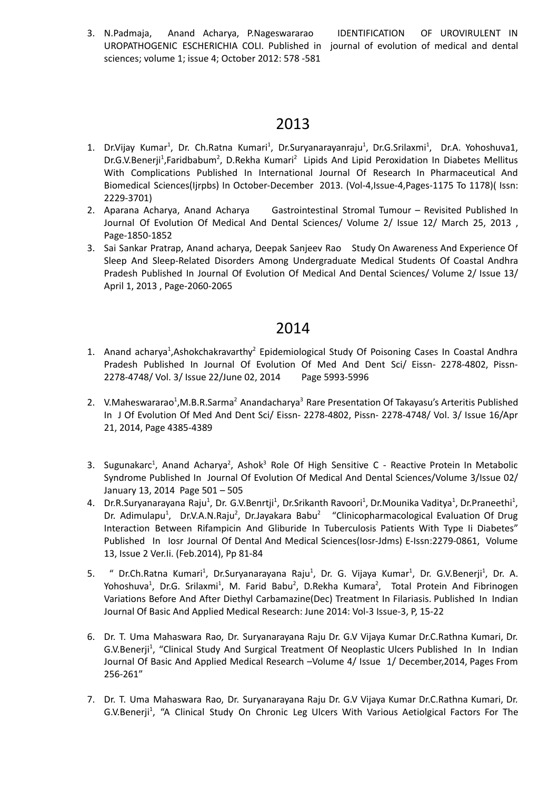3. N.Padmaja, Anand Acharya, P.Nageswararao IDENTIFICATION OF UROVIRULENT IN UROPATHOGENIC ESCHERICHIA COLI. Published in journal of evolution of medical and dental sciences; volume 1; issue 4; October 2012: 578 -581

# 2013

- 1. Dr.Vijay Kumar<sup>1</sup>, Dr. Ch.Ratna Kumari<sup>1</sup>, Dr.Suryanarayanraju<sup>1</sup>, Dr.G.Srilaxmi<sup>1</sup>, Dr.A. Yohoshuva1, Dr.G.V.Benerji<sup>1</sup>,Faridbabum<sup>2</sup>, D.Rekha Kumari<sup>2</sup> Lipids And Lipid Peroxidation In Diabetes Mellitus With Complications Published In International Journal Of Research In Pharmaceutical And Biomedical Sciences(Ijrpbs) In October-December 2013. (Vol-4,Issue-4,Pages-1175 To 1178)( Issn: 2229-3701)
- 2. Aparana Acharya, Anand Acharya Gastrointestinal Stromal Tumour Revisited Published In Journal Of Evolution Of Medical And Dental Sciences/ Volume 2/ Issue 12/ March 25, 2013 , Page-1850-1852
- 3. Sai Sankar Pratrap, Anand acharya, Deepak Sanjeev Rao Study On Awareness And Experience Of Sleep And Sleep-Related Disorders Among Undergraduate Medical Students Of Coastal Andhra Pradesh Published In Journal Of Evolution Of Medical And Dental Sciences/ Volume 2/ Issue 13/ April 1, 2013 , Page-2060-2065

- 1. Anand acharya<sup>1</sup>, Ashokchakravarthy<sup>2</sup> Epidemiological Study Of Poisoning Cases In Coastal Andhra Pradesh Published In Journal Of Evolution Of Med And Dent Sci/ Eissn- 2278-4802, Pissn-2278-4748/ Vol. 3/ Issue 22/June 02, 2014 Page 5993-5996
- 2. V.Maheswararao<sup>1</sup>,M.B.R.Sarma<sup>2</sup> Anandacharya<sup>3</sup> Rare Presentation Of Takayasu's Arteritis Published In J Of Evolution Of Med And Dent Sci/ Eissn- 2278-4802, Pissn- 2278-4748/ Vol. 3/ Issue 16/Apr 21, 2014, Page 4385-4389
- 3. Sugunakarc<sup>1</sup>, Anand Acharya<sup>2</sup>, Ashok<sup>3</sup> Role Of High Sensitive C Reactive Protein In Metabolic Syndrome Published In Journal Of Evolution Of Medical And Dental Sciences/Volume 3/Issue 02/ January 13, 2014 Page 501 – 505
- 4. Dr.R.Suryanarayana Raju<sup>1</sup>, Dr. G.V.Benrtji<sup>1</sup>, Dr.Srikanth Ravoori<sup>1</sup>, Dr.Mounika Vaditya<sup>1</sup>, Dr.Praneethi<sup>1</sup>, Dr. Adimulapu<sup>1</sup>, Dr.V.A.N.Raju<sup>2</sup>, Dr.Jayakara Babu<sup>2</sup> "Clinicopharmacological Evaluation Of Drug Interaction Between Rifampicin And Gliburide In Tuberculosis Patients With Type Ii Diabetes" Published In Iosr Journal Of Dental And Medical Sciences(Iosr-Jdms) E-Issn:2279-0861, Volume 13, Issue 2 Ver.Ii. (Feb.2014), Pp 81-84
- 5. " Dr.Ch.Ratna Kumari<sup>1</sup>, Dr.Suryanarayana Raju<sup>1</sup>, Dr. G. Vijaya Kumar<sup>1</sup>, Dr. G.V.Benerji<sup>1</sup>, Dr. A. Yohoshuva<sup>1</sup>, Dr.G. Srilaxmi<sup>1</sup>, M. Farid Babu<sup>2</sup>, D.Rekha Kumara<sup>2</sup>, Total Protein And Fibrinogen Variations Before And After Diethyl Carbamazine(Dec) Treatment In Filariasis. Published In Indian Journal Of Basic And Applied Medical Research: June 2014: Vol-3 Issue-3, P, 15-22
- 6. Dr. T. Uma Mahaswara Rao, Dr. Suryanarayana Raju Dr. G.V Vijaya Kumar Dr.C.Rathna Kumari, Dr. G.V.Benerji<sup>1</sup>, "Clinical Study And Surgical Treatment Of Neoplastic Ulcers Published In In Indian Journal Of Basic And Applied Medical Research –Volume 4/ Issue 1/ December,2014, Pages From 256-261"
- 7. Dr. T. Uma Mahaswara Rao, Dr. Suryanarayana Raju Dr. G.V Vijaya Kumar Dr.C.Rathna Kumari, Dr. G.V.Benerji<sup>1</sup>, "A Clinical Study On Chronic Leg Ulcers With Various Aetiolgical Factors For The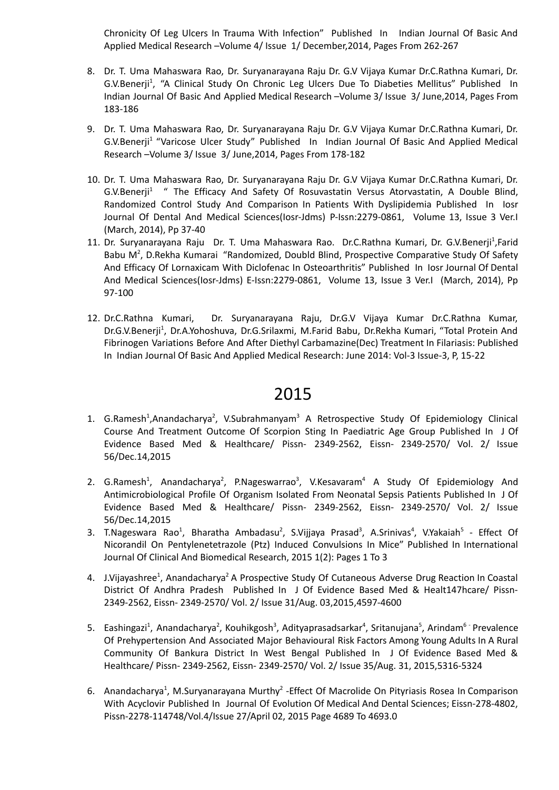Chronicity Of Leg Ulcers In Trauma With Infection" Published In Indian Journal Of Basic And Applied Medical Research –Volume 4/ Issue 1/ December,2014, Pages From 262-267

- 8. Dr. T. Uma Mahaswara Rao, Dr. Suryanarayana Raju Dr. G.V Vijaya Kumar Dr.C.Rathna Kumari, Dr. G.V.Benerji<sup>1</sup>, "A Clinical Study On Chronic Leg Ulcers Due To Diabeties Mellitus" Published In Indian Journal Of Basic And Applied Medical Research –Volume 3/ Issue 3/ June,2014, Pages From 183-186
- 9. Dr. T. Uma Mahaswara Rao, Dr. Suryanarayana Raju Dr. G.V Vijaya Kumar Dr.C.Rathna Kumari, Dr. G.V.Benerji<sup>1</sup> "Varicose Ulcer Study" Published In Indian Journal Of Basic And Applied Medical Research –Volume 3/ Issue 3/ June,2014, Pages From 178-182
- 10. Dr. T. Uma Mahaswara Rao, Dr. Suryanarayana Raju Dr. G.V Vijaya Kumar Dr.C.Rathna Kumari, Dr. G.V.Benerji<sup>1</sup> " The Efficacy And Safety Of Rosuvastatin Versus Atorvastatin, A Double Blind, Randomized Control Study And Comparison In Patients With Dyslipidemia Published In Iosr Journal Of Dental And Medical Sciences(Iosr-Jdms) P-Issn:2279-0861, Volume 13, Issue 3 Ver.I (March, 2014), Pp 37-40
- 11. Dr. Suryanarayana Raju Dr. T. Uma Mahaswara Rao. Dr.C.Rathna Kumari, Dr. G.V.Benerji<sup>1</sup>,Farid Babu M<sup>2</sup>, D.Rekha Kumarai "Randomized, Doubld Blind, Prospective Comparative Study Of Safety And Efficacy Of Lornaxicam With Diclofenac In Osteoarthritis" Published In Iosr Journal Of Dental And Medical Sciences(Iosr-Jdms) E-Issn:2279-0861, Volume 13, Issue 3 Ver.I (March, 2014), Pp 97-100
- 12. Dr.C.Rathna Kumari, Dr. Suryanarayana Raju, Dr.G.V Vijaya Kumar Dr.C.Rathna Kumar, Dr.G.V.Benerji<sup>1</sup>, Dr.A.Yohoshuva, Dr.G.Srilaxmi, M.Farid Babu, Dr.Rekha Kumari, "Total Protein And Fibrinogen Variations Before And After Diethyl Carbamazine(Dec) Treatment In Filariasis: Published In Indian Journal Of Basic And Applied Medical Research: June 2014: Vol-3 Issue-3, P, 15-22

- 1. G.Ramesh<sup>1</sup>,Anandacharya<sup>2</sup>, V.Subrahmanyam<sup>3</sup> A Retrospective Study Of Epidemiology Clinical Course And Treatment Outcome Of Scorpion Sting In Paediatric Age Group Published In J Of Evidence Based Med & Healthcare/ Pissn- 2349-2562, Eissn- 2349-2570/ Vol. 2/ Issue 56/Dec.14,2015
- 2. G.Ramesh<sup>1</sup>, Anandacharya<sup>2</sup>, P.Nageswarrao<sup>3</sup>, V.Kesavaram<sup>4</sup> A Study Of Epidemiology And Antimicrobiological Profile Of Organism Isolated From Neonatal Sepsis Patients Published In J Of Evidence Based Med & Healthcare/ Pissn- 2349-2562, Eissn- 2349-2570/ Vol. 2/ Issue 56/Dec.14,2015
- 3. T.Nageswara Rao<sup>1</sup>, Bharatha Ambadasu<sup>2</sup>, S.Vijjaya Prasad<sup>3</sup>, A.Srinivas<sup>4</sup>, V.Yakaiah<sup>5</sup> Effect Of Nicorandil On Pentylenetetrazole (Ptz) Induced Convulsions In Mice" Published In International Journal Of Clinical And Biomedical Research, 2015 1(2): Pages 1 To 3
- 4. J.Vijayashree<sup>1</sup>, Anandacharya<sup>2</sup> A Prospective Study Of Cutaneous Adverse Drug Reaction In Coastal District Of Andhra Pradesh Published In J Of Evidence Based Med & Healt147hcare/ Pissn-2349-2562, Eissn- 2349-2570/ Vol. 2/ Issue 31/Aug. 03,2015,4597-4600
- 5. Eashingazi<sup>1</sup>, Anandacharya<sup>2</sup>, Kouhikgosh<sup>3</sup>, Adityaprasadsarkar<sup>4</sup>, Sritanujana<sup>5</sup>, Arindam<sup>6 -</sup> Prevalence Of Prehypertension And Associated Major Behavioural Risk Factors Among Young Adults In A Rural Community Of Bankura District In West Bengal Published In J Of Evidence Based Med & Healthcare/ Pissn- 2349-2562, Eissn- 2349-2570/ Vol. 2/ Issue 35/Aug. 31, 2015,5316-5324
- 6. Anandacharya<sup>1</sup>, M.Suryanarayana Murthy<sup>2</sup> Effect Of Macrolide On Pityriasis Rosea In Comparison With Acyclovir Published In Journal Of Evolution Of Medical And Dental Sciences; Eissn-278-4802, Pissn-2278-114748/Vol.4/Issue 27/April 02, 2015 Page 4689 To 4693.0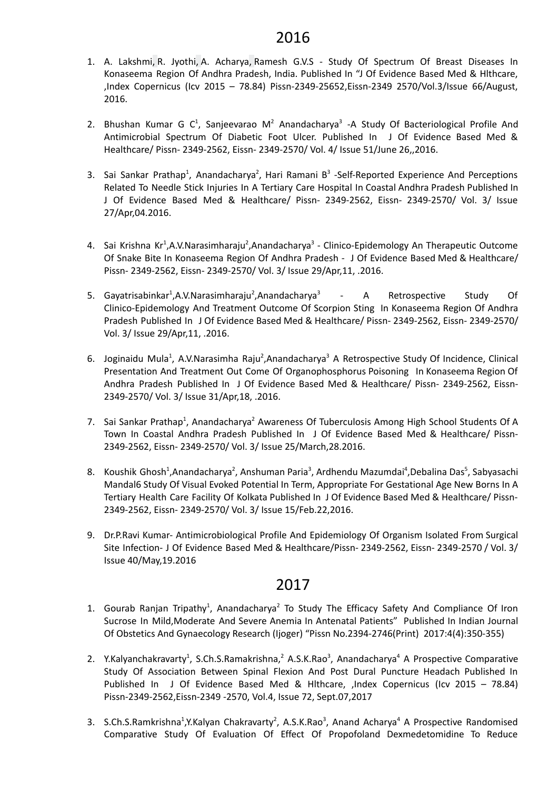- 1. A. [Lakshmi,](https://www.semanticscholar.org/author/A.-Lakshmi/2063994050) R. [Jyothi,](https://www.semanticscholar.org/author/R.-Jyothi/2101582987) A. [Acharya,](https://www.semanticscholar.org/author/A.-Acharya/145427781) [Ramesh](https://www.semanticscholar.org/author/Ramesh-G.V.S/1403727971) G.V.S Study Of Spectrum Of Breast Diseases In Konaseema Region Of Andhra Pradesh, India. Published In "J Of Evidence Based Med & Hlthcare, ,Index Copernicus (Icv 2015 – 78.84) Pissn-2349-25652,Eissn-2349 2570/Vol.3/Issue 66/August, 2016.
- 2. Bhushan Kumar G C<sup>1</sup>, Sanjeevarao M<sup>2</sup> Anandacharya<sup>3</sup> -A Study Of Bacteriological Profile And Antimicrobial Spectrum Of Diabetic Foot Ulcer. Published In J Of Evidence Based Med & Healthcare/ Pissn- 2349-2562, Eissn- 2349-2570/ Vol. 4/ Issue 51/June 26,,2016.
- 3. Sai Sankar Prathap<sup>1</sup>, Anandacharya<sup>2</sup>, Hari Ramani B<sup>3</sup> -Self-Reported Experience And Perceptions Related To Needle Stick Injuries In A Tertiary Care Hospital In Coastal Andhra Pradesh Published In J Of Evidence Based Med & Healthcare/ Pissn- 2349-2562, Eissn- 2349-2570/ Vol. 3/ Issue 27/Apr,04.2016.
- 4. Sai Krishna Kr<sup>1</sup>, A.V. Narasimharaju<sup>2</sup>, Anandacharya<sup>3</sup> Clinico-Epidemology An Therapeutic Outcome Of Snake Bite In Konaseema Region Of Andhra Pradesh - J Of Evidence Based Med & Healthcare/ Pissn- 2349-2562, Eissn- 2349-2570/ Vol. 3/ Issue 29/Apr,11, .2016.
- 5. Gayatrisabinkar<sup>1</sup>, A.V. Narasimharaju<sup>2</sup>, Anandacharya<sup>3</sup> A Retrospective Study Of Clinico-Epidemology And Treatment Outcome Of Scorpion Sting In Konaseema Region Of Andhra Pradesh Published In J Of Evidence Based Med & Healthcare/ Pissn- 2349-2562, Eissn- 2349-2570/ Vol. 3/ Issue 29/Apr,11, .2016.
- 6. Joginaidu Mula<sup>1</sup>, A.V.Narasimha Raju<sup>2</sup>,Anandacharya<sup>3</sup> A Retrospective Study Of Incidence, Clinical Presentation And Treatment Out Come Of Organophosphorus Poisoning In Konaseema Region Of Andhra Pradesh Published In J Of Evidence Based Med & Healthcare/ Pissn- 2349-2562, Eissn-2349-2570/ Vol. 3/ Issue 31/Apr,18, .2016.
- 7. Sai Sankar Prathap<sup>1</sup>, Anandacharya<sup>2</sup> Awareness Of Tuberculosis Among High School Students Of A Town In Coastal Andhra Pradesh Published In J Of Evidence Based Med & Healthcare/ Pissn-2349-2562, Eissn- 2349-2570/ Vol. 3/ Issue 25/March,28.2016.
- 8. Koushik Ghosh<sup>1</sup>,Anandacharya<sup>2</sup>, Anshuman Paria<sup>3</sup>, Ardhendu Mazumdai<sup>4</sup>,Debalina Das<sup>5</sup>, Sabyasachi Mandal6 Study Of Visual Evoked Potential In Term, Appropriate For Gestational Age New Borns In A Tertiary Health Care Facility Of Kolkata Published In J Of Evidence Based Med & Healthcare/ Pissn-2349-2562, Eissn- 2349-2570/ Vol. 3/ Issue 15/Feb.22,2016.
- 9. Dr.P.Ravi Kumar- Antimicrobiological Profile And Epidemiology Of Organism Isolated From Surgical Site Infection- J Of Evidence Based Med & Healthcare/Pissn- 2349-2562, Eissn- 2349-2570 / Vol. 3/ Issue 40/May,19.2016

- 1. Gourab Ranjan Tripathy<sup>1</sup>, Anandacharya<sup>2</sup> To Study The Efficacy Safety And Compliance Of Iron Sucrose In Mild,Moderate And Severe Anemia In Antenatal Patients" Published In Indian Journal Of Obstetics And Gynaecology Research (Ijoger) "Pissn No.2394-2746(Print) 2017:4(4):350-355)
- 2. Y.Kalyanchakravarty<sup>1</sup>, S.Ch.S.Ramakrishna,<sup>2</sup> A.S.K.Rao<sup>3</sup>, Anandacharya<sup>4</sup> A Prospective Comparative Study Of Association Between Spinal Flexion And Post Dural Puncture Headach Published In Published In J Of Evidence Based Med & Hlthcare, ,Index Copernicus (Icv 2015 – 78.84) Pissn-2349-2562,Eissn-2349 -2570, Vol.4, Issue 72, Sept.07,2017
- 3. S.Ch.S.Ramkrishna<sup>1</sup>,Y.Kalyan Chakravarty<sup>2</sup>, A.S.K.Rao<sup>3</sup>, Anand Acharya<sup>4</sup> A Prospective Randomised Comparative Study Of Evaluation Of Effect Of Propofoland Dexmedetomidine To Reduce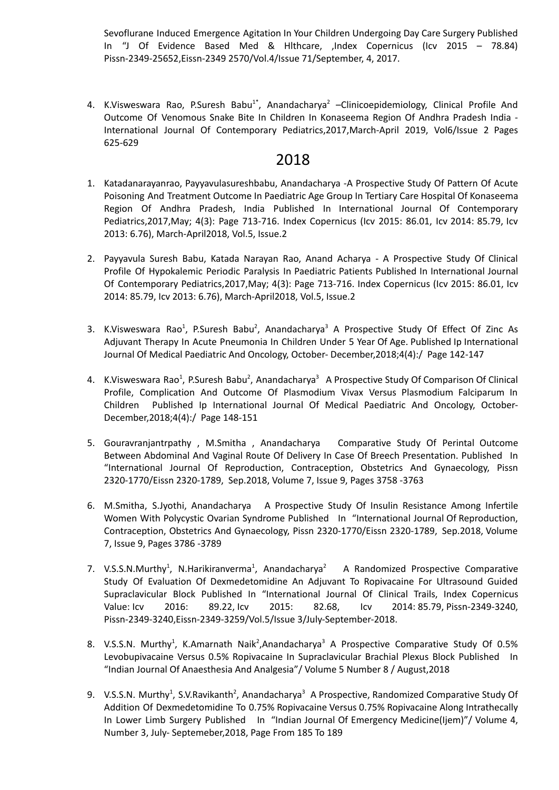Sevoflurane Induced Emergence Agitation In Your Children Undergoing Day Care Surgery Published In "J Of Evidence Based Med & Hlthcare, ,Index Copernicus (Icv 2015 – 78.84) Pissn-2349-25652,Eissn-2349 2570/Vol.4/Issue 71/September, 4, 2017.

4. K.Visweswara Rao, P.Suresh Babu<sup>1\*</sup>, Anandacharya<sup>2</sup> –Clinicoepidemiology, Clinical Profile And Outcome Of Venomous Snake Bite In Children In Konaseema Region Of Andhra Pradesh India - International Journal Of Contemporary Pediatrics,2017,March-April 2019, Vol6/Issue 2 Pages 625-629

- 1. Katadanarayanrao, Payyavulasureshbabu, Anandacharya -A Prospective Study Of Pattern Of Acute Poisoning And Treatment Outcome In Paediatric Age Group In Tertiary Care Hospital Of Konaseema Region Of Andhra Pradesh, India Published In International Journal Of Contemporary Pediatrics,2017,May; 4(3): Page 713-716. Index Copernicus (Icv 2015: 86.01, Icv 2014: 85.79, Icv 2013: 6.76), March-April2018, Vol.5, Issue.2
- 2. Payyavula Suresh Babu, Katada Narayan Rao, Anand Acharya A Prospective Study Of Clinical Profile Of Hypokalemic Periodic Paralysis In Paediatric Patients Published In International Journal Of Contemporary Pediatrics,2017,May; 4(3): Page 713-716. Index Copernicus (Icv 2015: 86.01, Icv 2014: 85.79, Icv 2013: 6.76), March-April2018, Vol.5, Issue.2
- 3. K.Visweswara Rao<sup>1</sup>, P.Suresh Babu<sup>2</sup>, Anandacharya<sup>3</sup> A Prospective Study Of Effect Of Zinc As Adjuvant Therapy In Acute Pneumonia In Children Under 5 Year Of Age. Published Ip International Journal Of Medical Paediatric And Oncology, October- December,2018;4(4):/ Page 142-147
- 4. K.Visweswara Rao<sup>1</sup>, P.Suresh Babu<sup>2</sup>, Anandacharya<sup>3</sup> A Prospective Study Of Comparison Of Clinical Profile, Complication And Outcome Of Plasmodium Vivax Versus Plasmodium Falciparum In Children Published Ip International Journal Of Medical Paediatric And Oncology, October-December,2018;4(4):/ Page 148-151
- 5. Gouravranjantrpathy , M.Smitha , Anandacharya Comparative Study Of Perintal Outcome Between Abdominal And Vaginal Route Of Delivery In Case Of Breech Presentation. Published In "International Journal Of Reproduction, Contraception, Obstetrics And Gynaecology, Pissn 2320-1770/Eissn 2320-1789, Sep.2018, Volume 7, Issue 9, Pages 3758 -3763
- 6. M.Smitha, S.Jyothi, Anandacharya A Prospective Study Of Insulin Resistance Among Infertile Women With Polycystic Ovarian Syndrome Published In "International Journal Of Reproduction, Contraception, Obstetrics And Gynaecology, Pissn 2320-1770/Eissn 2320-1789, Sep.2018, Volume 7, Issue 9, Pages 3786 -3789
- 7. V.S.S.N.Murthy<sup>1</sup>, N.Harikiranverma<sup>1</sup>, Anandacharya<sup>5</sup> <sup>2</sup> A Randomized Prospective Comparative Study Of Evaluation Of Dexmedetomidine An Adjuvant To Ropivacaine For Ultrasound Guided Supraclavicular Block Published In "International Journal Of Clinical Trails, Index [Copernicus](https://journals.indexcopernicus.com/search/details?id=31395) [Value:](https://journals.indexcopernicus.com/search/details?id=31395) Icv 2016: 89.22, Icv 2015: 82.68, Icv 2014: 85.79, Pissn-2349-3240, Pissn-2349-3240,Eissn-2349-3259/Vol.5/Issue 3/July-September-2018.
- 8. V.S.S.N. Murthy<sup>1</sup>, K.Amarnath Naik<sup>2</sup>,Anandacharya<sup>3</sup> A Prospective Comparative Study Of 0.5% Levobupivacaine Versus 0.5% Ropivacaine In Supraclavicular Brachial Plexus Block Published In "Indian Journal Of Anaesthesia And Analgesia"/ Volume 5 Number 8 / August,2018
- 9. V.S.S.N. Murthy<sup>1</sup>, S.V.Ravikanth<sup>2</sup>, Anandacharya<sup>3</sup> A Prospective, Randomized Comparative Study Of Addition Of Dexmedetomidine To 0.75% Ropivacaine Versus 0.75% Ropivacaine Along Intrathecally In Lower Limb Surgery Published In "Indian Journal Of Emergency Medicine(Ijem)"/ Volume 4, Number 3, July- Septemeber,2018, Page From 185 To 189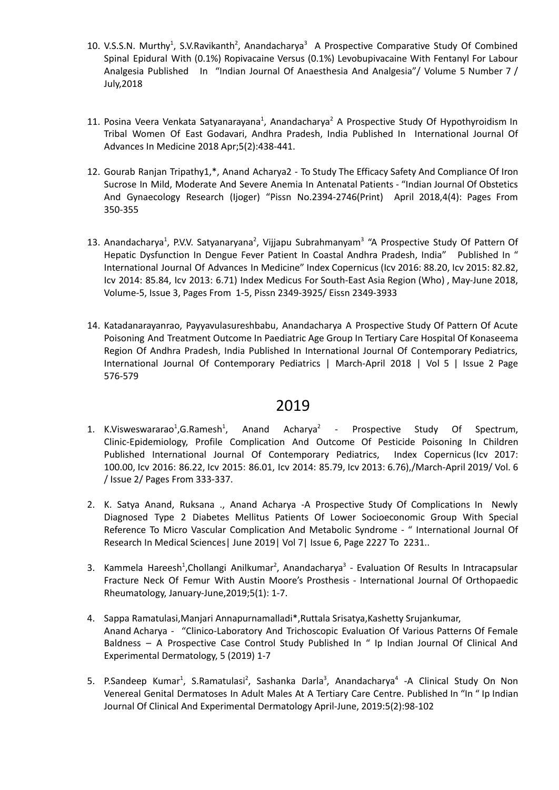- 10. V.S.S.N. Murthy<sup>1</sup>, S.V.Ravikanth<sup>2</sup>, Anandacharya<sup>3</sup> A Prospective Comparative Study Of Combined Spinal Epidural With (0.1%) Ropivacaine Versus (0.1%) Levobupivacaine With Fentanyl For Labour Analgesia Published In "Indian Journal Of Anaesthesia And Analgesia"/ Volume 5 Number 7 / July,2018
- 11. Posina Veera Venkata Satyanarayana<sup>1</sup>, Anandacharya<sup>2</sup> A Prospective Study Of Hypothyroidism In Tribal Women Of East Godavari, Andhra Pradesh, India Published In International Journal Of Advances In Medicine 2018 Apr;5(2):438-441.
- 12. Gourab Ranjan Tripathy1,\*, Anand Acharya2 To Study The Efficacy Safety And Compliance Of Iron Sucrose In Mild, Moderate And Severe Anemia In Antenatal Patients - "Indian Journal Of Obstetics And Gynaecology Research (Ijoger) "Pissn No.2394-2746(Print) April 2018,4(4): Pages From 350-355
- 13. Anandacharya<sup>1</sup>, P.V.V. Satyanaryana<sup>2</sup>, Vijjapu Subrahmanyam<sup>3</sup> "A Prospective Study Of Pattern Of Hepatic Dysfunction In Dengue Fever Patient In Coastal Andhra Pradesh, India" Published In " International Journal Of Advances In Medicine" Index Copernicus (Icv 2016: 88.20, Icv 2015: 82.82, Icv 2014: 85.84, Icv 2013: 6.71) Index Medicus For South-East Asia Region (Who) , May-June 2018, Volume-5, Issue 3, Pages From 1-5, Pissn 2349-3925/ Eissn 2349-3933
- 14. Katadanarayanrao, Payyavulasureshbabu, Anandacharya A Prospective Study Of Pattern Of Acute Poisoning And Treatment Outcome In Paediatric Age Group In Tertiary Care Hospital Of Konaseema Region Of Andhra Pradesh, India Published In International Journal Of Contemporary Pediatrics, International Journal Of Contemporary Pediatrics | March-April 2018 | Vol 5 | Issue 2 Page 576-579

- 1. K.Visweswararao<sup>1</sup>,G.Ramesh<sup>1</sup>, Anand Acharya<sup>2</sup> Prospective Study Of Spectrum, Clinic-Epidemiology, Profile Complication And Outcome Of Pesticide Poisoning In Children Published International Journal Of Contemporary Pediatrics, Index [Copernicus](https://journals.indexcopernicus.com/search/details?id=31394) (Icv [2017:](https://journals.indexcopernicus.com/search/details?id=31394) [100.00,](https://journals.indexcopernicus.com/search/details?id=31394) Icv 2016: 86.22, Icv 2015: 86.01, Icv 2014: 85.79, Icv 2013: 6.76),/March-April 2019/ Vol. 6 / Issue 2/ Pages From 333-337.
- 2. K. Satya Anand, Ruksana ., Anand Acharya -A Prospective Study Of Complications In Newly Diagnosed Type 2 Diabetes Mellitus Patients Of Lower Socioeconomic Group With Special Reference To Micro Vascular Complication And Metabolic Syndrome - " International Journal Of Research In Medical Sciences| June 2019| Vol 7| Issue 6, Page 2227 To 2231..
- 3. Kammela Hareesh<sup>1</sup>, Chollangi Anilkumar<sup>2</sup>, Anandacharya<sup>3</sup> Evaluation Of Results In Intracapsular Fracture Neck Of Femur With Austin Moore's Prosthesis - International Journal Of Orthopaedic Rheumatology, January-June,2019;5(1): 1-7.
- 4. Sappa Ramatulasi,Manjari Annapurnamalladi\*,Ruttala Srisatya,Kashetty Srujankumar, Anand Acharya - "Clinico-Laboratory And Trichoscopic Evaluation Of Various Patterns Of Female Baldness – A Prospective Case Control Study Published In " Ip Indian Journal Of Clinical And Experimental Dermatology, 5 (2019) 1-7
- 5. P.Sandeep Kumar<sup>1</sup>, S.Ramatulasi<sup>2</sup>, Sashanka Darla<sup>3</sup>, Anandacharya<sup>4</sup> -A Clinical Study On Non Venereal Genital Dermatoses In Adult Males At A Tertiary Care Centre. Published In "In " Ip Indian Journal Of Clinical And Experimental Dermatology April-June, 2019:5(2):98-102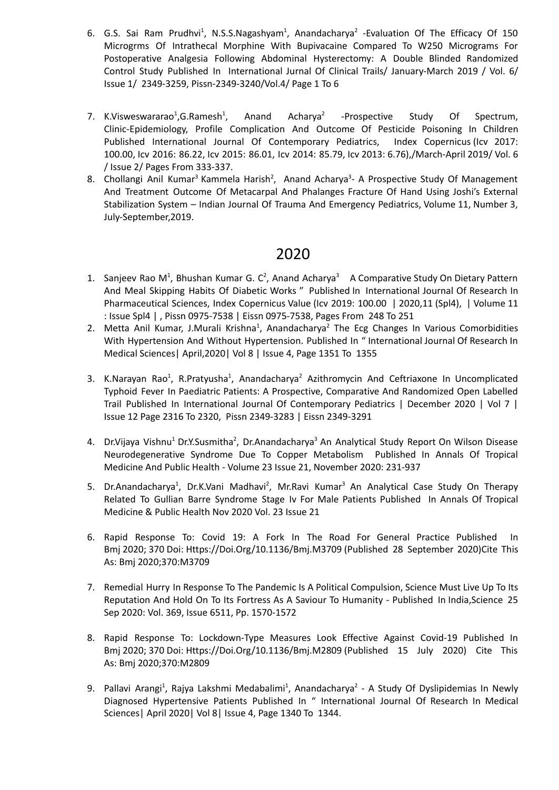- 6. G.S. Sai Ram Prudhvi<sup>1</sup>, N.S.S.Nagashyam<sup>1</sup>, Anandacharya<sup>2</sup> -Evaluation Of The Efficacy Of 150 Microgrms Of Intrathecal Morphine With Bupivacaine Compared To W250 Micrograms For Postoperative Analgesia Following Abdominal Hysterectomy: A Double Blinded Randomized Control Study Published In International Jurnal Of Clinical Trails/ January-March 2019 / Vol. 6/ Issue 1/ 2349-3259, Pissn-2349-3240/Vol.4/ Page 1 To 6
- 7. K.Visweswararao<sup>1</sup>, G. Ramesh<sup>1</sup>, , Anand Acharya 2 -Prospective Study Of Spectrum, Clinic-Epidemiology, Profile Complication And Outcome Of Pesticide Poisoning In Children Published International Journal Of Contemporary Pediatrics, Index [Copernicus](https://journals.indexcopernicus.com/search/details?id=31394) (Icv [2017:](https://journals.indexcopernicus.com/search/details?id=31394) [100.00,](https://journals.indexcopernicus.com/search/details?id=31394) Icv 2016: 86.22, Icv 2015: 86.01, Icv 2014: 85.79, Icv 2013: 6.76),/March-April 2019/ Vol. 6 / Issue 2/ Pages From 333-337.
- 8. Chollangi Anil Kumar<sup>3</sup> Kammela Harish<sup>2</sup>, Anand Acharya<sup>3</sup>- A Prospective Study Of Management And Treatment Outcome Of Metacarpal And Phalanges Fracture Of Hand Using Joshi's External Stabilization System – Indian Journal Of Trauma And Emergency Pediatrics, Volume 11, Number 3, July-September,2019.

- 1. Sanjeev Rao M<sup>1</sup>, Bhushan Kumar G. C<sup>2</sup>, Anand Acharya<sup>3</sup> A Comparative Study On Dietary Pattern And Meal Skipping Habits Of Diabetic Works " Published In International Journal Of Research In Pharmaceutical Sciences, Index Copernicus Value (Icv 2019: 100.00 | 2020,11 (Spl4), | [Volume](https://pharmascope.org/ijrps/issue/view/53) 11 : [Issue](https://pharmascope.org/ijrps/issue/view/53) Spl4 | , Pissn 0975-7538 | Eissn 0975-7538, Pages From 248 To 251
- 2. Metta Anil Kumar, J.Murali Krishna<sup>1</sup>, Anandacharya<sup>2</sup> The Ecg Changes In Various Comorbidities With Hypertension And Without Hypertension. Published In " International Journal Of Research In Medical Sciences| April,2020| Vol 8 | Issue 4, Page 1351 To 1355
- 3. K.Narayan Rao<sup>1</sup>, R.Pratyusha<sup>1</sup>, Anandacharya<sup>2</sup> Azithromycin And Ceftriaxone In Uncomplicated Typhoid Fever In Paediatric Patients: A Prospective, Comparative And Randomized Open Labelled Trail Published In International Journal Of Contemporary Pediatrics | December 2020 | Vol 7 | Issue 12 Page 2316 To 2320, Pissn 2349-3283 | Eissn 2349-3291
- 4. Dr.Vijaya Vishnu<sup>1</sup> Dr.Y.Susmitha<sup>2</sup>, Dr.Anandacharya<sup>3</sup> An Analytical Study Report On Wilson Disease Neurodegenerative Syndrome Due To Copper Metabolism Published In Annals Of Tropical Medicine And Public Health - Volume 23 Issue 21, November 2020: 231-937
- 5. Dr.Anandacharya<sup>1</sup>, Dr.K.Vani Madhavi<sup>2</sup>, Mr.Ravi Kumar<sup>3</sup> An Analytical Case Study On Therapy Related To Gullian Barre Syndrome Stage Iv For Male Patients Published In Annals Of Tropical Medicine & Public Health Nov 2020 Vol. 23 Issue 21
- 6. Rapid Response To: Covid 19: A Fork In The Road For General Practice Published In Bmj 2020; 370 Doi: [Https://Doi.Org/10.1136/Bmj.M3709](https://doi.org/10.1136/bmj.m3709) (Published 28 September 2020)Cite This As: Bmj 2020;370:M3709
- 7. Remedial Hurry In Response To The Pandemic Is A Political Compulsion, Science Must Live Up To Its Reputation And Hold On To Its Fortress As A Saviour To Humanity - Published In India,Science 25 Sep 2020: Vol. 369, Issue 6511, Pp. 1570-1572
- 8. Rapid Response To: Lockdown-Type Measures Look Effective Against Covid-19 Published In Bmj 2020; 370 Doi: [Https://Doi.Org/10.1136/Bmj.M2809](https://doi.org/10.1136/bmj.m2809) (Published 15 July 2020) Cite This As: Bmj 2020;370:M2809
- 9. Pallavi Arangi<sup>1</sup>, Rajya Lakshmi Medabalimi<sup>1</sup>, Anandacharya<sup>2</sup> A Study Of Dyslipidemias In Newly Diagnosed Hypertensive Patients Published In " International Journal Of Research In Medical Sciences| April 2020| Vol 8| Issue 4, Page 1340 To 1344.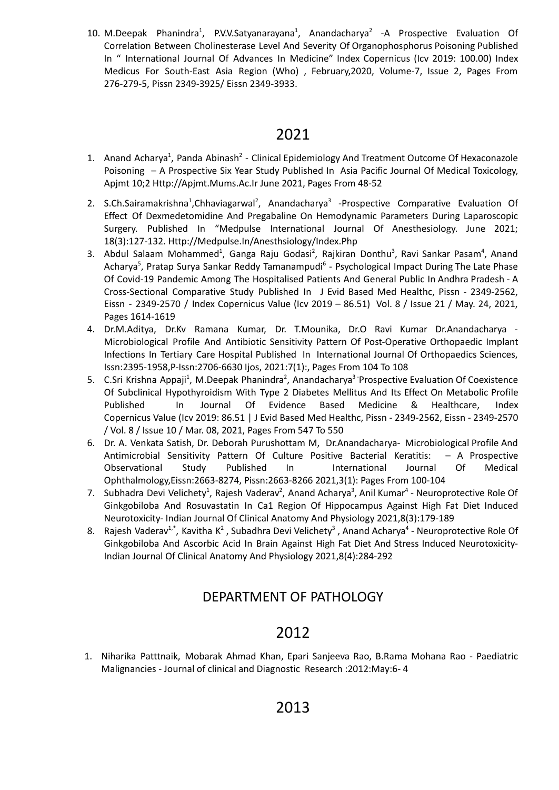10. M.Deepak Phanindra<sup>1</sup>, P.V.V.Satyanarayana<sup>1</sup>, Anandacharya<sup>2</sup> -A Prospective Evaluation Of Correlation Between Cholinesterase Level And Severity Of Organophosphorus Poisoning Published In " International Journal Of Advances In Medicine" Index Copernicus (Icv 2019: 100.00) Index Medicus For South-East Asia Region (Who) , February,2020, Volume-7, Issue 2, Pages From 276-279-5, Pissn 2349-3925/ Eissn 2349-3933.

# 2021

- 1. Anand Acharya<sup>1</sup>, Panda Abinash<sup>2</sup> Clinical Epidemiology And Treatment Outcome Of Hexaconazole Poisoning – A Prospective Six Year Study Published In Asia Pacific Journal Of Medical Toxicology, Apjmt 10;2 Http://Apjmt.Mums.Ac.Ir June 2021, Pages From 48-52
- 2. S.Ch.Sairamakrishna<sup>1</sup>, Chhaviagarwal<sup>2</sup>, Anandacharya<sup>3</sup> Prospective Comparative Evaluation Of Effect Of Dexmedetomidine And Pregabaline On Hemodynamic Parameters During Laparoscopic Surgery. Published In "Medpulse International Journal Of Anesthesiology. June 2021; 18(3):127-132. [Http://Medpulse.In/Anesthsiology/Index.Php](http://medpulse.in/Anesthsiology/index.php)
- 3. Abdul Salaam Mohammed<sup>1</sup>, Ganga Raju Godasi<sup>2</sup>, Rajkiran Donthu<sup>3</sup>, Ravi Sankar Pasam<sup>4</sup>, Anand Acharya<sup>5</sup>, Pratap Surya Sankar Reddy Tamanampudi<sup>6</sup> - Psychological Impact During The Late Phase Of Covid-19 Pandemic Among The Hospitalised Patients And General Public In Andhra Pradesh - A Cross-Sectional Comparative Study Published In J Evid Based Med Healthc, Pissn - 2349-2562, Eissn - 2349-2570 / Index Copernicus Value (Icv 2019 – 86.51) Vol. 8 / Issue 21 / May. 24, 2021, Pages 1614-1619
- 4. Dr.M.Aditya, Dr.Kv Ramana Kumar, Dr. T.Mounika, Dr.O Ravi Kumar Dr.Anandacharya Microbiological Profile And Antibiotic Sensitivity Pattern Of Post-Operative Orthopaedic Implant Infections In Tertiary Care Hospital Published In International Journal Of Orthopaedics Sciences, Issn:2395-1958,P-Issn:2706-6630 Ijos, 2021:7(1):, Pages From 104 To 108
- 5. C.Sri Krishna Appaji<sup>1</sup>, M.Deepak Phanindra<sup>2</sup>, Anandacharya<sup>3</sup> Prospective Evaluation Of Coexistence Of Subclinical Hypothyroidism With Type 2 Diabetes Mellitus And Its Effect On Metabolic Profile Published In Journal Of Evidence Based Medicine & Healthcare, Index Copernicus Value (Icv 2019: 86.51 | J Evid Based Med Healthc, Pissn - 2349-2562, Eissn - 2349-2570 / Vol. 8 / Issue 10 / Mar. 08, 2021, Pages From 547 To 550
- 6. Dr. A. Venkata Satish, Dr. Deborah Purushottam M, Dr.Anandacharya- Microbiological Profile And Antimicrobial Sensitivity Pattern Of Culture Positive Bacterial Keratitis: – A Prospective Observational Study Published In International Journal Of Medical Ophthalmology,Eissn:2663-8274, Pissn:2663-8266 2021,3(1): Pages From 100-104
- 7. Subhadra Devi Velichety<sup>1</sup>, Rajesh Vaderav<sup>2</sup>, Anand Acharya<sup>3</sup>, Anil Kumar<sup>4</sup> Neuroprotective Role Of Ginkgobiloba And Rosuvastatin In Ca1 Region Of Hippocampus Against High Fat Diet Induced Neurotoxicity- Indian Journal Of Clinical Anatomy And Physiology 2021,8(3):179-189
- 8. Rajesh Vaderav<sup>1,\*</sup>, Kavitha K<sup>2</sup>, Subadhra Devi Velichety<sup>3</sup>, Anand Acharya<sup>4</sup> Neuroprotective Role Of Ginkgobiloba And Ascorbic Acid In Brain Against High Fat Diet And Stress Induced Neurotoxicity-Indian Journal Of Clinical Anatomy And Physiology 2021,8(4):284-292

# DEPARTMENT OF PATHOLOGY

# 2012

1. Niharika Patttnaik, Mobarak Ahmad Khan, Epari Sanjeeva Rao, B.Rama Mohana Rao - Paediatric Malignancies - Journal of clinical and Diagnostic Research :2012:May:6- 4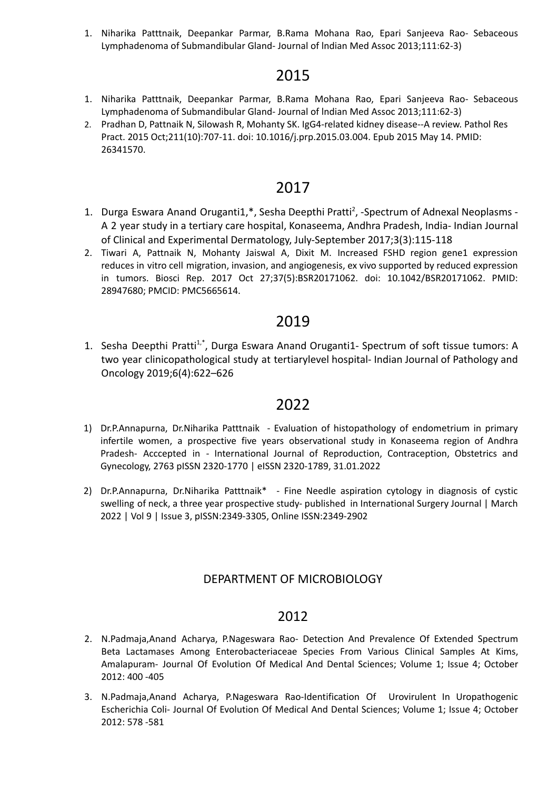1. Niharika Patttnaik, Deepankar Parmar, B.Rama Mohana Rao, Epari Sanjeeva Rao- Sebaceous Lymphadenoma of Submandibular Gland- Journal of lndian Med Assoc 2013;111:62-3)

# 2015

- 1. Niharika Patttnaik, Deepankar Parmar, B.Rama Mohana Rao, Epari Sanjeeva Rao- Sebaceous Lymphadenoma of Submandibular Gland- Journal of lndian Med Assoc 2013;111:62-3)
- 2. Pradhan D, Pattnaik N, Silowash R, Mohanty SK. IgG4-related kidney disease--A review. Pathol Res Pract. 2015 Oct;211(10):707-11. doi: 10.1016/j.prp.2015.03.004. Epub 2015 May 14. PMID: 26341570.

# 2017

- 1. Durga Eswara Anand Oruganti1,\*, Sesha Deepthi Pratti<sup>2</sup>, -Spectrum of Adnexal Neoplasms -A 2 year study in a tertiary care hospital, Konaseema, Andhra Pradesh, India- Indian Journal of Clinical and Experimental Dermatology, July-September 2017;3(3):115-118
- 2. Tiwari A, Pattnaik N, Mohanty Jaiswal A, Dixit M. Increased FSHD region gene1 expression reduces in vitro cell migration, invasion, and angiogenesis, ex vivo supported by reduced expression in tumors. Biosci Rep. 2017 Oct 27;37(5):BSR20171062. doi: 10.1042/BSR20171062. PMID: 28947680; PMCID: PMC5665614.

# 2019

1. Sesha Deepthi Pratti<sup>1,\*</sup>, Durga Eswara Anand Oruganti1- Spectrum of soft tissue tumors: A two year clinicopathological study at tertiarylevel hospital- Indian Journal of Pathology and Oncology 2019;6(4):622–626

# 2022

- 1) Dr.P.Annapurna, Dr.Niharika Patttnaik Evaluation of histopathology of endometrium in primary infertile women, a prospective five years observational study in Konaseema region of Andhra Pradesh- Acccepted in - International Journal of Reproduction, Contraception, Obstetrics and Gynecology, 2763 pISSN 2320-1770 | eISSN 2320-1789, 31.01.2022
- 2) Dr.P.Annapurna, Dr.Niharika Patttnaik\* Fine Needle aspiration cytology in diagnosis of cystic swelling of neck, a three year prospective study- published in International Surgery Journal | March 2022 | Vol 9 | Issue 3, pISSN:2349-3305, Online ISSN:2349-2902

### DEPARTMENT OF MICROBIOLOGY

- 2. N.Padmaja,Anand Acharya, P.Nageswara Rao- Detection And Prevalence Of Extended Spectrum Beta Lactamases Among Enterobacteriaceae Species From Various Clinical Samples At Kims, Amalapuram- Journal Of Evolution Of Medical And Dental Sciences; Volume 1; Issue 4; October 2012: 400 -405
- 3. N.Padmaja,Anand Acharya, P.Nageswara Rao-Identification Of Urovirulent In Uropathogenic Escherichia Coli- Journal Of Evolution Of Medical And Dental Sciences; Volume 1; Issue 4; October 2012: 578 -581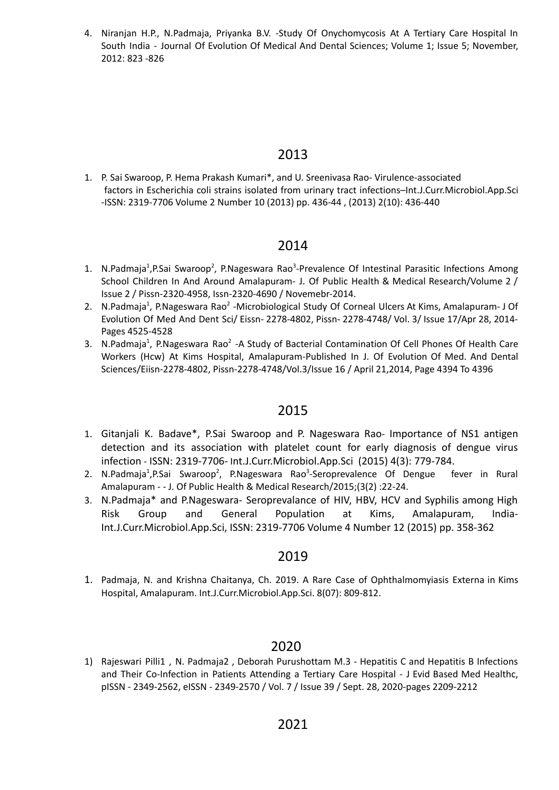4. Niranjan H.P., N.Padmaja, Priyanka B.V. -Study Of Onychomycosis At A Tertiary Care Hospital In South India - Journal Of Evolution Of Medical And Dental Sciences; Volume 1; Issue 5; November, 2012: 823 -826

## 2013

1. P. Sai Swaroop, P. Hema Prakash Kumari\*, and U. Sreenivasa Rao- Virulence-associated factors in Escherichia coli strains isolated from urinary tract infections–Int.J.Curr.Microbiol.App.Sci -ISSN: 2319-7706 Volume 2 Number 10 (2013) pp. 436-44 , (2013) 2(10): 436-440

## 2014

- 1. N.Padmaja<sup>1</sup>,P.Sai Swaroop<sup>2</sup>, P.Nageswara Rao<sup>3</sup>-Prevalence Of Intestinal Parasitic Infections Among School Children In And Around Amalapuram- J. Of Public Health & Medical Research/Volume 2 / Issue 2 / Pissn-2320-4958, Issn-2320-4690 / Novemebr-2014.
- 2. N.Padmaja<sup>1</sup>, P.Nageswara Rao<sup>2</sup> -Microbiological Study Of Corneal Ulcers At Kims, Amalapuram- J Of Evolution Of Med And Dent Sci/ Eissn- 2278-4802, Pissn- 2278-4748/ Vol. 3/ Issue 17/Apr 28, 2014- Pages 4525-4528
- 3. N.Padmaja<sup>1</sup>, P.Nageswara Rao<sup>2</sup> -A Study of Bacterial Contamination Of Cell Phones Of Health Care Workers (Hcw) At Kims Hospital, Amalapuram-Published In J. Of Evolution Of Med. And Dental Sciences/Eiisn-2278-4802, Pissn-2278-4748/Vol.3/Issue 16 / April 21,2014, Page 4394 To 4396

## 2015

- 1. Gitanjali K. Badave\*, P.Sai Swaroop and P. Nageswara Rao- Importance of NS1 antigen detection and its association with platelet count for early diagnosis of dengue virus infection - ISSN: 2319-7706- Int.J.Curr.Microbiol.App.Sci (2015) 4(3): 779-784.
- 2. N.Padmaja<sup>1</sup>,P.Sai Swaroop<sup>2</sup>, P.Nageswara Rao<sup>3</sup>-Seroprevalence Of Dengue fever in Rural Amalapuram - - J. Of Public Health & Medical Research/2015;(3(2) :22-24.
- 3. N.Padmaja\* and P.Nageswara- Seroprevalance of HIV, HBV, HCV and Syphilis among High Risk Group and General Population at Kims, Amalapuram, India-Int.J.Curr.Microbiol.App.Sci, ISSN: 2319-7706 Volume 4 Number 12 (2015) pp. 358-362

## 2019

1. Padmaja, N. and Krishna Chaitanya, Ch. 2019. A Rare Case of Ophthalmomyiasis Externa in Kims Hospital, Amalapuram. Int.J.Curr.Microbiol.App.Sci. 8(07): 809-812.

## 2020

1) Rajeswari Pilli1 , N. Padmaja2 , Deborah Purushottam M.3 - Hepatitis C and Hepatitis B Infections and Their Co-Infection in Patients Attending a Tertiary Care Hospital - J Evid Based Med Healthc, pISSN - 2349-2562, eISSN - 2349-2570 / Vol. 7 / Issue 39 / Sept. 28, 2020-pages 2209-2212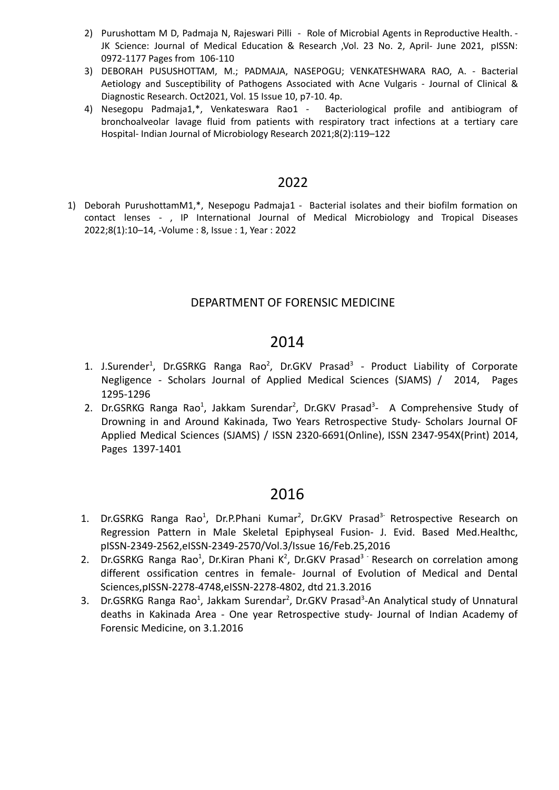- 2) Purushottam M D, Padmaja N, Rajeswari Pilli Role of Microbial Agents in Reproductive Health. -JK Science: Journal of Medical Education & Research , Vol. 23 No. 2, April- June 2021, pISSN: 0972-1177 Pages from 106-110
- 3) DEBORAH PUSUSHOTTAM, M.; PADMAJA, NASEPOGU; VENKATESHWARA RAO, A. Bacterial Aetiology and Susceptibility of Pathogens Associated with Acne Vulgaris - Journal of Clinical & Diagnostic Research. Oct2021, Vol. 15 Issue 10, p7-10. 4p.
- 4) Nesegopu Padmaja1,\*, Venkateswara Rao1 Bacteriological profile and antibiogram of bronchoalveolar lavage fluid from patients with respiratory tract infections at a tertiary care Hospital- Indian Journal of Microbiology Research 2021;8(2):119–122

1) Deborah PurushottamM1,\*, Nesepogu Padmaja1 - Bacterial isolates and their biofilm formation on contact lenses - , IP International Journal of Medical Microbiology and Tropical Diseases 2022;8(1):10–14, -Volume : 8, Issue : 1, Year : 2022

### DEPARTMENT OF FORENSIC MEDICINE

# 2014

- 1. J.Surender<sup>1</sup>, Dr.GSRKG Ranga Rao<sup>2</sup>, Dr.GKV Prasad<sup>3</sup> Product Liability of Corporate Negligence - Scholars Journal of Applied Medical Sciences (SJAMS) / 2014, Pages 1295-1296
- 2. Dr.GSRKG Ranga Rao<sup>1</sup>, Jakkam Surendar<sup>2</sup>, Dr.GKV Prasad<sup>3</sup>- A Comprehensive Study of Drowning in and Around Kakinada, Two Years Retrospective Study- Scholars Journal OF Applied Medical Sciences (SJAMS) / ISSN 2320-6691(Online), ISSN 2347-954X(Print) 2014, Pages 1397-1401

- 1. Dr.GSRKG Ranga Rao<sup>1</sup>, Dr.P.Phani Kumar<sup>2</sup>, Dr.GKV Prasad<sup>3-</sup> Retrospective Research on Regression Pattern in Male Skeletal Epiphyseal Fusion- J. Evid. Based Med.Healthc, pISSN-2349-2562,eISSN-2349-2570/Vol.3/Issue 16/Feb.25,2016
- 2. Dr.GSRKG Ranga Rao<sup>1</sup>, Dr.Kiran Phani K<sup>2</sup>, Dr.GKV Prasad<sup>3</sup> Research on correlation among different ossification centres in female- Journal of Evolution of Medical and Dental Sciences,pISSN-2278-4748,eISSN-2278-4802, dtd 21.3.2016
- 3. Dr.GSRKG Ranga Rao<sup>1</sup>, Jakkam Surendar<sup>2</sup>, Dr.GKV Prasad<sup>3</sup>-An Analytical study of Unnatural deaths in Kakinada Area - One year Retrospective study- Journal of Indian Academy of Forensic Medicine, on 3.1.2016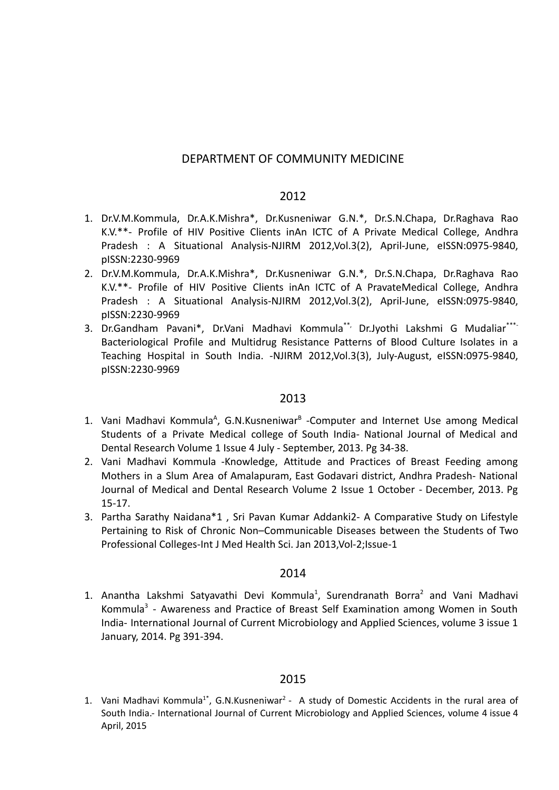#### DEPARTMENT OF COMMUNITY MEDICINE

#### 2012

- 1. Dr.V.M.Kommula, Dr.A.K.Mishra\*, Dr.Kusneniwar G.N.\*, Dr.S.N.Chapa, Dr.Raghava Rao K.V.\*\*- Profile of HIV Positive Clients inAn ICTC of A Private Medical College, Andhra Pradesh : A Situational Analysis-NJIRM 2012,Vol.3(2), April-June, eISSN:0975-9840, pISSN:2230-9969
- 2. Dr.V.M.Kommula, Dr.A.K.Mishra\*, Dr.Kusneniwar G.N.\*, Dr.S.N.Chapa, Dr.Raghava Rao K.V.\*\*- Profile of HIV Positive Clients inAn ICTC of A PravateMedical College, Andhra Pradesh : A Situational Analysis-NJIRM 2012,Vol.3(2), April-June, eISSN:0975-9840, pISSN:2230-9969
- 3. Dr.Gandham Pavani\*, Dr.Vani Madhavi Kommula\*\*, Dr.Jyothi Lakshmi G Mudaliar\*\*\*- Bacteriological Profile and Multidrug Resistance Patterns of Blood Culture Isolates in a Teaching Hospital in South India. -NJIRM 2012,Vol.3(3), July-August, eISSN:0975-9840, pISSN:2230-9969

#### 2013

- 1. Vani Madhavi Kommula<sup>A</sup>, G.N.Kusneniwar<sup>B</sup> -Computer and Internet Use among Medical Students of a Private Medical college of South India- National Journal of Medical and Dental Research Volume 1 Issue 4 July - September, 2013. Pg 34-38.
- 2. Vani Madhavi Kommula -Knowledge, Attitude and Practices of Breast Feeding among Mothers in a Slum Area of Amalapuram, East Godavari district, Andhra Pradesh- National Journal of Medical and Dental Research Volume 2 Issue 1 October - December, 2013. Pg 15-17.
- 3. Partha Sarathy Naidana\*1 , Sri Pavan Kumar Addanki2- A Comparative Study on Lifestyle Pertaining to Risk of Chronic Non–Communicable Diseases between the Students of Two Professional Colleges-Int J Med Health Sci. Jan 2013,Vol-2;Issue-1

#### 2014

1. Anantha Lakshmi Satyavathi Devi Kommula<sup>1</sup>, Surendranath Borra<sup>2</sup> and Vani Madhavi Kommula<sup>3</sup> - Awareness and Practice of Breast Self Examination among Women in South India- International Journal of Current Microbiology and Applied Sciences, volume 3 issue 1 January, 2014. Pg 391-394.

#### 2015

1. Vani Madhavi Kommula<sup>1\*</sup>, G.N.Kusneniwar<sup>2</sup> - A study of Domestic Accidents in the rural area of South India.- International Journal of Current Microbiology and Applied Sciences, volume 4 issue 4 April, 2015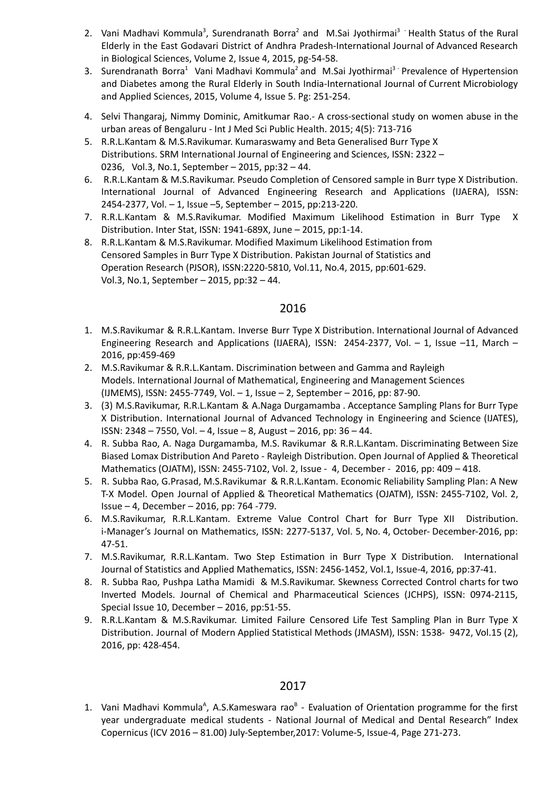- 2. Vani Madhavi Kommula<sup>3</sup>, Surendranath Borra<sup>2</sup> and M.Sai Jyothirmai<sup>3</sup> Health Status of the Rural Elderly in the East Godavari District of Andhra Pradesh-International Journal of Advanced Research in Biological Sciences, Volume 2, Issue 4, 2015, pg-54-58.
- 3. Surendranath Borra<sup>1</sup> Vani Madhavi Kommula<sup>2</sup> and M.Sai Jyothirmai<sup>3 -</sup> Prevalence of Hypertension and Diabetes among the Rural Elderly in South India-International Journal of Current Microbiology and Applied Sciences, 2015, Volume 4, Issue 5. Pg: 251-254.
- 4. Selvi Thangaraj, Nimmy Dominic, Amitkumar Rao.- A cross-sectional study on women abuse in the urban areas of Bengaluru - Int J Med Sci Public [Health](https://www.bibliomed.org/?jtt=2320-4664). 2015; 4(5): 713-716
- 5. R.R.L.Kantam & M.S.Ravikumar. Kumaraswamy and Beta Generalised Burr Type X Distributions. SRM International Journal of Engineering and Sciences, ISSN: 2322 – 0236, Vol.3, No.1, September – 2015, pp:32 – 44.
- 6. R.R.L.Kantam & M.S.Ravikumar. Pseudo Completion of Censored sample in Burr type X Distribution. International Journal of Advanced Engineering Research and Applications (IJAERA), ISSN: 2454-2377, Vol. – 1, Issue –5, September – 2015, pp:213-220.
- 7. R.R.L.Kantam & M.S.Ravikumar. Modified Maximum Likelihood Estimation in Burr Type X Distribution. Inter Stat, ISSN: 1941-689X, June – 2015, pp:1-14.
- 8. R.R.L.Kantam & M.S.Ravikumar. Modified Maximum Likelihood Estimation from Censored Samples in Burr Type X Distribution. Pakistan Journal of Statistics and Operation Research (PJSOR), ISSN:2220-5810, Vol.11, No.4, 2015, pp:601-629. Vol.3, No.1, September – 2015, pp:32 – 44.

- 1. M.S.Ravikumar & R.R.L.Kantam. Inverse Burr Type X Distribution. International Journal of Advanced Engineering Research and Applications (IJAERA), ISSN: 2454-2377, Vol. - 1, Issue -11, March -2016, pp:459-469
- 2. M.S.Ravikumar & R.R.L.Kantam. Discrimination between and Gamma and Rayleigh Models. International Journal of Mathematical, Engineering and Management Sciences (IJMEMS), ISSN: 2455-7749, Vol. – 1, Issue – 2, September – 2016, pp: 87-90.
- 3. (3) M.S.Ravikumar, R.R.L.Kantam & A.Naga Durgamamba . Acceptance Sampling Plans for Burr Type X Distribution. International Journal of Advanced Technology in Engineering and Science (IJATES), ISSN: 2348 – 7550, Vol. – 4, Issue – 8, August – 2016, pp: 36 – 44.
- 4. R. Subba Rao, A. Naga Durgamamba, M.S. Ravikumar & R.R.L.Kantam. Discriminating Between Size Biased Lomax Distribution And Pareto - Rayleigh Distribution. Open Journal of Applied & Theoretical Mathematics (OJATM), ISSN: 2455-7102, Vol. 2, Issue - 4, December - 2016, pp: 409 – 418.
- 5. R. Subba Rao, G.Prasad, M.S.Ravikumar & R.R.L.Kantam. Economic Reliability Sampling Plan: A New T-X Model. Open Journal of Applied & Theoretical Mathematics (OJATM), ISSN: 2455-7102, Vol. 2, Issue – 4, December – 2016, pp: 764 -779.
- 6. M.S.Ravikumar, R.R.L.Kantam. Extreme Value Control Chart for Burr Type XII Distribution. i-Manager's Journal on Mathematics, ISSN: 2277-5137, Vol. 5, No. 4, October- December-2016, pp: 47-51.
- 7. M.S.Ravikumar, R.R.L.Kantam. Two Step Estimation in Burr Type X Distribution. International Journal of Statistics and Applied Mathematics, ISSN: 2456-1452, Vol.1, Issue-4, 2016, pp:37-41.
- 8. R. Subba Rao, Pushpa Latha Mamidi & M.S.Ravikumar. Skewness Corrected Control charts for two Inverted Models. Journal of Chemical and Pharmaceutical Sciences (JCHPS), ISSN: 0974-2115, Special Issue 10, December – 2016, pp:51-55.
- 9. R.R.L.Kantam & M.S.Ravikumar. Limited Failure Censored Life Test Sampling Plan in Burr Type X Distribution. Journal of Modern Applied Statistical Methods (JMASM), ISSN: 1538- 9472, Vol.15 (2), 2016, pp: 428-454.

#### 2017

1. Vani Madhavi Kommula<sup>A</sup>, A.S.Kameswara rao<sup>B</sup> - Evaluation of Orientation programme for the first year undergraduate medical students - National Journal of Medical and Dental Research" Index Copernicus (ICV 2016 – 81.00) July-September,2017: Volume-5, Issue-4, Page 271-273.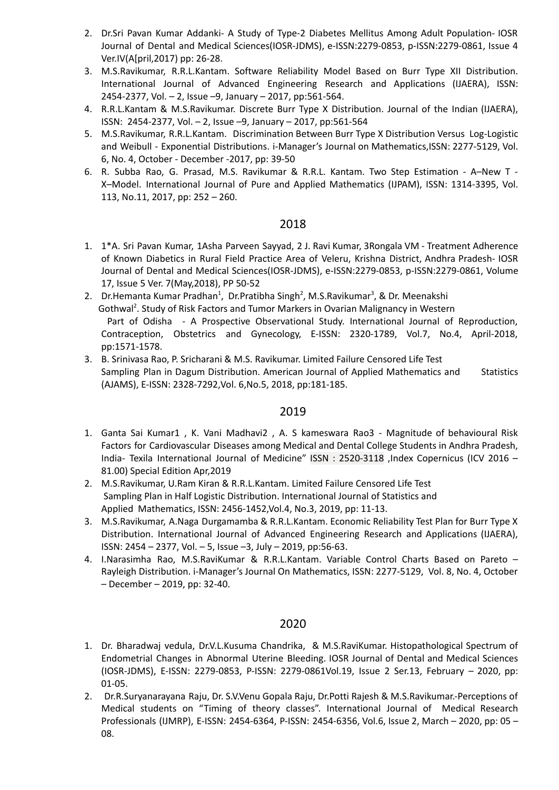- 2. Dr.Sri Pavan Kumar Addanki- A Study of Type-2 Diabetes Mellitus Among Adult Population- IOSR Journal of Dental and Medical Sciences(IOSR-JDMS), e-ISSN:2279-0853, p-ISSN:2279-0861, Issue 4 Ver.IV(A[pril,2017) pp: 26-28.
- 3. M.S.Ravikumar, R.R.L.Kantam. Software Reliability Model Based on Burr Type XII Distribution. International Journal of Advanced Engineering Research and Applications (IJAERA), ISSN: 2454-2377, Vol. – 2, Issue –9, January – 2017, pp:561-564.
- 4. R.R.L.Kantam & M.S.Ravikumar. Discrete Burr Type X Distribution. Journal of the Indian (IJAERA), ISSN: 2454-2377, Vol. – 2, Issue –9, January – 2017, pp:561-564
- 5. M.S.Ravikumar, R.R.L.Kantam. Discrimination Between Burr Type X Distribution Versus Log-Logistic and Weibull - Exponential Distributions. i-Manager's Journal on Mathematics,ISSN: 2277-5129, Vol. 6, No. 4, October - December -2017, pp: 39-50
- 6. R. Subba Rao, G. Prasad, M.S. Ravikumar & R.R.L. Kantam. Two Step Estimation A–New T X–Model. International Journal of Pure and Applied Mathematics (IJPAM), ISSN: 1314-3395, Vol. 113, No.11, 2017, pp: 252 – 260.

- 1. 1\*A. Sri Pavan Kumar, 1Asha Parveen Sayyad, 2 J. Ravi Kumar, 3Rongala VM Treatment Adherence of Known Diabetics in Rural Field Practice Area of Veleru, Krishna District, Andhra Pradesh- IOSR Journal of Dental and Medical Sciences(IOSR-JDMS), e-ISSN:2279-0853, p-ISSN:2279-0861, Volume 17, Issue 5 Ver. 7(May,2018), PP 50-52
- 2. Dr.Hemanta Kumar Pradhan<sup>1</sup>, Dr.Pratibha Singh<sup>2</sup>, M.S.Ravikumar<sup>3</sup>, & Dr. Meenakshi Gothwal<sup>2</sup>. Study of Risk Factors and Tumor Markers in Ovarian Malignancy in Western Part of Odisha - A Prospective Observational Study. International Journal of Reproduction, Contraception, Obstetrics and Gynecology, E-ISSN: 2320-1789, Vol.7, No.4, April-2018, pp:1571-1578.
- 3. B. Srinivasa Rao, P. Sricharani & M.S. Ravikumar. Limited Failure Censored Life Test Sampling Plan in Dagum Distribution. American Journal of Applied Mathematics and Statistics (AJAMS), E-ISSN: 2328-7292,Vol. 6,No.5, 2018, pp:181-185.

#### 2019

- 1. Ganta Sai Kumar1 , K. Vani Madhavi2 , A. S kameswara Rao3 Magnitude of behavioural Risk Factors for Cardiovascular Diseases among Medical and Dental College Students in Andhra Pradesh, India- Texila International Journal of Medicine" ISSN : 2520-3118 ,Index Copernicus (ICV 2016 – 81.00) Special Edition Apr,2019
- 2. M.S.Ravikumar, U.Ram Kiran & R.R.L.Kantam. Limited Failure Censored Life Test Sampling Plan in Half Logistic Distribution. International Journal of Statistics and Applied Mathematics, ISSN: 2456-1452,Vol.4, No.3, 2019, pp: 11-13.
- 3. M.S.Ravikumar, A.Naga Durgamamba & R.R.L.Kantam. Economic Reliability Test Plan for Burr Type X Distribution. International Journal of Advanced Engineering Research and Applications (IJAERA), ISSN: 2454 – 2377, Vol. – 5, Issue –3, July – 2019, pp:56-63.
- 4. I.Narasimha Rao, M.S.RaviKumar & R.R.L.Kantam. Variable Control Charts Based on Pareto Rayleigh Distribution. i-Manager's Journal On Mathematics, ISSN: 2277-5129, Vol. 8, No. 4, October – December – 2019, pp: 32-40.

- 1. Dr. Bharadwaj vedula, Dr.V.L.Kusuma Chandrika, & M.S.RaviKumar. Histopathological Spectrum of Endometrial Changes in Abnormal Uterine Bleeding. IOSR Journal of Dental and Medical Sciences (IOSR-JDMS), E-ISSN: 2279-0853, P-ISSN: 2279-0861Vol.19, Issue 2 Ser.13, February – 2020, pp: 01-05.
- 2. Dr.R.Suryanarayana Raju, Dr. S.V.Venu Gopala Raju, Dr.Potti Rajesh & M.S.Ravikumar.-Perceptions of Medical students on "Timing of theory classes". International Journal of Medical Research Professionals (IJMRP), E-ISSN: 2454-6364, P-ISSN: 2454-6356, Vol.6, Issue 2, March – 2020, pp: 05 – 08.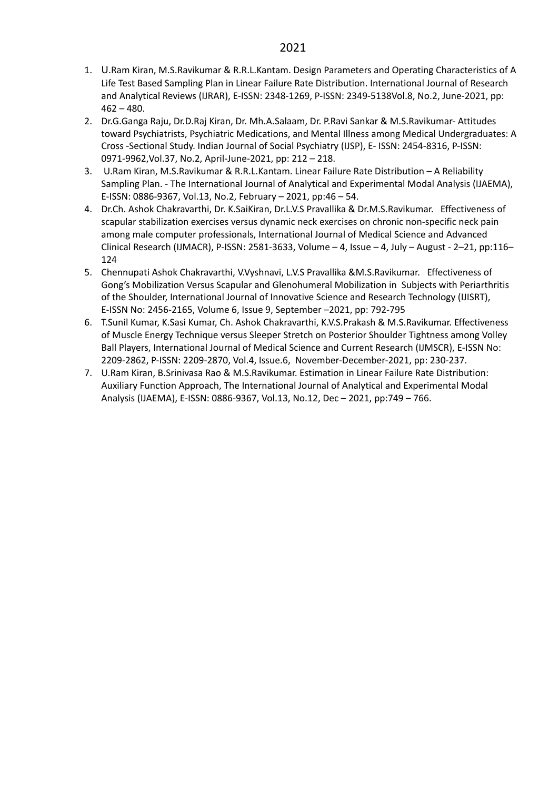- 1. U.Ram Kiran, M.S.Ravikumar & R.R.L.Kantam. Design Parameters and Operating Characteristics of A Life Test Based Sampling Plan in Linear Failure Rate Distribution. International Journal of Research and Analytical Reviews (IJRAR), E-ISSN: 2348-1269, P-ISSN: 2349-5138Vol.8, No.2, June-2021, pp:  $462 - 480.$
- 2. Dr.G.Ganga Raju, Dr.D.Raj Kiran, Dr. Mh.A.Salaam, Dr. P.Ravi Sankar & M.S.Ravikumar- Attitudes toward Psychiatrists, Psychiatric Medications, and Mental Illness among Medical Undergraduates: A Cross -Sectional Study. Indian Journal of Social Psychiatry (IJSP), E- ISSN: 2454-8316, P-ISSN: 0971-9962,Vol.37, No.2, April-June-2021, pp: 212 – 218.
- 3. U.Ram Kiran, M.S.Ravikumar & R.R.L.Kantam. Linear Failure Rate Distribution A Reliability Sampling Plan. - The International Journal of Analytical and Experimental Modal Analysis (IJAEMA), E-ISSN: 0886-9367, Vol.13, No.2, February – 2021, pp:46 – 54.
- 4. Dr.Ch. Ashok Chakravarthi, Dr. K.SaiKiran, Dr.L.V.S Pravallika & Dr.M.S.Ravikumar. Effectiveness of scapular stabilization exercises versus dynamic neck exercises on chronic non-specific neck pain among male computer professionals, International Journal of Medical Science and Advanced Clinical Research (IJMACR), P-ISSN: 2581-3633, Volume – 4, Issue – 4, July – August - 2–21, pp:116– 124
- 5. Chennupati Ashok Chakravarthi, V.Vyshnavi, L.V.S Pravallika &M.S.Ravikumar. Effectiveness of Gong's Mobilization Versus Scapular and Glenohumeral Mobilization in Subjects with Periarthritis of the Shoulder, International Journal of Innovative Science and Research Technology (IJISRT), E-ISSN No: 2456-2165, Volume 6, Issue 9, September –2021, pp: 792-795
- 6. T.Sunil Kumar, K.Sasi Kumar, Ch. Ashok Chakravarthi, K.V.S.Prakash & M.S.Ravikumar. Effectiveness of Muscle Energy Technique versus Sleeper Stretch on Posterior Shoulder Tightness among Volley Ball Players, International Journal of Medical Science and Current Research (IJMSCR), E-ISSN No: 2209-2862, P-ISSN: 2209-2870, Vol.4, Issue.6, November-December-2021, pp: 230-237.
- 7. U.Ram Kiran, B.Srinivasa Rao & M.S.Ravikumar. Estimation in Linear Failure Rate Distribution: Auxiliary Function Approach, The International Journal of Analytical and Experimental Modal Analysis (IJAEMA), E-ISSN: 0886-9367, Vol.13, No.12, Dec – 2021, pp:749 – 766.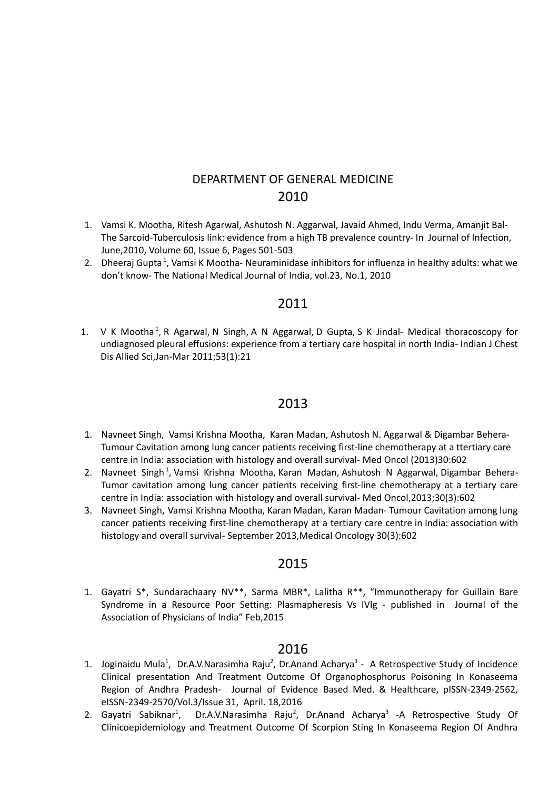## DEPARTMENT OF GENERAL MEDICINE 2010

- 1. Vamsi K. [Mootha,](https://www.journalofinfection.com/article/S0163-4453(10)00078-2/fulltext) Ritesh [Agarwal,](https://www.journalofinfection.com/article/S0163-4453(10)00078-2/fulltext) [Ashutosh](https://www.journalofinfection.com/article/S0163-4453(10)00078-2/fulltext) N. Aggarwal, Javaid [Ahmed,](https://www.journalofinfection.com/article/S0163-4453(10)00078-2/fulltext) Indu [Verma,](https://www.journalofinfection.com/article/S0163-4453(10)00078-2/fulltext) [Amanjit](https://www.journalofinfection.com/article/S0163-4453(10)00078-2/fulltext) Bal-The Sarcoid-Tuberculosis link: evidence from a high TB prevalence country- In Journal of Infection, June,2010, Volume 60, Issue 6, Pages 501-503
- 2. [Dheeraj](https://pubmed.ncbi.nlm.nih.gov/?term=Gupta+D&cauthor_id=20839590) Gupta<sup>[1](https://pubmed.ncbi.nlm.nih.gov/20839590/#affiliation-1)</sup>, Vamsi K [Mootha-](https://pubmed.ncbi.nlm.nih.gov/?term=Mootha+VK&cauthor_id=20839590) Neuraminidase inhibitors for influenza in healthy adults: what we don't know- The National Medical Journal of India, vol.23, No.1, 2010

#### 2011

1. V K [Mootha](https://pubmed.ncbi.nlm.nih.gov/?term=Mootha+VK&cauthor_id=21446220)<sup>[1](https://pubmed.ncbi.nlm.nih.gov/21446220/#affiliation-1)</sup>, R [Agarwal](https://pubmed.ncbi.nlm.nih.gov/?term=Agarwal+R&cauthor_id=21446220), N [Singh,](https://pubmed.ncbi.nlm.nih.gov/?term=Singh+N&cauthor_id=21446220) A N [Aggarwal,](https://pubmed.ncbi.nlm.nih.gov/?term=Aggarwal+AN&cauthor_id=21446220) D [Gupta,](https://pubmed.ncbi.nlm.nih.gov/?term=Gupta+D&cauthor_id=21446220) S K [Jindal-](https://pubmed.ncbi.nlm.nih.gov/?term=Jindal+SK&cauthor_id=21446220) Medical thoracoscopy for undiagnosed pleural effusions: experience from a tertiary care hospital in north India- Indian J Chest Dis Allied Sci,Jan-Mar 2011;53(1):21

## 2013

- 1. [Navneet](https://link.springer.com/article/10.1007/s12032-013-0602-z#auth-Navneet-Singh) Singh, Vamsi Krishna [Mootha](https://link.springer.com/article/10.1007/s12032-013-0602-z#auth-Vamsi_Krishna-Mootha), Karan [Madan](https://link.springer.com/article/10.1007/s12032-013-0602-z#auth-Karan-Madan), [Ashutosh](https://link.springer.com/article/10.1007/s12032-013-0602-z#auth-Ashutosh_N_-Aggarwal) N. Aggarwal & [Digambar](https://link.springer.com/article/10.1007/s12032-013-0602-z#auth-Digambar-Behera) Behera-Tumour Cavitation among lung cancer patients receiving first-line chemotherapy at a ttertiary care centre in India: association with histology and overall survival- Med Oncol (2013)30:602
- 2. [Navneet](https://pubmed.ncbi.nlm.nih.gov/?term=Singh+N&cauthor_id=23673987) Singh<sup>[1](https://pubmed.ncbi.nlm.nih.gov/23673987/#affiliation-1)</sup>, Vamsi Krishna [Mootha,](https://pubmed.ncbi.nlm.nih.gov/?term=Mootha+VK&cauthor_id=23673987) Karan [Madan](https://pubmed.ncbi.nlm.nih.gov/?term=Madan+K&cauthor_id=23673987), Ashutosh N [Aggarwal,](https://pubmed.ncbi.nlm.nih.gov/?term=Aggarwal+AN&cauthor_id=23673987) [Digambar](https://pubmed.ncbi.nlm.nih.gov/?term=Behera+D&cauthor_id=23673987) Behera-Tumor cavitation among lung cancer patients receiving first-line chemotherapy at a tertiary care centre in India: association with histology and overall survival- Med Oncol,2013;30(3):602
- 3. [Navneet](https://www.researchgate.net/profile/Navneet-Singh-30) Singh, Vamsi Krishna [Mootha,](https://www.researchgate.net/scientific-contributions/Vamsi-Krishna-Mootha-2008670453) Karan [Madan,](https://www.researchgate.net/profile/Karan-Madan) Karan [Madan](https://www.researchgate.net/profile/Karan-Madan) Tumour Cavitation among lung cancer patients receiving first-line chemotherapy at a tertiary care centre in India: association with histology and overall survival- September 2013,Medical [Oncology](https://www.researchgate.net/journal/Medical-Oncology-1559-131X) 30(3):602

## 2015

1. Gayatri S\*, Sundarachaary NV\*\*, Sarma MBR\*, Lalitha R\*\*, "Immunotherapy for Guillain Bare Syndrome in a Resource Poor Setting: Plasmapheresis Vs IVlg - published in Journal of the Association of Physicians of India" Feb,2015

- 1. Joginaidu Mula<sup>1</sup>, Dr.A.V.Narasimha Raju<sup>2</sup>, Dr.Anand Acharya<sup>3</sup> A Retrospective Study of Incidence Clinical presentation And Treatment Outcome Of Organophosphorus Poisoning In Konaseema Region of Andhra Pradesh- Journal of Evidence Based Med. & Healthcare, pISSN-2349-2562, eISSN-2349-2570/Vol.3/Issue 31, April. 18,2016
- 2. Gayatri Sabiknar<sup>1</sup>, Dr.A.V.Narasimha Raju<sup>2</sup>, Dr.Anand Acharya<sup>3</sup> -A Retrospective Study Of Clinicoepidemiology and Treatment Outcome Of Scorpion Sting In Konaseema Region Of Andhra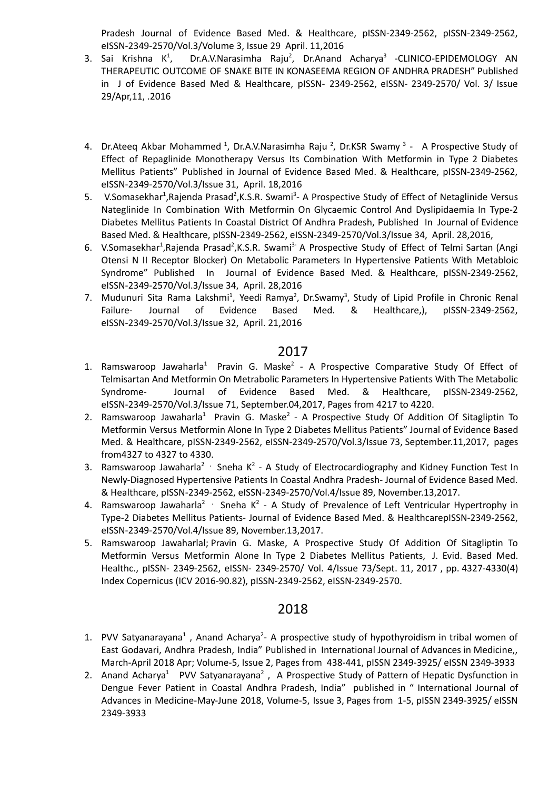Pradesh Journal of Evidence Based Med. & Healthcare, pISSN-2349-2562, pISSN-2349-2562, eISSN-2349-2570/Vol.3/Volume 3, Issue 29 April. 11,2016

- 3. Sai Krishna K $1$ , Dr.A.V.Narasimha Raju<sup>2</sup>, Dr.Anand Acharya<sup>3</sup> -CLINICO-EPIDEMOLOGY AN THERAPEUTIC OUTCOME OF SNAKE BITE IN KONASEEMA REGION OF ANDHRA PRADESH" Published in J of Evidence Based Med & Healthcare, pISSN- 2349-2562, eISSN- 2349-2570/ Vol. 3/ Issue 29/Apr,11, .2016
- 4. Dr.Ateeq Akbar Mohammed <sup>1</sup>, Dr.A.V.Narasimha Raju <sup>2</sup>, Dr.KSR Swamy <sup>3</sup> A Prospective Study of Effect of Repaglinide Monotherapy Versus Its Combination With Metformin in Type 2 Diabetes Mellitus Patients" Published in Journal of Evidence Based Med. & Healthcare, pISSN-2349-2562, eISSN-2349-2570/Vol.3/Issue 31, April. 18,2016
- 5. V.Somasekhar<sup>1</sup>, Rajenda Prasad<sup>2</sup>, K.S.R. Swami<sup>3</sup>- A Prospective Study of Effect of Netaglinide Versus Nateglinide In Combination With Metformin On Glycaemic Control And Dyslipidaemia In Type-2 Diabetes Mellitus Patients In Coastal District Of Andhra Pradesh, Published In Journal of Evidence Based Med. & Healthcare, pISSN-2349-2562, eISSN-2349-2570/Vol.3/Issue 34, April. 28,2016,
- 6. V.Somasekhar<sup>1</sup>,Rajenda Prasad<sup>2</sup>,K.S.R. Swami<sup>3-</sup> A Prospective Study of Effect of Telmi Sartan (Angi Otensi N II Receptor Blocker) On Metabolic Parameters In Hypertensive Patients With Metabloic Syndrome" Published In Journal of Evidence Based Med. & Healthcare, pISSN-2349-2562, eISSN-2349-2570/Vol.3/Issue 34, April. 28,2016
- 7. Mudunuri Sita Rama Lakshmi<sup>1</sup>, Yeedi Ramya<sup>2</sup>, Dr.Swamy<sup>3</sup>, Study of Lipid Profile in Chronic Renal Failure- Journal of Evidence Based Med. & Healthcare,), pISSN-2349-2562, eISSN-2349-2570/Vol.3/Issue 32, April. 21,2016

### 2017

- 1. Ramswaroop Jawaharla<sup>1</sup> Pravin G. Maske<sup>2</sup> A Prospective Comparative Study Of Effect of Telmisartan And Metformin On Metrabolic Parameters In Hypertensive Patients With The Metabolic Syndrome- Journal of Evidence Based Med. & Healthcare, pISSN-2349-2562, eISSN-2349-2570/Vol.3/Issue 71, September.04,2017, Pages from 4217 to 4220.
- 2. Ramswaroop Jawaharla<sup>1</sup> Pravin G. Maske<sup>2</sup> A Prospective Study Of Addition Of Sitagliptin To Metformin Versus Metformin Alone In Type 2 Diabetes Mellitus Patients" Journal of Evidence Based Med. & Healthcare, pISSN-2349-2562, eISSN-2349-2570/Vol.3/Issue 73, September.11,2017, pages from4327 to 4327 to 4330.
- 3. Ramswaroop Jawaharla<sup>2</sup>  $\cdot$  Sneha K<sup>2</sup> A Study of Electrocardiography and Kidney Function Test In Newly-Diagnosed Hypertensive Patients In Coastal Andhra Pradesh- Journal of Evidence Based Med. & Healthcare, pISSN-2349-2562, eISSN-2349-2570/Vol.4/Issue 89, November.13,2017.
- 4. Ramswaroop Jawaharla<sup>2</sup>  $\cdot$  Sneha K<sup>2</sup> A Study of Prevalence of Left Ventricular Hypertrophy in Type-2 Diabetes Mellitus Patients- Journal of Evidence Based Med. & HealthcarepISSN-2349-2562, eISSN-2349-2570/Vol.4/Issue 89, November.13,2017.
- 5. [Ramswaroop](https://www.ingentaconnect.com/search;jsessionid=1fp9o7v3sh8bj.x-ic-live-01?option2=author&value2=Ramswaroop+Jawaharlal) Jawaharlal; Pravin G. [Maske,](https://www.ingentaconnect.com/search;jsessionid=1fp9o7v3sh8bj.x-ic-live-01?option2=author&value2=Pravin+G.+Maske) A Prospective Study Of Addition Of Sitagliptin To Metformin Versus Metformin Alone In Type 2 Diabetes Mellitus Patients, J. Evid. Based Med. Healthc., pISSN- 2349-2562, eISSN- 2349-2570/ Vol. 4/Issue 73/Sept. 11, 2017 , pp. 4327-4330(4) Index Copernicus (ICV 2016-90.82), pISSN-2349-2562, eISSN-2349-2570.

- 1. PVV Satyanarayana<sup>1</sup>, Anand Acharya<sup>2</sup>- A prospective study of hypothyroidism in tribal women of East Godavari, Andhra Pradesh, India" Published in International Journal of Advances in Medicine,, March-April 2018 Apr; Volume-5, Issue 2, Pages from 438-441, pISSN 2349-3925/ eISSN 2349-3933
- 2. Anand Acharya<sup>1</sup> PVV Satyanarayana<sup>2</sup>, A Prospective Study of Pattern of Hepatic Dysfunction in Dengue Fever Patient in Coastal Andhra Pradesh, India" published in " International Journal of Advances in Medicine-May-June 2018, Volume-5, Issue 3, Pages from 1-5, pISSN 2349-3925/ eISSN 2349-3933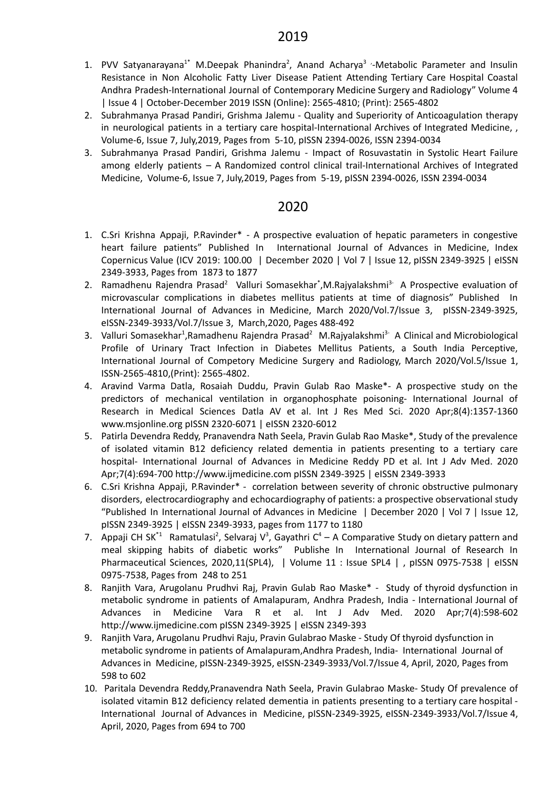- 1. PVV Satyanarayana<sup>1\*</sup> M.Deepak Phanindra<sup>2</sup>, Anand Acharya<sup>3</sup> '-Metabolic Parameter and Insulin Resistance in Non Alcoholic Fatty Liver Disease Patient Attending Tertiary Care Hospital Coastal Andhra Pradesh-International Journal of Contemporary Medicine Surgery and Radiology" Volume 4 | Issue 4 | October-December 2019 ISSN (Online): 2565-4810; (Print): 2565-4802
- 2. Subrahmanya Prasad Pandiri, Grishma Jalemu Quality and Superiority of Anticoagulation therapy in neurological patients in a tertiary care hospital-International Archives of Integrated Medicine, , Volume-6, Issue 7, July,2019, Pages from 5-10, pISSN 2394-0026, ISSN 2394-0034
- 3. Subrahmanya Prasad Pandiri, Grishma Jalemu Impact of Rosuvastatin in Systolic Heart Failure among elderly patients – A Randomized control clinical trail-International Archives of Integrated Medicine, Volume-6, Issue 7, July,2019, Pages from 5-19, pISSN 2394-0026, ISSN 2394-0034

- 1. C.Sri Krishna Appaji, P.Ravinder\* A prospective evaluation of hepatic parameters in congestive heart failure patients" Published In International Journal of Advances in Medicine, Index Copernicus Value (ICV 2019: 100.00 | December 2020 | Vol 7 | Issue 12, pISSN 2349-3925 | eISSN 2349-3933, Pages from 1873 to 1877
- 2. Ramadhenu Rajendra Prasad<sup>2</sup> Valluri Somasekhar<sup>\*</sup>,M.Rajyalakshmi<sup>3-</sup> A Prospective evaluation of microvascular complications in diabetes mellitus patients at time of diagnosis" Published In International Journal of Advances in Medicine, March 2020/Vol.7/Issue 3, pISSN-2349-3925, eISSN-2349-3933/Vol.7/Issue 3, March,2020, Pages 488-492
- 3. Valluri Somasekhar<sup>1</sup>, Ramadhenu Rajendra Prasad<sup>2</sup> M. Rajyalakshmi<sup>3-</sup> A Clinical and Microbiological Profile of Urinary Tract Infection in Diabetes Mellitus Patients, a South India Perceptive, International Journal of Competory Medicine Surgery and Radiology, March 2020/Vol.5/Issue 1, ISSN-2565-4810,(Print): 2565-4802.
- 4. Aravind Varma Datla, Rosaiah Duddu, Pravin Gulab Rao Maske\*- A prospective study on the predictors of mechanical ventilation in organophosphate poisoning- International Journal of Research in Medical Sciences Datla AV et al. Int J Res Med Sci. 2020 Apr;8(4):1357-1360 www.msjonline.org pISSN 2320-6071 | eISSN 2320-6012
- 5. Patirla Devendra Reddy, Pranavendra Nath Seela, Pravin Gulab Rao Maske\*, Study of the prevalence of isolated vitamin B12 deficiency related dementia in patients presenting to a tertiary care hospital- International Journal of Advances in Medicine Reddy PD et al. Int J Adv Med. 2020 Apr;7(4):694-700 http://www.ijmedicine.com pISSN 2349-3925 | eISSN 2349-3933
- 6. C.Sri Krishna Appaji, P.Ravinder\* correlation between severity of chronic obstructive pulmonary disorders, electrocardiography and echocardiography of patients: a prospective observational study "Published In International Journal of Advances in Medicine | December 2020 | Vol 7 | Issue 12, pISSN 2349-3925 | eISSN 2349-3933, pages from 1177 to 1180
- 7. Appaji CH SK<sup>\*1</sup> Ramatulasi<sup>2</sup>, Selvaraj V<sup>3</sup>, Gayathri C<sup>4</sup> A Comparative Study on dietary pattern and meal skipping habits of diabetic works" Publishe In International Journal of Research In Pharmaceutical Sciences, 2020,11(SPL4), | [Volume](https://pharmascope.org/ijrps/issue/view/53) 11 : Issue SPL4 | , pISSN 0975-7538 | eISSN 0975-7538, Pages from 248 to 251
- 8. Ranjith Vara, Arugolanu Prudhvi Raj, Pravin Gulab Rao Maske\* Study of thyroid dysfunction in metabolic syndrome in patients of Amalapuram, Andhra Pradesh, India - International Journal of Advances in Medicine Vara R et al. Int J Adv Med. 2020 Apr;7(4):598-602 http://www.ijmedicine.com pISSN 2349-3925 | eISSN 2349-393
- 9. Ranjith Vara, Arugolanu Prudhvi Raju, Pravin Gulabrao Maske Study Of thyroid dysfunction in metabolic syndrome in patients of Amalapuram,Andhra Pradesh, India- International Journal of Advances in Medicine, pISSN-2349-3925, eISSN-2349-3933/Vol.7/Issue 4, April, 2020, Pages from 598 to 602
- 10. Paritala Devendra Reddy,Pranavendra Nath Seela, Pravin Gulabrao Maske- Study Of prevalence of isolated vitamin B12 deficiency related dementia in patients presenting to a tertiary care hospital - International Journal of Advances in Medicine, pISSN-2349-3925, eISSN-2349-3933/Vol.7/Issue 4, April, 2020, Pages from 694 to 700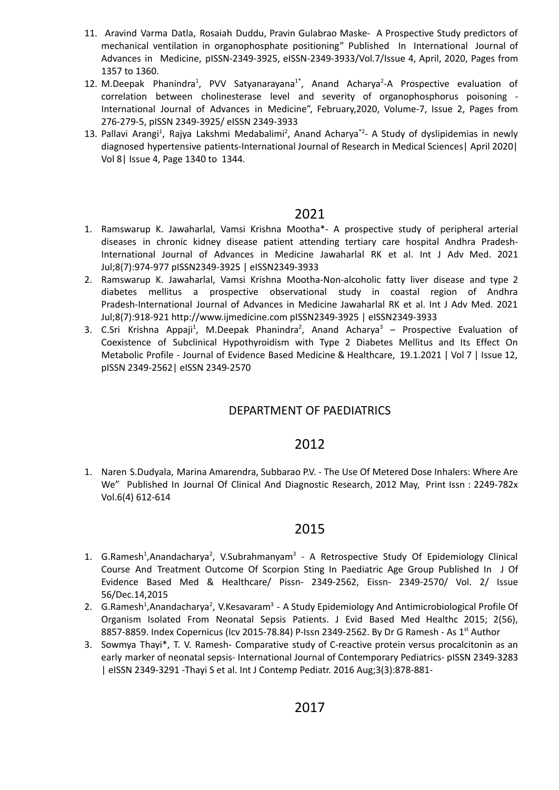- 11. Aravind Varma Datla, Rosaiah Duddu, Pravin Gulabrao Maske- A Prospective Study predictors of mechanical ventilation in organophosphate positioning" Published In International Journal of Advances in Medicine, pISSN-2349-3925, eISSN-2349-3933/Vol.7/Issue 4, April, 2020, Pages from 1357 to 1360.
- 12. M.Deepak Phanindra<sup>1</sup>, PVV Satyanarayana<sup>1\*</sup>, Anand Acharya<sup>2</sup>-A Prospective evaluation of correlation between cholinesterase level and severity of organophosphorus poisoning - International Journal of Advances in Medicine", February,2020, Volume-7, Issue 2, Pages from 276-279-5, pISSN 2349-3925/ eISSN 2349-3933
- 13. Pallavi Arangi<sup>1</sup>, Rajya Lakshmi Medabalimi<sup>2</sup>, Anand Acharya<sup>\*2</sup>- A Study of dyslipidemias in newly diagnosed hypertensive patients-International Journal of Research in Medical Sciences| April 2020| Vol 8| Issue 4, Page 1340 to 1344.

- 1. Ramswarup K. Jawaharlal, Vamsi Krishna Mootha\*- A prospective study of peripheral arterial diseases in chronic kidney disease patient attending tertiary care hospital Andhra Pradesh-International Journal of Advances in Medicine Jawaharlal RK et al. Int J Adv Med. 2021 Jul;8(7):974-977 pISSN2349-3925 | eISSN2349-3933
- 2. Ramswarup K. Jawaharlal, Vamsi Krishna Mootha-Non-alcoholic fatty liver disease and type 2 diabetes mellitus a prospective observational study in coastal region of Andhra Pradesh-International Journal of Advances in Medicine Jawaharlal RK et al. Int J Adv Med. 2021 Jul;8(7):918-921 http://www.ijmedicine.com pISSN2349-3925 | eISSN2349-3933
- 3. C.Sri Krishna Appaji<sup>1</sup>, M.Deepak Phanindra<sup>2</sup>, Anand Acharya<sup>3</sup> Prospective Evaluation of Coexistence of Subclinical Hypothyroidism with Type 2 Diabetes Mellitus and Its Effect On Metabolic Profile - Journal of Evidence Based Medicine & Healthcare, 19.1.2021 | Vol 7 | Issue 12, pISSN 2349-2562| eISSN 2349-2570

### DEPARTMENT OF PAEDIATRICS

### 2012

1. Naren S.Dudyala, Marina Amarendra, Subbarao P.V. - The Use Of Metered Dose Inhalers: Where Are We" Published In Journal Of Clinical And Diagnostic Research, 2012 May, Print Issn : 2249-782x Vol.6(4) 612-614

- 1. G.Ramesh<sup>1</sup>,Anandacharya<sup>2</sup>, V.Subrahmanyam<sup>3</sup> A Retrospective Study Of Epidemiology Clinical Course And Treatment Outcome Of Scorpion Sting In Paediatric Age Group Published In J Of Evidence Based Med & Healthcare/ Pissn- 2349-2562, Eissn- 2349-2570/ Vol. 2/ Issue 56/Dec.14,2015
- 2. G.Ramesh<sup>1</sup>,Anandacharya<sup>2</sup>, V.Kesavaram<sup>3</sup> A Study Epidemiology And Antimicrobiological Profile Of Organism Isolated From Neonatal Sepsis Patients. J Evid Based Med Healthc 2015; 2(56), 8857-8859. Index Copernicus (Icv 2015-78.84) P-Issn 2349-2562. By Dr G Ramesh - As 1<sup>st</sup> Author
- 3. Sowmya Thayi\*, T. V. Ramesh- Comparative study of C-reactive protein versus procalcitonin as an early marker of neonatal sepsis- International Journal of Contemporary Pediatrics- pISSN 2349-3283 | eISSN 2349-3291 -Thayi S et al. Int J Contemp Pediatr. 2016 Aug;3(3):878-881-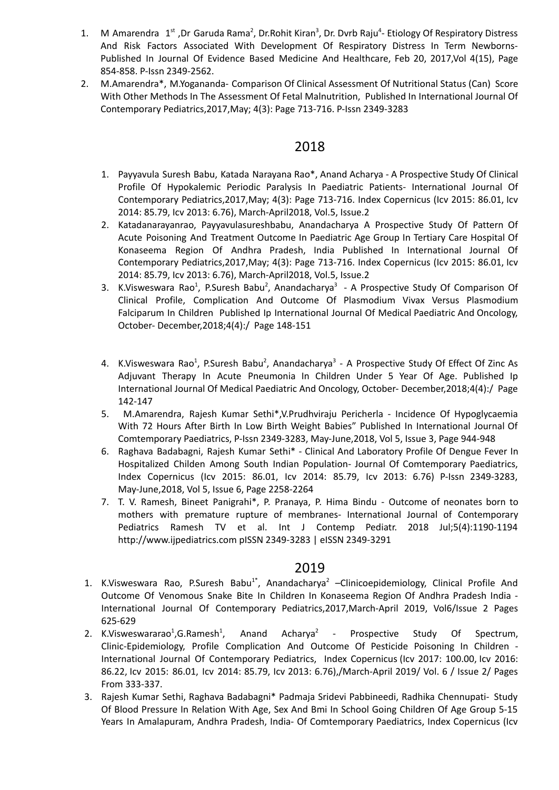- 1. M Amarendra 1<sup>st</sup>, Dr Garuda Rama<sup>2</sup>, Dr.Rohit Kiran<sup>3</sup>, Dr. Dvrb Raju<sup>4</sup>- Etiology Of Respiratory Distress And Risk Factors Associated With Development Of Respiratory Distress In Term Newborns-Published In Journal Of Evidence Based Medicine And Healthcare, Feb 20, 2017,Vol 4(15), Page 854-858. P-Issn 2349-2562.
- 2. M.Amarendra\*, M.Yogananda- Comparison Of Clinical Assessment Of Nutritional Status (Can) Score With Other Methods In The Assessment Of Fetal Malnutrition, Published In International Journal Of Contemporary Pediatrics,2017,May; 4(3): Page 713-716. P-Issn 2349-3283

- 1. Payyavula Suresh Babu, Katada Narayana Rao\*, Anand Acharya A Prospective Study Of Clinical Profile Of Hypokalemic Periodic Paralysis In Paediatric Patients- International Journal Of Contemporary Pediatrics,2017,May; 4(3): Page 713-716. Index Copernicus (Icv 2015: 86.01, Icv 2014: 85.79, Icv 2013: 6.76), March-April2018, Vol.5, Issue.2
- 2. Katadanarayanrao, Payyavulasureshbabu, Anandacharya A Prospective Study Of Pattern Of Acute Poisoning And Treatment Outcome In Paediatric Age Group In Tertiary Care Hospital Of Konaseema Region Of Andhra Pradesh, India Published In International Journal Of Contemporary Pediatrics,2017,May; 4(3): Page 713-716. Index Copernicus (Icv 2015: 86.01, Icv 2014: 85.79, Icv 2013: 6.76), March-April2018, Vol.5, Issue.2
- 3. K.Visweswara Rao<sup>1</sup>, P.Suresh Babu<sup>2</sup>, Anandacharya<sup>3</sup> A Prospective Study Of Comparison Of Clinical Profile, Complication And Outcome Of Plasmodium Vivax Versus Plasmodium Falciparum In Children Published Ip International Journal Of Medical Paediatric And Oncology, October- December,2018;4(4):/ Page 148-151
- 4. K.Visweswara Rao<sup>1</sup>, P.Suresh Babu<sup>2</sup>, Anandacharya<sup>3</sup> A Prospective Study Of Effect Of Zinc As Adjuvant Therapy In Acute Pneumonia In Children Under 5 Year Of Age. Published Ip International Journal Of Medical Paediatric And Oncology, October- December,2018;4(4):/ Page 142-147
- 5. M.Amarendra, Rajesh Kumar Sethi\*,V.Prudhviraju Pericherla Incidence Of Hypoglycaemia With 72 Hours After Birth In Low Birth Weight Babies" Published In International Journal Of Comtemporary Paediatrics, P-Issn 2349-3283, May-June,2018, Vol 5, Issue 3, Page 944-948
- 6. Raghava Badabagni, Rajesh Kumar Sethi\* Clinical And Laboratory Profile Of Dengue Fever In Hospitalized Childen Among South Indian Population- Journal Of Comtemporary Paediatrics, Index Copernicus (Icv 2015: 86.01, Icv 2014: 85.79, Icv 2013: 6.76) P-Issn 2349-3283, May-June,2018, Vol 5, Issue 6, Page 2258-2264
- 7. T. V. Ramesh, Bineet Panigrahi\*, P. Pranaya, P. Hima Bindu Outcome of neonates born to mothers with premature rupture of membranes- International Journal of Contemporary Pediatrics Ramesh TV et al. Int J Contemp Pediatr. 2018 Jul;5(4):1190-1194 http://www.ijpediatrics.com pISSN 2349-3283 | eISSN 2349-3291

- 1. K.Visweswara Rao, P.Suresh Babu<sup>1\*</sup>, Anandacharya<sup>2</sup> Clinicoepidemiology, Clinical Profile And Outcome Of Venomous Snake Bite In Children In Konaseema Region Of Andhra Pradesh India - International Journal Of Contemporary Pediatrics,2017,March-April 2019, Vol6/Issue 2 Pages 625-629
- 2. K.Visweswararao<sup>1</sup>, G. Ramesh<sup>1</sup>, , Anand Acharya 2 - Prospective Study Of Spectrum, Clinic-Epidemiology, Profile Complication And Outcome Of Pesticide Poisoning In Children - International Journal Of Contemporary Pediatrics, Index [Copernicus](https://journals.indexcopernicus.com/search/details?id=31394) (Icv 2017: [100.00,](https://journals.indexcopernicus.com/search/details?id=31394) Icv 2016: 86.22, Icv 2015: 86.01, Icv 2014: 85.79, Icv 2013: 6.76),/March-April 2019/ Vol. 6 / Issue 2/ Pages From 333-337.
- 3. Rajesh Kumar Sethi, Raghava Badabagni\* Padmaja Sridevi Pabbineedi, Radhika Chennupati- Study Of Blood Pressure In Relation With Age, Sex And Bmi In School Going Children Of Age Group 5-15 Years In Amalapuram, Andhra Pradesh, India- Of Comtemporary Paediatrics, Index Copernicus (Icv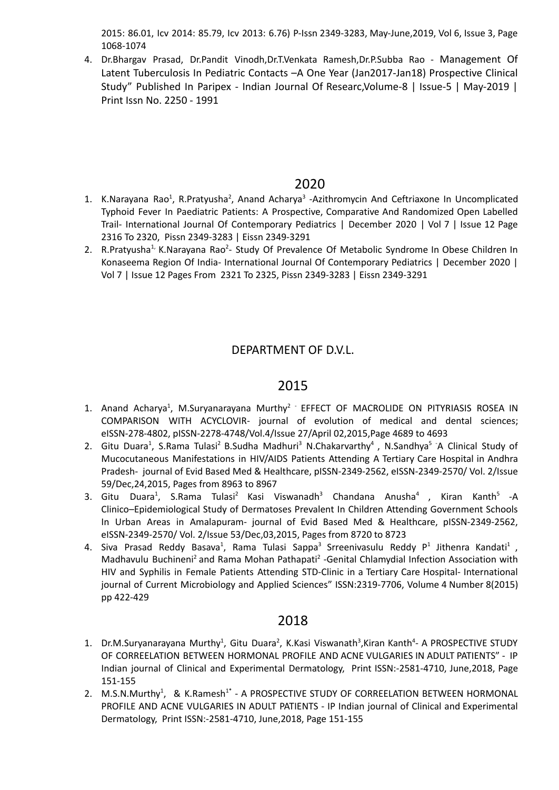2015: 86.01, Icv 2014: 85.79, Icv 2013: 6.76) P-Issn 2349-3283, May-June,2019, Vol 6, Issue 3, Page 1068-1074

4. Dr.Bhargav Prasad, Dr.Pandit Vinodh,Dr.T.Venkata Ramesh,Dr.P.Subba Rao - Management Of Latent Tuberculosis In Pediatric Contacts –A One Year (Jan2017-Jan18) Prospective Clinical Study" Published In Paripex - Indian Journal Of Researc,Volume-8 | Issue-5 | May-2019 | Print Issn No. 2250 - 1991

### 2020

- 1. K.Narayana Rao<sup>1</sup>, R.Pratyusha<sup>2</sup>, Anand Acharya<sup>3</sup> -Azithromycin And Ceftriaxone In Uncomplicated Typhoid Fever In Paediatric Patients: A Prospective, Comparative And Randomized Open Labelled Trail- International Journal Of Contemporary Pediatrics | December 2020 | Vol 7 | Issue 12 Page 2316 To 2320, Pissn 2349-3283 | Eissn 2349-3291
- 2. R.Pratyusha<sup>1,</sup> K.Narayana Rao<sup>2</sup>- Study Of Prevalence Of Metabolic Syndrome In Obese Children In Konaseema Region Of India- International Journal Of Contemporary Pediatrics | December 2020 | Vol 7 | Issue 12 Pages From 2321 To 2325, Pissn 2349-3283 | Eissn 2349-3291

## DEPARTMENT OF D.V.L.

### 2015

- 1. Anand Acharya<sup>1</sup>, M.Suryanarayana Murthy<sup>2</sup> EFFECT OF MACROLIDE ON PITYRIASIS ROSEA IN COMPARISON WITH ACYCLOVIR- journal of evolution of medical and dental sciences; eISSN-278-4802, pISSN-2278-4748/Vol.4/Issue 27/April 02,2015,Page 4689 to 4693
- 2. Gitu Duara<sup>1</sup>, S.Rama Tulasi<sup>2</sup> B.Sudha Madhuri<sup>3</sup> N.Chakarvarthy<sup>4</sup>, N.Sandhya<sup>5</sup> A Clinical Study of Mucocutaneous Manifestations in HIV/AIDS Patients Attending A Tertiary Care Hospital in Andhra Pradesh- journal of Evid Based Med & Healthcare, pISSN-2349-2562, eISSN-2349-2570/ Vol. 2/Issue 59/Dec,24,2015, Pages from 8963 to 8967
- 3. Gitu Duara<sup>1</sup>, S.Rama Tulasi<sup>2</sup> Kasi Viswanadh<sup>3</sup> Chandana Anusha<sup>4</sup> , Kiran Kanth<sup>5</sup> -A Clinico–Epidemiological Study of Dermatoses Prevalent In Children Attending Government Schools In Urban Areas in Amalapuram- journal of Evid Based Med & Healthcare, pISSN-2349-2562, eISSN-2349-2570/ Vol. 2/Issue 53/Dec,03,2015, Pages from 8720 to 8723
- 4. Siva Prasad Reddy Basava<sup>1</sup>, Rama Tulasi Sappa<sup>3</sup> Srreenivasulu Reddy P<sup>1</sup> Jithenra Kandati<sup>1</sup> , Madhavulu Buchineni<sup>2</sup> and Rama Mohan Pathapati<sup>2</sup> -Genital Chlamydial Infection Association with HIV and Syphilis in Female Patients Attending STD-Clinic in a Tertiary Care Hospital- International journal of Current Microbiology and Applied Sciences" ISSN:2319-7706, Volume 4 Number 8(2015) pp 422-429

- 1. Dr.M.Suryanarayana Murthy<sup>1</sup>, Gitu Duara<sup>2</sup>, K.Kasi Viswanath<sup>3</sup>,Kiran Kanth<sup>4</sup>- A PROSPECTIVE STUDY OF CORREELATION BETWEEN HORMONAL PROFILE AND ACNE VULGARIES IN ADULT PATIENTS" - IP Indian journal of Clinical and Experimental Dermatology, Print ISSN:-2581-4710, June,2018, Page 151-155
- 2. M.S.N.Murthy<sup>1</sup>, & K.Ramesh<sup>1\*</sup> A PROSPECTIVE STUDY OF CORREELATION BETWEEN HORMONAL PROFILE AND ACNE VULGARIES IN ADULT PATIENTS - IP Indian journal of Clinical and Experimental Dermatology, Print ISSN:-2581-4710, June,2018, Page 151-155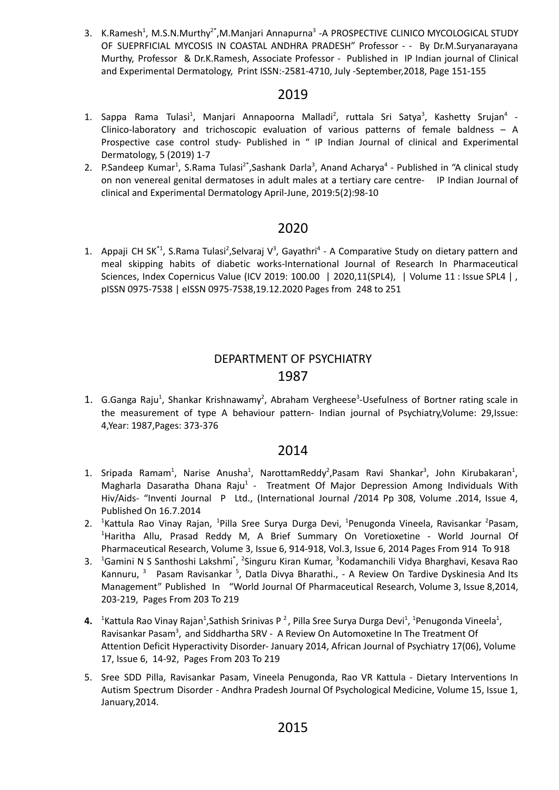3. K.Ramesh<sup>1</sup>, M.S.N.Murthy<sup>2\*</sup>,M.Manjari Annapurna<sup>3</sup> -A PROSPECTIVE CLINICO MYCOLOGICAL STUDY OF SUEPRFICIAL MYCOSIS IN COASTAL ANDHRA PRADESH" Professor - - By Dr.M.Suryanarayana Murthy, Professor & Dr.K.Ramesh, Associate Professor - Published in IP Indian journal of Clinical and Experimental Dermatology, Print ISSN:-2581-4710, July -September,2018, Page 151-155

## 2019

- 1. Sappa Rama Tulasi<sup>1</sup>, Manjari Annapoorna Malladi<sup>2</sup>, ruttala Sri Satya<sup>3</sup>, Kashetty Srujan<sup>4</sup> -Clinico-laboratory and trichoscopic evaluation of various patterns of female baldness – A Prospective case control study- Published in " IP Indian Journal of clinical and Experimental Dermatology, 5 (2019) 1-7
- 2. P.Sandeep Kumar<sup>1</sup>, S.Rama Tulasi<sup>2\*</sup>,Sashank Darla<sup>3</sup>, Anand Acharya<sup>4</sup> Published in "A clinical study on non venereal genital dermatoses in adult males at a tertiary care centre- IP Indian Journal of clinical and Experimental Dermatology April-June, 2019:5(2):98-10

### 2020

1. Appaji CH SK<sup>\*1</sup>, S.Rama Tulasi<sup>2</sup>, Selvaraj V<sup>3</sup>, Gayathri<sup>4</sup> - A Comparative Study on dietary pattern and meal skipping habits of diabetic works-International Journal of Research In Pharmaceutical Sciences, Index Copernicus Value (ICV 2019: 100.00 | 2020,11(SPL4), | Volume 11 : Issue SPL4 | , pISSN 0975-7538 | eISSN 0975-7538,19.12.2020 Pages from 248 to 251

## DEPARTMENT OF PSYCHIATRY 1987

1. G.Ganga Raju<sup>1</sup>, Shankar Krishnawamy<sup>2</sup>, Abraham Vergheese<sup>3</sup>-Usefulness of Bortner rating scale in the measurement of type A behaviour pattern- Indian journal of Psychiatry,Volume: 29,Issue: 4,Year: 1987,Pages: 373-376

- 1. Sripada Ramam<sup>1</sup>, Narise Anusha<sup>1</sup>, NarottamReddy<sup>2</sup>, Pasam Ravi Shankar<sup>3</sup>, John Kirubakaran<sup>1</sup>, Magharla Dasaratha Dhana Raju<sup>1</sup> - Treatment Of Major Depression Among Individuals With Hiv/Aids- "Inventi Journal P Ltd., (International Journal /2014 Pp 308, Volume .2014, Issue 4, Published On 16.7.2014
- 2. <sup>1</sup>Kattula Rao Vinay Rajan, <sup>1</sup>Pilla Sree Surya Durga Devi, <sup>1</sup>Penugonda Vineela, Ravisankar <sup>2</sup>Pasam, <sup>1</sup>Haritha Allu, Prasad Reddy M, A Brief Summary On Voretioxetine - World Journal Of Pharmaceutical Research, Volume 3, Issue 6, 914-918, Vol.3, Issue 6, 2014 Pages From 914 To 918
- 3. <sup>1</sup>Gamini N S Santhoshi Lakshmi<sup>\*</sup>, <sup>2</sup>Singuru Kiran Kumar, <sup>3</sup>Kodamanchili Vidya Bharghavi, Kesava Rao Kannuru, <sup>3</sup> Pasam Ravisankar <sup>5</sup>, Datla Divya Bharathi., - A Review On Tardive Dyskinesia And Its Management" Published In "World Journal Of Pharmaceutical Research, Volume 3, Issue 8,2014, 203-219, Pages From 203 To 219
- 4. <sup>1</sup>Kattula Rao Vinay Rajan<sup>1</sup>,Sathish Srinivas P<sup>2</sup>, Pilla Sree Surya Durga Devi<sup>1</sup>, <sup>1</sup>Penugonda Vineela<sup>1</sup>, Ravisankar Pasam<sup>3</sup>, and Siddhartha SRV - A Review On Automoxetine In The Treatment Of Attention Deficit Hyperactivity Disorder- January 2014, African Journal of [Psychiatry](https://www.researchgate.net/journal/African-Journal-of-Psychiatry-1994-8220) 17(06), Volume 17, Issue 6, 14-92, Pages From 203 To 219
- 5. Sree SDD Pilla, Ravisankar Pasam, Vineela Penugonda, Rao VR Kattula Dietary Interventions In Autism Spectrum Disorder - Andhra Pradesh Journal Of Psychological Medicine, Volume 15, Issue 1, January,2014.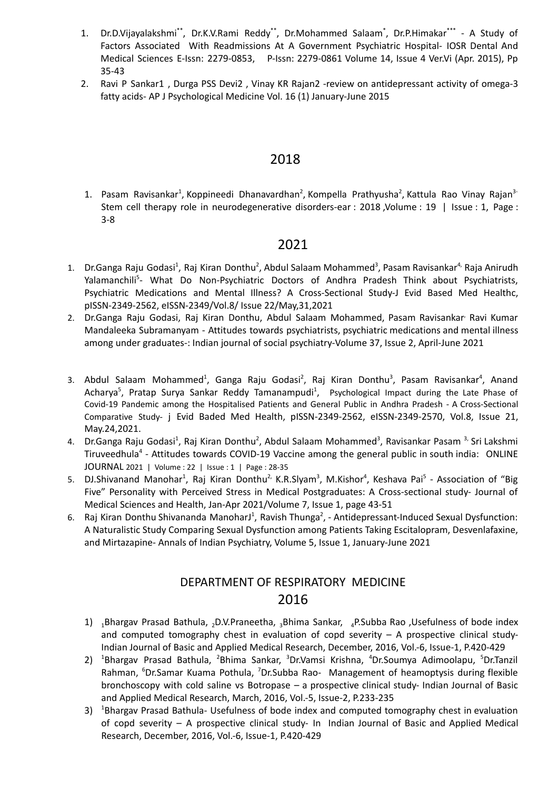- 1. Dr.D.Vijayalakshmi\*\*, Dr.K.V.Rami Reddy\*\*, Dr.Mohammed Salaam\*, Dr.P.Himakar\*\*\* A Study of Factors Associated With Readmissions At A Government Psychiatric Hospital- IOSR Dental And Medical Sciences E-Issn: 2279-0853, P-Issn: 2279-0861 Volume 14, Issue 4 Ver.Vi (Apr. 2015), Pp 35-43
- 2. Ravi P Sankar1 , Durga PSS Devi2 , Vinay KR Rajan2 -review on antidepressant activity of omega-3 fatty acids- AP J Psychological Medicine Vol. 16 (1) January-June 2015

1. Pasam [Ravisankar](https://www.amhonline.org/searchresult.asp?search=&author=Pasam+Ravisankar&journal=Y&but_search=Search&entries=10&pg=1&s=0)<sup>1</sup>, Koppineedi [Dhanavardhan](https://www.amhonline.org/searchresult.asp?search=&author=Koppineedi+Dhanavardhan&journal=Y&but_search=Search&entries=10&pg=1&s=0)<sup>2</sup>, Kompella [Prathyusha](https://www.amhonline.org/searchresult.asp?search=&author=Kompella+Prathyusha&journal=Y&but_search=Search&entries=10&pg=1&s=0)<sup>2</sup>, [Kattula](https://www.amhonline.org/searchresult.asp?search=&author=Kattula+Rao+Vinay+Rajan&journal=Y&but_search=Search&entries=10&pg=1&s=0) Rao Vinay Rajan<sup>3-</sup> Stem cell therapy role in neurodegenerative disorders-ear : 2018 ,Volume : 19 | Issue : 1, Page : 3-8

### 2021

- 1. Dr.Ganga Raju Godasi<sup>1</sup>, Raj Kiran Donthu<sup>2</sup>, Abdul Salaam Mohammed<sup>3</sup>, Pasam Ravisankar<sup>4,</sup> Raja Anirudh Yalamanchili<sup>5</sup>- What Do Non-Psychiatric Doctors of Andhra Pradesh Think about Psychiatrists, Psychiatric Medications and Mental Illness? A Cross-Sectional Study-J Evid Based Med Healthc, pISSN-2349-2562, eISSN-2349/Vol.8/ Issue 22/May,31,2021
- 2. Dr.Ganga Raju Godasi, Raj Kiran Donthu, Abdul Salaam Mohammed, Pasam Ravisankar Ravi Kumar Mandaleeka Subramanyam - Attitudes towards psychiatrists, psychiatric medications and mental illness among under graduates-: Indian journal of social psychiatry-Volume 37, Issue 2, April-June 2021
- 3. Abdul Salaam Mohammed<sup>1</sup>, Ganga Raju Godasi<sup>2</sup>, Raj Kiran Donthu<sup>3</sup>, Pasam Ravisankar<sup>4</sup>, Anand Acharya<sup>5</sup>, Pratap Surya Sankar Reddy Tamanampudi<sup>1</sup>, Psychological Impact during the Late Phase of Covid-19 Pandemic among the Hospitalised Patients and General Public in Andhra Pradesh - A Cross-Sectional Comparative Study- j Evid Baded Med Health, pISSN-2349-2562, eISSN-2349-2570, Vol.8, Issue 21, May.24,2021.
- 4. Dr.Ganga Raju Godasi<sup>1</sup>, Raj Kiran Donthu<sup>2</sup>, Abdul Salaam Mohammed<sup>3</sup>, Ravisankar Pasam <sup>3,</sup> Sri Lakshmi Tiruveedhula<sup>4</sup> - Attitudes towards COVID-19 Vaccine among the general public in south india: ONLINE JOURNAL 2021 | Volume : 22 | Issue : 1 | Page : 28-35
- 5. DJ.Shivanand Manohar<sup>1</sup>, Raj Kiran Donthu<sup>2,</sup> K.R.Slyam<sup>3</sup>, M.Kishor<sup>4</sup>, Keshava Pai<sup>5</sup> Association of "Big Five" Personality with Perceived Stress in Medical Postgraduates: A Cross-sectional study- Journal of Medical Sciences and Health, Jan-Apr 2021/Volume 7, Issue 1, page 43-51
- 6. Raj Kiran Donthu Shivananda ManoharJ<sup>1</sup>, Ravish Thunga<sup>2</sup>, Antidepressant-Induced Sexual Dysfunction: A Naturalistic Study Comparing Sexual Dysfunction among Patients Taking Escitalopram, Desvenlafaxine, and Mirtazapine- Annals of Indian Psychiatry, Volume 5, Issue 1, January-June 2021

# DEPARTMENT OF RESPIRATORY MEDICINE 2016

- 1)  $_1$ Bhargav Prasad Bathula, <sub>2</sub>D.V.Praneetha, <sub>3</sub>Bhima Sankar, <sub>4</sub>P.Subba Rao ,Usefulness of bode index and computed tomography chest in evaluation of copd severity  $- A$  prospective clinical study-Indian Journal of Basic and Applied Medical Research, December, 2016, Vol.-6, Issue-1, P.420-429
- 2) <sup>1</sup>Bhargav Prasad Bathula, <sup>2</sup>Bhima Sankar, <sup>3</sup>Dr.Vamsi Krishna, <sup>4</sup>Dr.Soumya Adimoolapu, <sup>5</sup>Dr.Tanzil Rahman, <sup>6</sup>Dr.Samar Kuama Pothula, <sup>7</sup>Dr.Subba Rao- Management of heamoptysis during flexible bronchoscopy with cold saline vs Botropase – a prospective clinical study- Indian Journal of Basic and Applied Medical Research, March, 2016, Vol.-5, Issue-2, P.233-235
- 3) <sup>1</sup>Bhargav Prasad Bathula- Usefulness of bode index and computed tomography chest in evaluation of copd severity – A prospective clinical study- In Indian Journal of Basic and Applied Medical Research, December, 2016, Vol.-6, Issue-1, P.420-429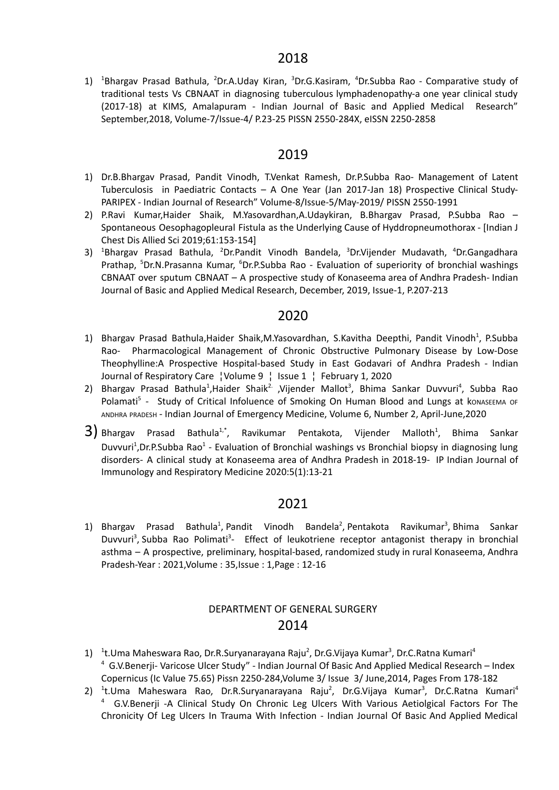1) <sup>1</sup>Bhargav Prasad Bathula, <sup>2</sup>Dr.A.Uday Kiran, <sup>3</sup>Dr.G.Kasiram, <sup>4</sup>Dr.Subba Rao - Comparative study of traditional tests Vs CBNAAT in diagnosing tuberculous lymphadenopathy-a one year clinical study (2017-18) at KIMS, Amalapuram - Indian Journal of Basic and Applied Medical Research" September,2018, Volume-7/Issue-4/ P.23-25 PISSN 2550-284X, eISSN 2250-2858

### 2019

- 1) Dr.B.Bhargav Prasad, Pandit Vinodh, T.Venkat Ramesh, Dr.P.Subba Rao- Management of Latent Tuberculosis in Paediatric Contacts – A One Year (Jan 2017-Jan 18) Prospective Clinical Study-PARIPEX - Indian Journal of Research" Volume-8/Issue-5/May-2019/ PISSN 2550-1991
- 2) P.Ravi Kumar,Haider Shaik, M.Yasovardhan,A.Udaykiran, B.Bhargav Prasad, P.Subba Rao Spontaneous Oesophagopleural Fistula as the Underlying Cause of Hyddropneumothorax - [Indian J Chest Dis Allied Sci 2019;61:153-154]
- 3) <sup>1</sup>Bhargav Prasad Bathula, <sup>2</sup>Dr.Pandit Vinodh Bandela, <sup>3</sup>Dr.Vijender Mudavath, <sup>4</sup>Dr.Gangadhara Prathap, <sup>5</sup>Dr.N.Prasanna Kumar, <sup>6</sup>Dr.P.Subba Rao - Evaluation of superiority of bronchial washings CBNAAT over sputum CBNAAT – A prospective study of Konaseema area of Andhra Pradesh- Indian Journal of Basic and Applied Medical Research, December, 2019, Issue-1, P.207-213

### 2020

- 1) Bhargav Prasad Bathula, Haider Shaik, M. Yasovardhan, S. Kavitha Deepthi, Pandit Vinodh<sup>1</sup>, P. Subba Rao- Pharmacological Management of Chronic Obstructive Pulmonary Disease by Low-Dose Theophylline:A Prospective Hospital-based Study in East Godavari of Andhra Pradesh - Indian Journal of Respiratory Care ¦Volume 9 ¦ Issue 1 ¦ February 1, 2020
- 2) Bhargav Prasad Bathula<sup>1</sup>,Haider Shaik<sup>2.</sup> ,Vijender Mallot<sup>3</sup>, Bhima Sankar Duvvuri<sup>4</sup>, Subba Rao Polamati<sup>5</sup> - Study of Critical Infoluence of Smoking On Human Blood and Lungs at konaseema or ANDHRA PRADESH - Indian Journal of Emergency Medicine, Volume 6, Number 2, April-June,2020
- $3)$  Bhargav Prasad Bathula<sup>1,\*</sup>, Ravikumar Pentakota, Vijender Malloth<sup>1</sup>, Bhima Sankar Duvvuri<sup>1</sup>, Dr.P. Subba Rao<sup>1</sup> - Evaluation of Bronchial washings vs Bronchial biopsy in diagnosing lung disorders- A clinical study at Konaseema area of Andhra Pradesh in 2018-19- IP Indian Journal of Immunology and Respiratory Medicine 2020:5(1):13-21

### 2021

1) [Bhargav](https://ijaai.in/searchresult.asp?search=&author=Bhargav+Prasad+Bathula&journal=Y&but_search=Search&entries=10&pg=1&s=0) Prasad Bathula<sup>1</sup>, Pandit Vinodh [Bandela](https://ijaai.in/searchresult.asp?search=&author=Pandit+Vinodh+Bandela&journal=Y&but_search=Search&entries=10&pg=1&s=0)<sup>2</sup>, Pentakota [Ravikumar](https://ijaai.in/searchresult.asp?search=&author=Pentakota+Ravikumar&journal=Y&but_search=Search&entries=10&pg=1&s=0)<sup>3</sup>, Bhima [Sankar](https://ijaai.in/searchresult.asp?search=&author=Bhima+Sankar+Duvvuri&journal=Y&but_search=Search&entries=10&pg=1&s=0) [Duvvuri](https://ijaai.in/searchresult.asp?search=&author=Bhima+Sankar+Duvvuri&journal=Y&but_search=Search&entries=10&pg=1&s=0)<sup>3</sup>, Subba Rao [Polimati](https://ijaai.in/searchresult.asp?search=&author=Subba+Rao+Polimati&journal=Y&but_search=Search&entries=10&pg=1&s=0)<sup>3</sup>- Effect of leukotriene receptor antagonist therapy in bronchial asthma – A prospective, preliminary, hospital-based, randomized study in rural Konaseema, Andhra Pradesh-Year : 2021,Volume : 35,Issue : 1,Page : 12-16

### DEPARTMENT OF GENERAL SURGERY 2014

- 1) <sup>1</sup>t.Uma Maheswara Rao, Dr.R.Suryanarayana Raju<sup>2</sup>, Dr.G.Vijaya Kumar<sup>3</sup>, Dr.C.Ratna Kumari<sup>4</sup> <sup>4</sup> G.V.Benerji- Varicose Ulcer Study" - Indian Journal Of Basic And Applied Medical Research – Index Copernicus (Ic Value 75.65) Pissn 2250-284,Volume 3/ Issue 3/ June,2014, Pages From 178-182
- 2) <sup>1</sup>t.Uma Maheswara Rao, Dr.R.Suryanarayana Raju<sup>2</sup>, Dr.G.Vijaya Kumar<sup>3</sup>, Dr.C.Ratna Kumari<sup>4</sup> <sup>4</sup> G.V.Benerji -A Clinical Study On Chronic Leg Ulcers With Various Aetiolgical Factors For The Chronicity Of Leg Ulcers In Trauma With Infection - Indian Journal Of Basic And Applied Medical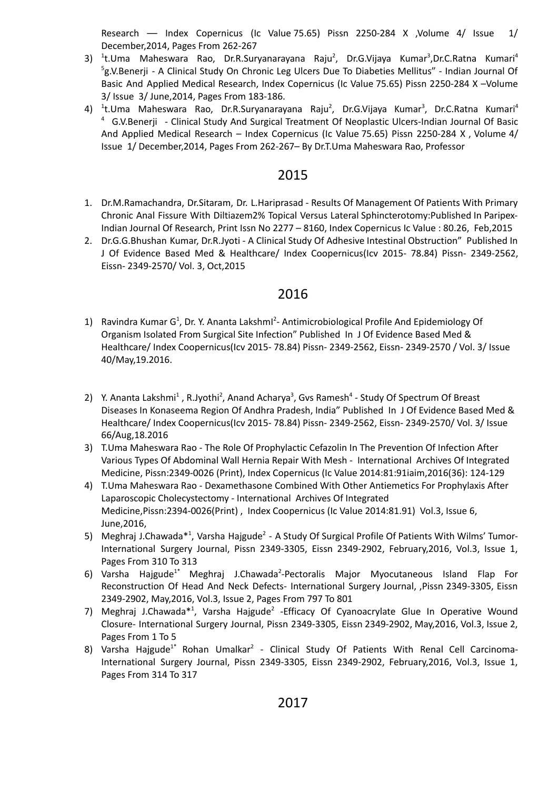Research –– Index Copernicus (Ic Value 75.65) Pissn 2250-284 X ,Volume 4/ Issue 1/ December,2014, Pages From 262-267

- 3) <sup>1</sup>t.Uma Maheswara Rao, Dr.R.Suryanarayana Raju<sup>2</sup>, Dr.G.Vijaya Kumar<sup>3</sup>,Dr.C.Ratna Kumari<sup>4</sup> <sup>5</sup>g.V.Benerji - A Clinical Study On Chronic Leg Ulcers Due To Diabeties Mellitus" - Indian Journal Of Basic And Applied Medical Research, Index Copernicus (Ic Value 75.65) Pissn 2250-284 X –Volume 3/ Issue 3/ June,2014, Pages From 183-186.
- 4) <sup>1</sup>t.Uma Maheswara Rao, Dr.R.Suryanarayana Raju<sup>2</sup>, Dr.G.Vijaya Kumar<sup>3</sup>, Dr.C.Ratna Kumari<sup>4</sup> <sup>4</sup> G.V.Benerji - Clinical Study And Surgical Treatment Of Neoplastic Ulcers-Indian Journal Of Basic And Applied Medical Research – Index Copernicus (Ic Value 75.65) Pissn 2250-284 X , Volume 4/ Issue 1/ December,2014, Pages From 262-267– By Dr.T.Uma Maheswara Rao, Professor

### 2015

- 1. Dr.M.Ramachandra, Dr.Sitaram, Dr. L.Hariprasad Results Of Management Of Patients With Primary Chronic Anal Fissure With Diltiazem2% Topical Versus Lateral Sphincterotomy:Published In Paripex-Indian Journal Of Research, Print Issn No 2277 – 8160, Index [Copernicus](http://journals.indexcopernicus.com/masterlist.php?q=2277-8160) Ic Value : 80.26, Feb,2015
- 2. Dr.G.G.Bhushan Kumar, Dr.R.Jyoti A Clinical Study Of Adhesive Intestinal Obstruction" Published In J Of Evidence Based Med & Healthcare/ Index Coopernicus(Icv 2015- 78.84) Pissn- 2349-2562, Eissn- 2349-2570/ Vol. 3, Oct,2015

- 1) Ravindra Kumar G<sup>1</sup>, Dr. Y. Ananta Lakshml<sup>2</sup>- Antimicrobiological Profile And Epidemiology Of Organism Isolated From Surgical Site Infection" Published In J Of Evidence Based Med & Healthcare/ Index Coopernicus(Icv 2015- 78.84) Pissn- 2349-2562, Eissn- 2349-2570 / Vol. 3/ Issue 40/May,19.2016.
- 2) Y. Ananta Lakshmi<sup>1</sup>, R.Jyothi<sup>2</sup>, Anand Acharya<sup>3</sup>, Gvs Ramesh<sup>4</sup> Study Of Spectrum Of Breast Diseases In Konaseema Region Of Andhra Pradesh, India" Published In J Of Evidence Based Med & Healthcare/ Index Coopernicus(Icv 2015- 78.84) Pissn- 2349-2562, Eissn- 2349-2570/ Vol. 3/ Issue 66/Aug,18.2016
- 3) T.Uma Maheswara Rao The Role Of Prophylactic Cefazolin In The Prevention Of Infection After Various Types Of Abdominal Wall Hernia Repair With Mesh - International Archives Of Integrated Medicine, Pissn:2349-0026 (Print), Index Copernicus (Ic Value 2014:81:91iaim,2016(36): 124-129
- 4) T.Uma Maheswara Rao Dexamethasone Combined With Other Antiemetics For Prophylaxis After Laparoscopic Cholecystectomy - International Archives Of Integrated Medicine,Pissn:2394-0026(Print) , Index Coopernicus (Ic Value 2014:81.91) Vol.3, Issue 6, June,2016,
- 5) Meghraj J.Chawada\*<sup>1</sup>, Varsha Hajgude<sup>2</sup> A Study Of Surgical Profile Of Patients With Wilms' Tumor-International Surgery Journal, Pissn 2349-3305, Eissn 2349-2902, February,2016, Vol.3, Issue 1, Pages From 310 To 313
- 6) Varsha Hajgude<sup>1\*</sup> Meghraj J.Chawada<sup>2</sup>-Pectoralis Major Myocutaneous Island Flap For Reconstruction Of Head And Neck Defects- International Surgery Journal, ,Pissn 2349-3305, Eissn 2349-2902, May,2016, Vol.3, Issue 2, Pages From 797 To 801
- 7) Meghraj J.Chawada<sup>\*1</sup>, Varsha Hajgude<sup>2</sup> Efficacy Of Cyanoacrylate Glue In Operative Wound Closure- International Surgery Journal, Pissn 2349-3305, Eissn 2349-2902, May,2016, Vol.3, Issue 2, Pages From 1 To 5
- 8) Varsha Hajgude<sup>1\*</sup> Rohan Umalkar<sup>2</sup> Clinical Study Of Patients With Renal Cell Carcinoma-International Surgery Journal, Pissn 2349-3305, Eissn 2349-2902, February,2016, Vol.3, Issue 1, Pages From 314 To 317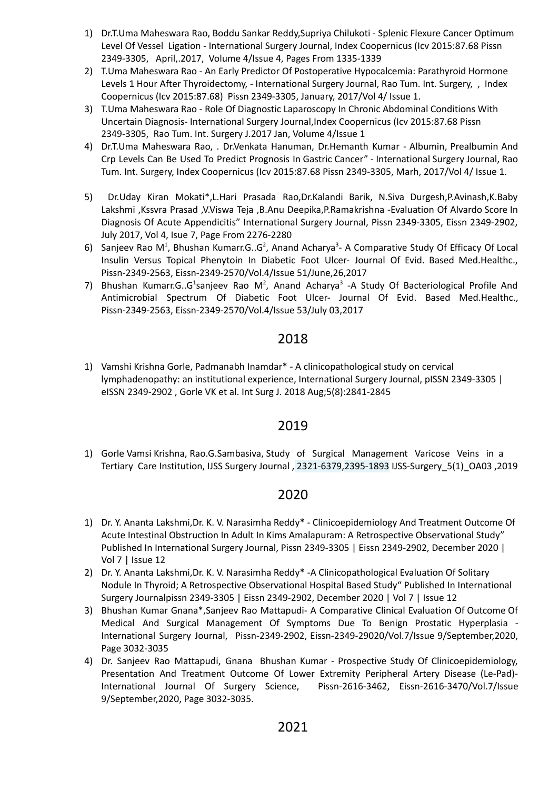- 1) Dr.T.Uma Maheswara Rao, Boddu Sankar Reddy,Supriya Chilukoti Splenic Flexure Cancer Optimum Level Of Vessel Ligation - International Surgery Journal, Index Coopernicus (Icv 2015:87.68 Pissn 2349-3305, April,.2017, Volume 4/Issue 4, Pages From 1335-1339
- 2) T.Uma Maheswara Rao An Early Predictor Of Postoperative Hypocalcemia: Parathyroid Hormone Levels 1 Hour After Thyroidectomy, - International Surgery Journal, Rao Tum. Int. Surgery, , Index Coopernicus (Icv 2015:87.68) Pissn 2349-3305, January, 2017/Vol 4/ Issue 1.
- 3) T.Uma Maheswara Rao Role Of Diagnostic Laparoscopy In Chronic Abdominal Conditions With Uncertain Diagnosis- International Surgery Journal,Index Coopernicus (Icv 2015:87.68 Pissn 2349-3305, Rao Tum. Int. Surgery J.2017 Jan, Volume 4/Issue 1
- 4) Dr.T.Uma Maheswara Rao, . Dr.Venkata Hanuman, Dr.Hemanth Kumar Albumin, Prealbumin And Crp Levels Can Be Used To Predict Prognosis In Gastric Cancer" - International Surgery Journal, Rao Tum. Int. Surgery, Index Coopernicus (Icv 2015:87.68 Pissn 2349-3305, Marh, 2017/Vol 4/ Issue 1.
- 5) Dr.Uday Kiran Mokati\*,L.Hari Prasada Rao,Dr.Kalandi Barik, N.Siva Durgesh,P.Avinash,K.Baby Lakshmi ,Kssvra Prasad ,V.Viswa Teja ,B.Anu Deepika,P.Ramakrishna -Evaluation Of Alvardo Score In Diagnosis Of Acute Appendicitis" International Surgery Journal, Pissn 2349-3305, Eissn 2349-2902, July 2017, Vol 4, Isue 7, Page From 2276-2280
- 6) Sanjeev Rao M<sup>1</sup>, Bhushan Kumarr.G..G<sup>2</sup>, Anand Acharya<sup>3</sup>- A Comparative Study Of Efficacy Of Local Insulin Versus Topical Phenytoin In Diabetic Foot Ulcer- Journal Of Evid. Based Med.Healthc., Pissn-2349-2563, Eissn-2349-2570/Vol.4/Issue 51/June,26,2017
- 7) Bhushan Kumarr.G..G<sup>1</sup>sanjeev Rao M<sup>2</sup>, Anand Acharya<sup>3</sup> -A Study Of Bacteriological Profile And Antimicrobial Spectrum Of Diabetic Foot Ulcer- Journal Of Evid. Based Med.Healthc., Pissn-2349-2563, Eissn-2349-2570/Vol.4/Issue 53/July 03,2017

1) Vamshi Krishna Gorle, Padmanabh Inamdar\* - A clinicopathological study on cervical lymphadenopathy: an institutional experience, International Surgery Journal, pISSN 2349-3305 | eISSN 2349-2902 , Gorle VK et al. Int Surg J. 2018 Aug;5(8):2841-2845

## 2019

1) Gorle Vamsi Krishna, Rao.G.Sambasiva, Study of Surgical Management Varicose Veins in a Tertiary Care Institution, IJSS Surgery Journal , 2321-6379,2395-1893 IJSS-Surgery\_5(1)\_OA03 ,2019

- 1) Dr. Y. Ananta Lakshmi,Dr. K. V. Narasimha Reddy\* Clinicoepidemiology And Treatment Outcome Of Acute Intestinal Obstruction In Adult In Kims Amalapuram: A Retrospective Observational Study" Published In International Surgery Journal, Pissn 2349-3305 | Eissn 2349-2902, December 2020 | Vol 7 | Issue 12
- 2) Dr. Y. Ananta Lakshmi,Dr. K. V. Narasimha Reddy\* -A Clinicopathological Evaluation Of Solitary Nodule In Thyroid; A Retrospective Observational Hospital Based Study" Published In International Surgery Journalpissn 2349-3305 | Eissn 2349-2902, December 2020 | Vol 7 | Issue 12
- 3) Bhushan Kumar Gnana\*,Sanjeev Rao Mattapudi- A Comparative Clinical Evaluation Of Outcome Of Medical And Surgical Management Of Symptoms Due To Benign Prostatic Hyperplasia - International Surgery Journal, Pissn-2349-2902, Eissn-2349-29020/Vol.7/Issue 9/September,2020, Page 3032-3035
- 4) Dr. Sanjeev Rao Mattapudi, Gnana Bhushan Kumar Prospective Study Of Clinicoepidemiology, Presentation And Treatment Outcome Of Lower Extremity Peripheral Artery Disease (Le-Pad)- International Journal Of Surgery Science, Pissn-2616-3462, Eissn-2616-3470/Vol.7/Issue 9/September,2020, Page 3032-3035.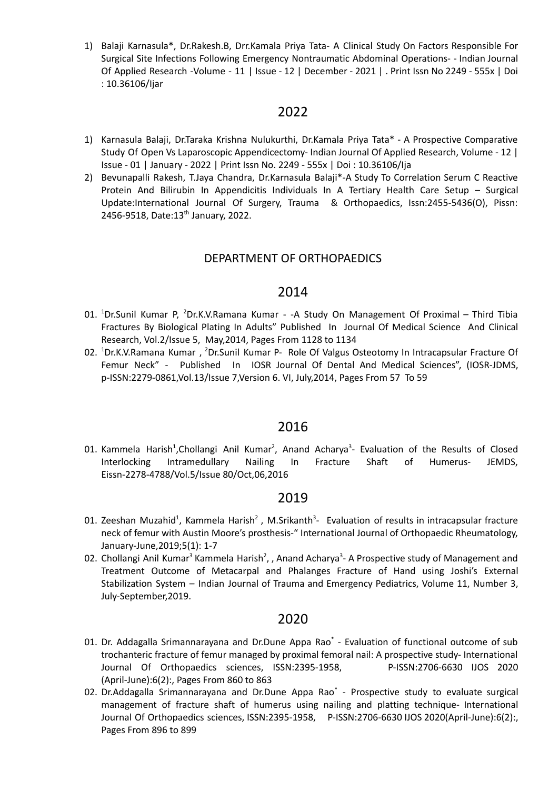1) Balaji Karnasula\*, Dr.Rakesh.B, Drr.Kamala Priya Tata- A Clinical Study On Factors Responsible For Surgical Site Infections Following Emergency Nontraumatic Abdominal Operations- - Indian Journal Of Applied Research -Volume - 11 | Issue - 12 | December - 2021 | . Print Issn No 2249 - 555x | Doi : 10.36106/Ijar

### 2022

- 1) Karnasula Balaji, Dr.Taraka Krishna Nulukurthi, Dr.Kamala Priya Tata\* A Prospective Comparative Study Of Open Vs Laparoscopic Appendicectomy- Indian Journal Of Applied Research, Volume - 12 | Issue - 01 | January - 2022 | Print Issn No. 2249 - 555x | Doi : 10.36106/Ija
- 2) Bevunapalli Rakesh, T.Jaya Chandra, Dr.Karnasula Balaji\*-A Study To Correlation Serum C Reactive Protein And Bilirubin In Appendicitis Individuals In A Tertiary Health Care Setup – Surgical Update:International Journal Of Surgery, Trauma & Orthopaedics, Issn:2455-5436(O), Pissn: 2456-9518, Date:13<sup>th</sup> January, 2022.

#### DEPARTMENT OF ORTHOPAEDICS

#### 2014

- 01. <sup>1</sup>Dr.Sunil Kumar P, <sup>2</sup>Dr.K.V.Ramana Kumar -A Study On Management Of Proximal Third Tibia Fractures By Biological Plating In Adults" Published In Journal Of Medical Science And Clinical Research, Vol.2/Issue 5, May,2014, Pages From 1128 to 1134
- 02. <sup>1</sup>Dr.K.V.Ramana Kumar, <sup>2</sup>Dr.Sunil Kumar P- Role Of Valgus Osteotomy In Intracapsular Fracture Of Femur Neck" - Published In IOSR Journal Of Dental And Medical Sciences", (IOSR-JDMS, p-ISSN:2279-0861,Vol.13/Issue 7,Version 6. VI, July,2014, Pages From 57 To 59

#### 2016

01. Kammela Harish<sup>1</sup>, Chollangi Anil Kumar<sup>2</sup>, Anand Acharya<sup>3</sup>- Evaluation of the Results of Closed Interlocking Intramedullary Nailing In Fracture Shaft of Humerus- JEMDS, Eissn-2278-4788/Vol.5/Issue 80/Oct,06,2016

#### 2019

- 01. Zeeshan Muzahid<sup>1</sup>, Kammela Harish<sup>2</sup>, M.Srikanth<sup>3</sup>- Evaluation of results in intracapsular fracture neck of femur with Austin Moore's prosthesis-" International Journal of Orthopaedic Rheumatology, January-June,2019;5(1): 1-7
- 02. Chollangi Anil Kumar<sup>3</sup> Kammela Harish<sup>2</sup>, , Anand Acharya<sup>3</sup>- A Prospective study of Management and Treatment Outcome of Metacarpal and Phalanges Fracture of Hand using Joshi's External Stabilization System – Indian Journal of Trauma and Emergency Pediatrics, Volume 11, Number 3, July-September,2019.

- 01. Dr. Addagalla Srimannarayana and Dr.Dune Appa Rao<sup>\*</sup> Evaluation of functional outcome of sub trochanteric fracture of femur managed by proximal femoral nail: A prospective study- International Journal Of Orthopaedics sciences, ISSN:2395-1958, P-ISSN:2706-6630 IJOS 2020 (April-June):6(2):, Pages From 860 to 863
- 02. Dr.Addagalla Srimannarayana and Dr.Dune Appa Rao<sup>\*</sup> Prospective study to evaluate surgical management of fracture shaft of humerus using nailing and platting technique- International Journal Of Orthopaedics sciences, ISSN:2395-1958, P-ISSN:2706-6630 IJOS 2020(April-June):6(2):, Pages From 896 to 899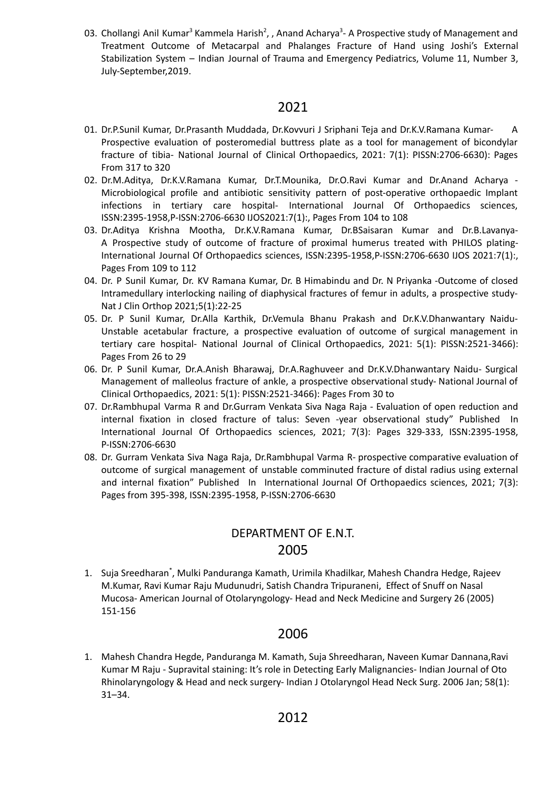03. Chollangi Anil Kumar<sup>3</sup> Kammela Harish<sup>2</sup>, , Anand Acharya<sup>3</sup>- A Prospective study of Management and Treatment Outcome of Metacarpal and Phalanges Fracture of Hand using Joshi's External Stabilization System – Indian Journal of Trauma and Emergency Pediatrics, Volume 11, Number 3, July-September,2019.

### 2021

- 01. Dr.P.Sunil Kumar, Dr.Prasanth Muddada, Dr.Kovvuri J Sriphani Teja and Dr.K.V.Ramana Kumar- A Prospective evaluation of posteromedial buttress plate as a tool for management of bicondylar fracture of tibia- National Journal of Clinical Orthopaedics, 2021: 7(1): PISSN:2706-6630): Pages From 317 to 320
- 02. Dr.M.Aditya, Dr.K.V.Ramana Kumar, Dr.T.Mounika, Dr.O.Ravi Kumar and Dr.Anand Acharya Microbiological profile and antibiotic sensitivity pattern of post-operative orthopaedic Implant infections in tertiary care hospital- International Journal Of Orthopaedics sciences, ISSN:2395-1958,P-ISSN:2706-6630 IJOS2021:7(1):, Pages From 104 to 108
- 03. Dr.Aditya Krishna Mootha, Dr.K.V.Ramana Kumar, Dr.BSaisaran Kumar and Dr.B.Lavanya-A Prospective study of outcome of fracture of proximal humerus treated with PHILOS plating-International Journal Of Orthopaedics sciences, ISSN:2395-1958,P-ISSN:2706-6630 IJOS 2021:7(1):, Pages From 109 to 112
- 04. Dr. P Sunil Kumar, Dr. KV Ramana Kumar, Dr. B Himabindu and Dr. N Priyanka -Outcome of closed Intramedullary interlocking nailing of diaphysical fractures of femur in adults, a prospective study-Nat J Clin Orthop 2021;5(1):22-25
- 05. Dr. P Sunil Kumar, Dr.Alla Karthik, Dr.Vemula Bhanu Prakash and Dr.K.V.Dhanwantary Naidu-Unstable acetabular fracture, a prospective evaluation of outcome of surgical management in tertiary care hospital- National Journal of Clinical Orthopaedics, 2021: 5(1): PISSN:2521-3466): Pages From 26 to 29
- 06. Dr. P Sunil Kumar, Dr.A.Anish Bharawaj, Dr.A.Raghuveer and Dr.K.V.Dhanwantary Naidu- Surgical Management of malleolus fracture of ankle, a prospective observational study- National Journal of Clinical Orthopaedics, 2021: 5(1): PISSN:2521-3466): Pages From 30 to
- 07. Dr.Rambhupal Varma R and Dr.Gurram Venkata Siva Naga Raja Evaluation of open reduction and internal fixation in closed fracture of talus: Seven -year observational study" Published In International Journal Of Orthopaedics sciences, 2021; 7(3): Pages 329-333, ISSN:2395-1958, P-ISSN:2706-6630
- 08. Dr. Gurram Venkata Siva Naga Raja, Dr.Rambhupal Varma R- prospective comparative evaluation of outcome of surgical management of unstable comminuted fracture of distal radius using external and internal fixation" Published In International Journal Of Orthopaedics sciences, 2021; 7(3): Pages from 395-398, ISSN:2395-1958, P-ISSN:2706-6630

# DEPARTMENT OF E.N.T. 2005

1. Suja Sreedharan<sup>\*</sup>, Mulki Panduranga Kamath, Urimila Khadilkar, Mahesh Chandra Hedge, Rajeev M.Kumar, Ravi Kumar Raju Mudunudri, Satish Chandra Tripuraneni, Effect of Snuff on Nasal Mucosa- American Journal of Otolaryngology- Head and Neck Medicine and Surgery 26 (2005) 151-156

## 2006

1. Mahesh Chandra Hegde, Panduranga M. Kamath, Suja Shreedharan, Naveen Kumar Dannana,Ravi Kumar M Raju - Supravital staining: It's role in Detecting Early Malignancies- Indian Journal of Oto Rhinolaryngology & Head and neck surgery- Indian J [Otolaryngol](https://www.ncbi.nlm.nih.gov/pmc/articles/PMC3450620/) Head Neck Surg. 2006 Jan; 58(1): 31–34.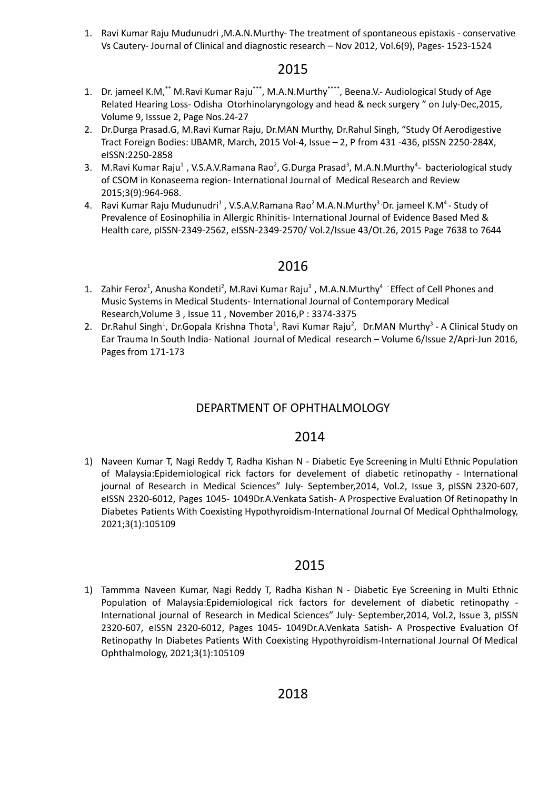1. Ravi Kumar Raju Mudunudri ,M.A.N.Murthy- The treatment of spontaneous epistaxis - conservative Vs Cautery- Journal of Clinical and diagnostic research – Nov 2012, Vol.6(9), Pages- 1523-1524

## 2015

- 1. Dr. jameel K.M,\*\* M.Ravi Kumar Raju\*\*\*, M.A.N.Murthy\*\*\*\*, Beena.V.- Audiological Study of Age Related Hearing Loss- Odisha Otorhinolaryngology and head & neck surgery " on July-Dec,2015, Volume 9, Isssue 2, Page Nos.24-27
- 2. Dr.Durga Prasad.G, M.Ravi Kumar Raju, Dr.MAN Murthy, Dr.Rahul Singh, "Study Of Aerodigestive Tract Foreign Bodies: IJBAMR, March, 2015 Vol-4, Issue – 2, P from 431 -436, pISSN 2250-284X, eISSN:2250-2858
- 3. M.Ravi Kumar Raju<sup>1</sup>, V.S.A.V.Ramana Rao<sup>2</sup>, G.Durga Prasad<sup>3</sup>, M.A.N.Murthy<sup>4</sup>- bacteriological study of CSOM in Konaseema region- International Journal of Medical Research and Review 2015;3(9):964-968.
- 4. Ravi Kumar Raju Mudunudri<sup>1</sup> , V.S.A.V.Ramana Rao<sup>2</sup> M.A.N.Murthy<sup>3</sup> 'Dr. jameel K.M<sup>4</sup> Study of Prevalence of Eosinophilia in Allergic Rhinitis- International Journal of Evidence Based Med & Health care, pISSN-2349-2562, eISSN-2349-2570/ Vol.2/Issue 43/Ot.26, 2015 Page 7638 to 7644

## 2016

- 1. Zahir Feroz<sup>1</sup>, Anusha Kondeti<sup>2</sup>, M.Ravi Kumar Raju<sup>3</sup>, M.A.N.Murthy<sup>4</sup> Effect of Cell Phones and Music Systems in Medical Students- International Journal of Contemporary Medical Research,Volume 3 , Issue 11 , November 2016,P : 3374-3375
- 2. Dr.Rahul Singh<sup>1</sup>, Dr.Gopala Krishna Thota<sup>1</sup>, Ravi Kumar Raju<sup>2</sup>, Dr.MAN Murthy<sup>3</sup> A Clinical Study on Ear Trauma In South India- National Journal of Medical research – Volume 6/Issue 2/Apri-Jun 2016, Pages from 171-173

## DEPARTMENT OF OPHTHALMOLOGY

## 2014

1) Naveen Kumar T, Nagi Reddy T, Radha Kishan N - Diabetic Eye Screening in Multi Ethnic Population of Malaysia:Epidemiological rick factors for develement of diabetic retinopathy - International journal of Research in Medical Sciences" July- September,2014, Vol.2, Issue 3, pISSN 2320-607, eISSN 2320-6012, Pages 1045- 1049Dr.A.Venkata Satish- A Prospective Evaluation Of Retinopathy In Diabetes Patients With Coexisting Hypothyroidism-International Journal Of Medical Ophthalmology, 2021;3(1):105109

## 2015

1) Tammma Naveen Kumar, Nagi Reddy T, Radha Kishan N - Diabetic Eye Screening in Multi Ethnic Population of Malaysia:Epidemiological rick factors for develement of diabetic retinopathy - International journal of Research in Medical Sciences" July- September,2014, Vol.2, Issue 3, pISSN 2320-607, eISSN 2320-6012, Pages 1045- 1049Dr.A.Venkata Satish- A Prospective Evaluation Of Retinopathy In Diabetes Patients With Coexisting Hypothyroidism-International Journal Of Medical Ophthalmology, 2021;3(1):105109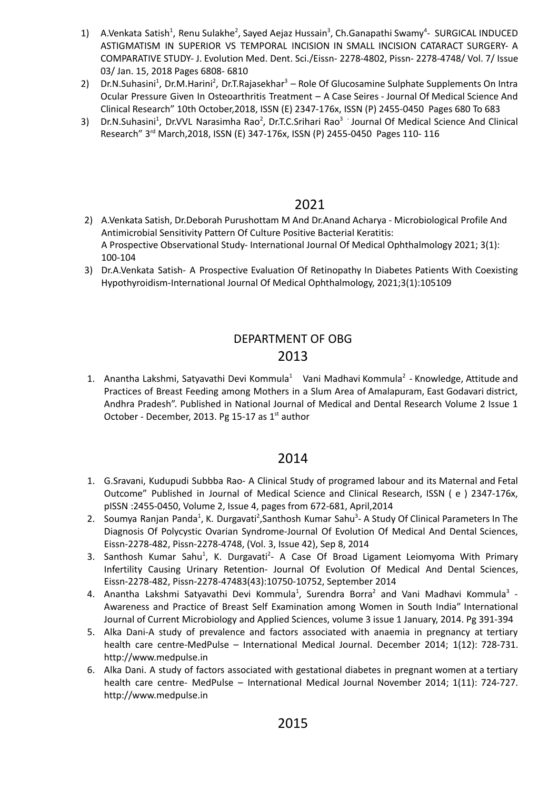- 1) A.Venkata Satish<sup>1</sup>, Renu Sulakhe<sup>2</sup>, Sayed Aejaz Hussain<sup>3</sup>, Ch.Ganapathi Swamy<sup>4</sup>- SURGICAL INDUCED ASTIGMATISM IN SUPERIOR VS TEMPORAL INCISION IN SMALL INCISION CATARACT SURGERY- A COMPARATIVE STUDY- J. Evolution Med. Dent. Sci./Eissn- 2278-4802, Pissn- 2278-4748/ Vol. 7/ Issue 03/ Jan. 15, 2018 Pages 6808- 6810
- 2) Dr.N.Suhasini<sup>1</sup>, Dr.M.Harini<sup>2</sup>, Dr.T.Rajasekhar<sup>3</sup> Role Of Glucosamine Sulphate Supplements On Intra Ocular Pressure Given In Osteoarthritis Treatment – A Case Seires - Journal Of Medical Science And Clinical Research" 10th October,2018, ISSN (E) 2347-176x, ISSN (P) 2455-0450 Pages 680 To 683
- 3) Dr.N.Suhasini<sup>1</sup>, Dr.VVL Narasimha Rao<sup>2</sup>, Dr.T.C.Srihari Rao<sup>3</sup> Journal Of Medical Science And Clinical Research" 3 rd March,2018, ISSN (E) 347-176x, ISSN (P) 2455-0450 Pages 110- 116

- 2) A.Venkata Satish, Dr.Deborah Purushottam M And Dr.Anand Acharya Microbiological Profile And Antimicrobial Sensitivity Pattern Of Culture Positive Bacterial Keratitis: A Prospective Observational Study- International Journal Of Medical Ophthalmology 2021; 3(1): 100-104
- 3) Dr.A.Venkata Satish- A Prospective Evaluation Of Retinopathy In Diabetes Patients With Coexisting Hypothyroidism-International Journal Of Medical Ophthalmology, 2021;3(1):105109

## DEPARTMENT OF OBG 2013

1. Anantha Lakshmi, Satyavathi Devi Kommula<sup>1</sup> Vani Madhavi Kommula<sup>2</sup> - Knowledge, Attitude and Practices of Breast Feeding among Mothers in a Slum Area of Amalapuram, East Godavari district, Andhra Pradesh". Published in National Journal of Medical and Dental Research Volume 2 Issue 1 October - December, 2013. Pg 15-17 as  $1<sup>st</sup>$  author

- 1. G.Sravani, Kudupudi Subbba Rao- A Clinical Study of programed labour and its Maternal and Fetal Outcome" Published in Journal of Medical Science and Clinical Research, ISSN ( e ) 2347-176x, pISSN :2455-0450, Volume 2, Issue 4, pages from 672-681, April,2014
- 2. Soumya [Ranjan](https://go.gale.com/ps/advancedSearch.do?method=doSearch&searchType=AdvancedSearchForm&userGroupName=anon%7E3791aeca&inputFieldNames%5b0%5d=AU&prodId=HRCA&inputFieldValues%5b0%5d=%22Soumya+Ranjan+Panda%22) Panda<sup>1</sup>, K. [Durgavati](https://go.gale.com/ps/advancedSearch.do?method=doSearch&searchType=AdvancedSearchForm&userGroupName=anon%7E3791aeca&inputFieldNames%5b0%5d=AU&prodId=HRCA&inputFieldValues%5b0%5d=%22K.+Durgavati%22)<sup>2</sup>, [Santhosh](https://go.gale.com/ps/advancedSearch.do?method=doSearch&searchType=AdvancedSearchForm&userGroupName=anon%7E3791aeca&inputFieldNames%5b0%5d=AU&prodId=HRCA&inputFieldValues%5b0%5d=%22Santhosh+Kumar+Sahu%22) Kumar Sahu<sup>3</sup>- A Study Of Clinical Parameters In The Diagnosis Of Polycystic Ovarian Syndrome-Journal Of [Evolution](https://go.gale.com/ps/aboutJournal.do?contentModuleId=HRCA&resultClickType=AboutThisPublication&actionString=DO_DISPLAY_ABOUT_PAGE&searchType=&docId=GALE%7C6NKE&userGroupName=anon%7E3791aeca&inPS=true&rcDocId=GALE%7CA646118065&prodId=HRCA&pubDate=120140908) Of Medical And Dental Sciences, Eissn-2278-482, Pissn-2278-4748, (Vol. 3, Issue 42), Sep 8, 2014
- 3. Santhosh Kumar Sahu<sup>1</sup>, K. [Durgavati](https://go.gale.com/ps/advancedSearch.do?method=doSearch&searchType=AdvancedSearchForm&userGroupName=anon%7E3791aeca&inputFieldNames%5b0%5d=AU&prodId=HRCA&inputFieldValues%5b0%5d=%22K.+Durgavati%22)<sup>2</sup>- A Case Of Broad Ligament Leiomyoma With Primary Infertility Causing Urinary Retention- Journal Of [Evolution](https://go.gale.com/ps/aboutJournal.do?contentModuleId=HRCA&resultClickType=AboutThisPublication&actionString=DO_DISPLAY_ABOUT_PAGE&searchType=&docId=GALE%7C6NKE&userGroupName=anon%7E3791aeca&inPS=true&rcDocId=GALE%7CA646118065&prodId=HRCA&pubDate=120140908) Of Medical And Dental Sciences, Eissn-2278-482, Pissn-2278-47483(43):10750-10752, September 2014
- 4. Anantha Lakshmi Satyavathi Devi Kommula<sup>1</sup>, Surendra Borra<sup>2</sup> and Vani Madhavi Kommula<sup>3</sup> -Awareness and Practice of Breast Self Examination among Women in South India" International Journal of Current Microbiology and Applied Sciences, volume 3 issue 1 January, 2014. Pg 391-394
- 5. Alka Dani-A study of prevalence and factors associated with anaemia in pregnancy at tertiary health care centre-MedPulse – International Medical Journal. December 2014; 1(12): 728-731. <http://www.medpulse.in>
- 6. Alka Dani. A study of factors associated with gestational diabetes in pregnant women at a tertiary health care centre- MedPulse – International Medical Journal November 2014; 1(11): 724-727. <http://www.medpulse.in>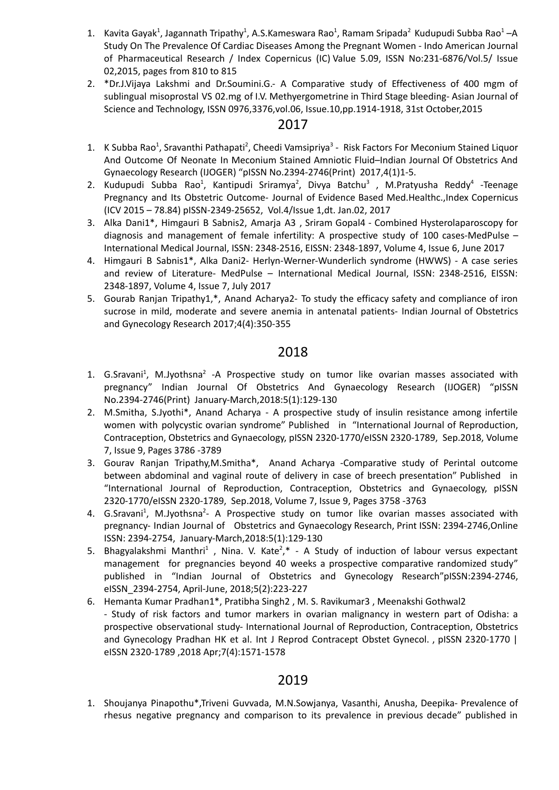- 1. Kavita Gayak<sup>1</sup>, Jagannath Tripathy<sup>1</sup>, A.S.Kameswara Rao<sup>1</sup>, Ramam Sripada<sup>2</sup> Kudupudi Subba Rao<sup>1</sup> –A Study On The Prevalence Of Cardiac Diseases Among the Pregnant Women - Indo American Journal of Pharmaceutical Research / Index Copernicus (IC) Value 5.09, ISSN No:231-6876/Vol.5/ Issue 02,2015, pages from 810 to 815
- 2. \*Dr.J.Vijaya Lakshmi and Dr.Soumini.G.- A Comparative study of Effectiveness of 400 mgm of sublingual misoprostal VS 02.mg of I.V. Methyergometrine in Third Stage bleeding- Asian Journal of Science and Technology, ISSN 0976,3376,vol.06, Issue.10,pp.1914-1918, 31st October,2015

- 1. K Subba Rao<sup>1</sup>, Sravanthi Pathapati<sup>2</sup>, Cheedi Vamsipriya<sup>3</sup> Risk Factors For Meconium Stained Liquor And Outcome Of Neonate In Meconium Stained Amniotic Fluid–Indian Journal Of Obstetrics And Gynaecology Research (IJOGER) "pISSN No.2394-2746(Print) 2017,4(1)1-5.
- 2. Kudupudi Subba Rao<sup>1</sup>, Kantipudi Sriramya<sup>2</sup>, Divya Batchu<sup>3</sup> , M.Pratyusha Reddy<sup>4</sup> -Teenage Pregnancy and Its Obstetric Outcome- Journal of Evidence Based Med.Healthc.,Index Copernicus (ICV 2015 – 78.84) pISSN-2349-25652, Vol.4/Issue 1,dt. Jan.02, 2017
- 3. Alka Dani1\*, Himgauri B Sabnis2, Amarja A3 , Sriram Gopal4 Combined Hysterolaparoscopy for diagnosis and management of female infertility: A prospective study of 100 cases-MedPulse – International Medical Journal, ISSN: 2348-2516, EISSN: 2348-1897, Volume 4, Issue 6, June 2017
- 4. Himgauri B Sabnis1\*, Alka Dani2- Herlyn-Werner-Wunderlich syndrome (HWWS) A case series and review of Literature- MedPulse – International Medical Journal, ISSN: 2348-2516, EISSN: 2348-1897, Volume 4, Issue 7, July 2017
- 5. Gourab Ranjan Tripathy1,\*, Anand Acharya2- To study the efficacy safety and compliance of iron sucrose in mild, moderate and severe anemia in antenatal patients- Indian Journal of Obstetrics and Gynecology Research 2017;4(4):350-355

## 2018

- 1. G.Sravani<sup>1</sup>, M.Jyothsna<sup>2</sup> -A Prospective study on tumor like ovarian masses associated with pregnancy" Indian Journal Of Obstetrics And Gynaecology Research (IJOGER) "pISSN No.2394-2746(Print) January-March,2018:5(1):129-130
- 2. M.Smitha, S.Jyothi\*, Anand Acharya A prospective study of insulin resistance among infertile women with polycystic ovarian syndrome" Published in "International Journal of Reproduction, Contraception, Obstetrics and Gynaecology, pISSN 2320-1770/eISSN 2320-1789, Sep.2018, Volume 7, Issue 9, Pages 3786 -3789
- 3. Gourav Ranjan Tripathy,M.Smitha\*, Anand Acharya -Comparative study of Perintal outcome between abdominal and vaginal route of delivery in case of breech presentation" Published in "International Journal of Reproduction, Contraception, Obstetrics and Gynaecology, pISSN 2320-1770/eISSN 2320-1789, Sep.2018, Volume 7, Issue 9, Pages 3758 -3763
- 4. G.Sravani<sup>1</sup>, M.Jyothsna<sup>2</sup>- A Prospective study on tumor like ovarian masses associated with pregnancy- Indian Journal of Obstetrics and Gynaecology Research, Print ISSN: 2394-2746,Online ISSN: 2394-2754, January-March,2018:5(1):129-130
- 5. Bhagyalakshmi Manthri<sup>1</sup>, Nina. V. Kate<sup>2</sup>,\* A Study of induction of labour versus expectant management for pregnancies beyond 40 weeks a prospective comparative randomized study" published in "Indian Journal of Obstetrics and Gynecology Research"pISSN:2394-2746, eISSN\_2394-2754, April-June, 2018;5(2):223-227
- 6. Hemanta Kumar Pradhan1\*, Pratibha Singh2 , M. S. Ravikumar3 , Meenakshi Gothwal2 - Study of risk factors and tumor markers in ovarian malignancy in western part of Odisha: a prospective observational study- International Journal of Reproduction, Contraception, Obstetrics and Gynecology Pradhan HK et al. Int J Reprod Contracept Obstet Gynecol. , pISSN 2320-1770 | eISSN 2320-1789 ,2018 Apr;7(4):1571-1578

# 2019

1. Shoujanya Pinapothu\*,Triveni Guvvada, M.N.Sowjanya, Vasanthi, Anusha, Deepika- Prevalence of rhesus negative pregnancy and comparison to its prevalence in previous decade" published in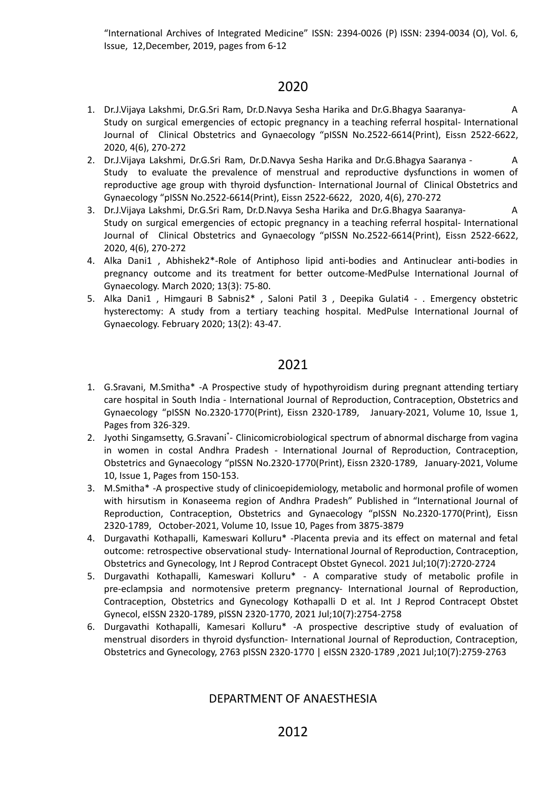"International Archives of Integrated Medicine" ISSN: 2394-0026 (P) ISSN: 2394-0034 (O), Vol. 6, Issue, 12,December, 2019, pages from 6-12

# 2020

- 1. Dr.J.Vijaya Lakshmi, Dr.G.Sri Ram, Dr.D.Navya Sesha Harika and Dr.G.Bhagya Saaranya- A Study on surgical emergencies of ectopic pregnancy in a teaching referral hospital- International Journal of Clinical Obstetrics and Gynaecology "pISSN No.2522-6614(Print), Eissn 2522-6622, 2020, 4(6), 270-272
- 2. Dr.J.Vijaya Lakshmi, Dr.G.Sri Ram, Dr.D.Navya Sesha Harika and Dr.G.Bhagya Saaranya A Study to evaluate the prevalence of menstrual and reproductive dysfunctions in women of reproductive age group with thyroid dysfunction- International Journal of Clinical Obstetrics and Gynaecology "pISSN No.2522-6614(Print), Eissn 2522-6622, 2020, 4(6), 270-272
- 3. Dr.J.Vijaya Lakshmi, Dr.G.Sri Ram, Dr.D.Navya Sesha Harika and Dr.G.Bhagya Saaranya- A Study on surgical emergencies of ectopic pregnancy in a teaching referral hospital- International Journal of Clinical Obstetrics and Gynaecology "pISSN No.2522-6614(Print), Eissn 2522-6622, 2020, 4(6), 270-272
- 4. Alka Dani1 , Abhishek2\*-Role of Antiphoso lipid anti-bodies and Antinuclear anti-bodies in pregnancy outcome and its treatment for better outcome-MedPulse International Journal of Gynaecology. March 2020; 13(3): 75-80.
- 5. Alka Dani1 , Himgauri B Sabnis2\* , Saloni Patil 3 , Deepika Gulati4 . Emergency obstetric hysterectomy: A study from a tertiary teaching hospital. MedPulse International Journal of Gynaecology. February 2020; 13(2): 43-47.

## 2021

- 1. G.Sravani, M.Smitha\* -A Prospective study of hypothyroidism during pregnant attending tertiary care hospital in South India - International Journal of Reproduction, Contraception, Obstetrics and Gynaecology "pISSN No.2320-1770(Print), Eissn 2320-1789, January-2021, Volume 10, Issue 1, Pages from 326-329.
- 2. Jyothi Singamsetty, G.Sravani<sup>\*</sup>- Clinicomicrobiological spectrum of abnormal discharge from vagina in women in costal Andhra Pradesh - International Journal of Reproduction, Contraception, Obstetrics and Gynaecology "pISSN No.2320-1770(Print), Eissn 2320-1789, January-2021, Volume 10, Issue 1, Pages from 150-153.
- 3. M.Smitha\* -A prospective study of clinicoepidemiology, metabolic and hormonal profile of women with hirsutism in Konaseema region of Andhra Pradesh" Published in "International Journal of Reproduction, Contraception, Obstetrics and Gynaecology "pISSN No.2320-1770(Print), Eissn 2320-1789, October-2021, Volume 10, Issue 10, Pages from 3875-3879
- 4. Durgavathi Kothapalli, Kameswari Kolluru\* -Placenta previa and its effect on maternal and fetal outcome: retrospective observational study- International Journal of Reproduction, Contraception, Obstetrics and Gynecology, Int J Reprod Contracept Obstet Gynecol. 2021 Jul;10(7):2720-2724
- 5. Durgavathi Kothapalli, Kameswari Kolluru\* A comparative study of metabolic profile in pre-eclampsia and normotensive preterm pregnancy- International Journal of Reproduction, Contraception, Obstetrics and Gynecology Kothapalli D et al. Int J Reprod Contracept Obstet Gynecol, eISSN 2320-1789, pISSN 2320-1770, 2021 Jul;10(7):2754-2758
- 6. Durgavathi Kothapalli, Kamesari Kolluru\* -A prospective descriptive study of evaluation of menstrual disorders in thyroid dysfunction- International Journal of Reproduction, Contraception, Obstetrics and Gynecology, 2763 pISSN 2320-1770 | eISSN 2320-1789 ,2021 Jul;10(7):2759-2763

### DEPARTMENT OF ANAESTHESIA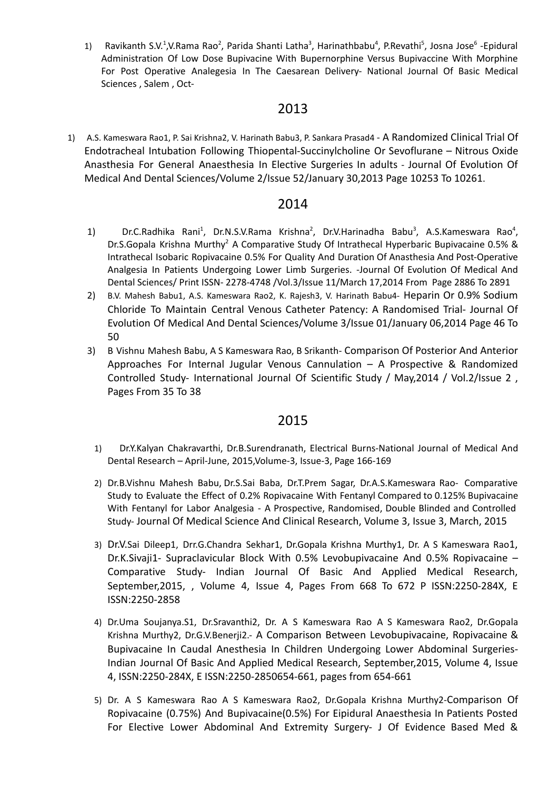1) Ravikanth S.V.<sup>1</sup>,V.Rama Rao<sup>2</sup>, Parida Shanti Latha<sup>3</sup>, Harinathbabu<sup>4</sup>, P.Revathi<sup>5</sup>, Josna Jose<sup>6</sup> -Epidural Administration Of Low Dose Bupivacine With Bupernorphine Versus Bupivaccine With Morphine For Post Operative Analegesia In The Caesarean Delivery- National Journal Of Basic Medical Sciences , Salem , Oct-

### 2013

1) A.S. Kameswara Rao1, P. Sai Krishna2, V. Harinath Babu3, P. Sankara Prasad4 - A Randomized Clinical Trial Of Endotracheal Intubation Following Thiopental-Succinylcholine Or Sevoflurane – Nitrous Oxide Anasthesia For General Anaesthesia In Elective Surgeries In adults - Journal Of Evolution Of Medical And Dental Sciences/Volume 2/Issue 52/January 30,2013 Page 10253 To 10261.

### 2014

- 1) Dr.C.Radhika Rani<sup>1</sup>, Dr.N.S.V.Rama Krishna<sup>2</sup>, Dr.V.Harinadha Babu<sup>3</sup>, A.S.Kameswara Rao<sup>4</sup>, Dr.S.Gopala Krishna Murthy<sup>2</sup> A Comparative Study Of Intrathecal Hyperbaric Bupivacaine 0.5% & Intrathecal Isobaric Ropivacaine 0.5% For Quality And Duration Of Anasthesia And Post-Operative Analgesia In Patients Undergoing Lower Limb Surgeries. -Journal Of Evolution Of Medical And Dental Sciences/ Print ISSN- 2278-4748 /Vol.3/Issue 11/March 17,2014 From Page 2886 To 2891
- 2) B.V. Mahesh Babu1, A.S. Kameswara Rao2, K. Rajesh3, V. Harinath Babu4- Heparin Or 0.9% Sodium Chloride To Maintain Central Venous Catheter Patency: A Randomised Trial- Journal Of Evolution Of Medical And Dental Sciences/Volume 3/Issue 01/January 06,2014 Page 46 To 50
- 3) B Vishnu Mahesh Babu, A S Kameswara Rao, B Srikanth- Comparison Of Posterior And Anterior Approaches For Internal Jugular Venous Cannulation – A Prospective & Randomized Controlled Study- International Journal Of Scientific Study / May,2014 / Vol.2/Issue 2 , Pages From 35 To 38

- 1) Dr.Y.Kalyan Chakravarthi, Dr.B.Surendranath, Electrical Burns-National Journal of Medical And Dental Research – April-June, 2015,Volume-3, Issue-3, Page 166-169
- 2) Dr.B.Vishnu Mahesh Babu, Dr.S.Sai Baba, Dr.T.Prem Sagar, Dr.A.S.Kameswara Rao- Comparative Study to Evaluate the Effect of 0.2% Ropivacaine With Fentanyl Compared to 0.125% Bupivacaine With Fentanyl for Labor Analgesia - A Prospective, Randomised, Double Blinded and Controlled Study- Journal Of Medical Science And Clinical Research, Volume 3, Issue 3, March, 2015
- 3) Dr.V.Sai Dileep1, Drr.G.Chandra Sekhar1, Dr.Gopala Krishna Murthy1, Dr. A S Kameswara Rao1, Dr.K.Sivaji1- Supraclavicular Block With 0.5% Levobupivacaine And 0.5% Ropivacaine – Comparative Study- Indian Journal Of Basic And Applied Medical Research, September,2015, , Volume 4, Issue 4, Pages From 668 To 672 P ISSN:2250-284X, E ISSN:2250-2858
- 4) Dr.Uma Soujanya.S1, Dr.Sravanthi2, Dr. A S Kameswara Rao A S Kameswara Rao2, Dr.Gopala Krishna Murthy2, Dr.G.V.Benerji2.- A Comparison Between Levobupivacaine, Ropivacaine & Bupivacaine In Caudal Anesthesia In Children Undergoing Lower Abdominal Surgeries-Indian Journal Of Basic And Applied Medical Research, September,2015, Volume 4, Issue 4, ISSN:2250-284X, E ISSN:2250-2850654-661, pages from 654-661
- 5) Dr. A S Kameswara Rao A S Kameswara Rao2, Dr.Gopala Krishna Murthy2-Comparison Of Ropivacaine (0.75%) And Bupivacaine(0.5%) For Eipidural Anaesthesia In Patients Posted For Elective Lower Abdominal And Extremity Surgery- J Of Evidence Based Med &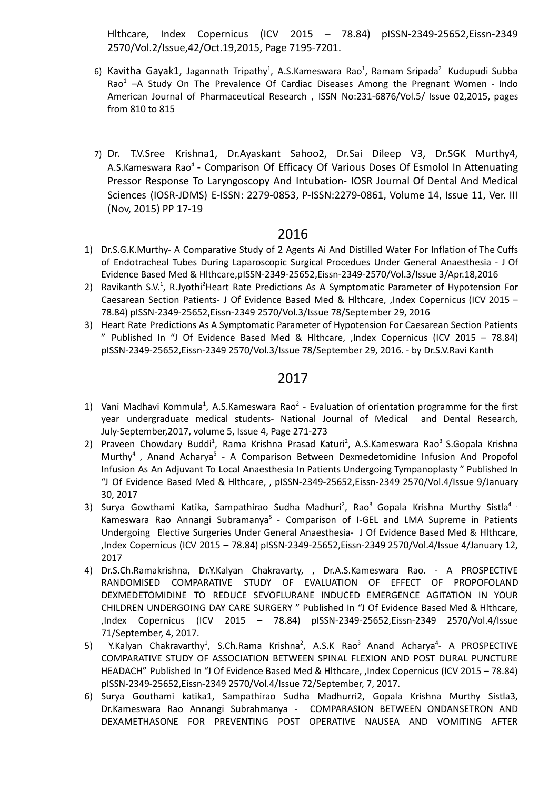Hlthcare, Index Copernicus (ICV 2015 – 78.84) pISSN-2349-25652,Eissn-2349 2570/Vol.2/Issue,42/Oct.19,2015, Page 7195-7201.

- 6) Kavitha Gayak1, Jagannath Tripathy<sup>1</sup>, A.S.Kameswara Rao<sup>1</sup>, Ramam Sripada<sup>2</sup> Kudupudi Subba Rao<sup>1</sup>  $-A$  Study On The Prevalence Of Cardiac Diseases Among the Pregnant Women - Indo American Journal of Pharmaceutical Research , ISSN No:231-6876/Vol.5/ Issue 02,2015, pages from 810 to 815
- 7) Dr. T.V.Sree Krishna1, Dr.Ayaskant Sahoo2, Dr.Sai Dileep V3, Dr.SGK Murthy4, A.S.Kameswara Rao<sup>4</sup> - Comparison Of Efficacy Of Various Doses Of Esmolol In Attenuating Pressor Response To Laryngoscopy And Intubation- IOSR Journal Of Dental And Medical Sciences (IOSR-JDMS) E-ISSN: 2279-0853, P-ISSN:2279-0861, Volume 14, Issue 11, Ver. III (Nov, 2015) PP 17-19

### 2016

- 1) Dr.S.G.K.Murthy- A Comparative Study of 2 Agents Ai And Distilled Water For Inflation of The Cuffs of Endotracheal Tubes During Laparoscopic Surgical Procedues Under General Anaesthesia - J Of Evidence Based Med & Hlthcare,pISSN-2349-25652,Eissn-2349-2570/Vol.3/Issue 3/Apr.18,2016
- 2) Ravikanth S.V.<sup>1</sup>, R.Jyothi<sup>2</sup>Heart Rate Predictions As A Symptomatic Parameter of Hypotension For Caesarean Section Patients- J Of Evidence Based Med & Hlthcare, ,Index Copernicus (ICV 2015 – 78.84) pISSN-2349-25652,Eissn-2349 2570/Vol.3/Issue 78/September 29, 2016
- 3) Heart Rate Predictions As A Symptomatic Parameter of Hypotension For Caesarean Section Patients " Published In "J Of Evidence Based Med & Hlthcare, ,Index Copernicus (ICV 2015 – 78.84) pISSN-2349-25652,Eissn-2349 2570/Vol.3/Issue 78/September 29, 2016. - by Dr.S.V.Ravi Kanth

- 1) Vani Madhavi Kommula<sup>1</sup>, A.S.Kameswara Rao<sup>2</sup> Evaluation of orientation programme for the first year undergraduate medical students- National Journal of Medical and Dental Research, July-September,2017, volume 5, Issue 4, Page 271-273
- 2) Praveen Chowdary Buddi<sup>1</sup>, Rama Krishna Prasad Katuri<sup>2</sup>, A.S.Kameswara Rao<sup>3</sup> S.Gopala Krishna Murthy<sup>4</sup>, Anand Acharya<sup>5</sup> - A Comparison Between Dexmedetomidine Infusion And Propofol Infusion As An Adjuvant To Local Anaesthesia In Patients Undergoing Tympanoplasty " Published In "J Of Evidence Based Med & Hlthcare, , pISSN-2349-25652,Eissn-2349 2570/Vol.4/Issue 9/January 30, 2017
- 3) Surya Gowthami Katika, Sampathirao Sudha Madhuri<sup>2</sup>, Rao<sup>3</sup> Gopala Krishna Murthy Sistla<sup>4</sup> ' Kameswara Rao Annangi Subramanya<sup>5</sup> - Comparison of I-GEL and LMA Supreme in Patients Undergoing Elective Surgeries Under General Anaesthesia- J Of Evidence Based Med & Hlthcare, ,Index Copernicus (ICV 2015 – 78.84) pISSN-2349-25652,Eissn-2349 2570/Vol.4/Issue 4/January 12, 2017
- 4) Dr.S.Ch.Ramakrishna, Dr.Y.Kalyan Chakravarty, , Dr.A.S.Kameswara Rao. A PROSPECTIVE RANDOMISED COMPARATIVE STUDY OF EVALUATION OF EFFECT OF PROPOFOLAND DEXMEDETOMIDINE TO REDUCE SEVOFLURANE INDUCED EMERGENCE AGITATION IN YOUR CHILDREN UNDERGOING DAY CARE SURGERY " Published In "J Of Evidence Based Med & Hlthcare, ,Index Copernicus (ICV 2015 – 78.84) pISSN-2349-25652,Eissn-2349 2570/Vol.4/Issue 71/September, 4, 2017.
- 5) Y.Kalyan Chakravarthy<sup>1</sup>, S.Ch.Rama Krishna<sup>2</sup>, A.S.K Rao<sup>3</sup> Anand Acharya<sup>4</sup>- A PROSPECTIVE COMPARATIVE STUDY OF ASSOCIATION BETWEEN SPINAL FLEXION AND POST DURAL PUNCTURE HEADACH" Published In "J Of Evidence Based Med & Hlthcare, ,Index Copernicus (ICV 2015 – 78.84) pISSN-2349-25652,Eissn-2349 2570/Vol.4/Issue 72/September, 7, 2017.
- 6) Surya Gouthami katika1, Sampathirao Sudha Madhurri2, Gopala Krishna Murthy Sistla3, Dr.Kameswara Rao Annangi Subrahmanya - COMPARASION BETWEEN ONDANSETRON AND DEXAMETHASONE FOR PREVENTING POST OPERATIVE NAUSEA AND VOMITING AFTER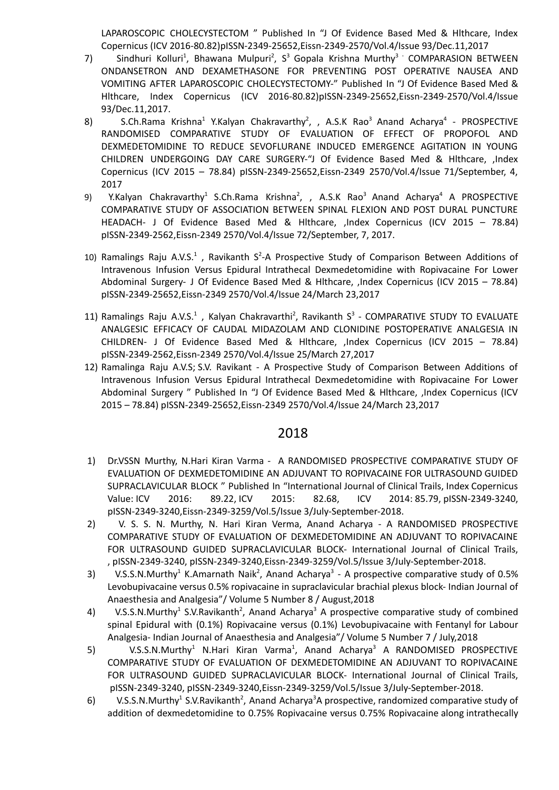LAPAROSCOPIC CHOLECYSTECTOM " Published In "J Of Evidence Based Med & Hlthcare, Index Copernicus (ICV 2016-80.82)pISSN-2349-25652,Eissn-2349-2570/Vol.4/Issue 93/Dec.11,2017

- 7) Sindhuri Kolluri<sup>1</sup>, Bhawana Mulpuri<sup>2</sup>, S<sup>3</sup> Gopala Krishna Murthy<sup>3 -</sup> COMPARASION BETWEEN ONDANSETRON AND DEXAMETHASONE FOR PREVENTING POST OPERATIVE NAUSEA AND VOMITING AFTER LAPAROSCOPIC CHOLECYSTECTOMY-" Published In "J Of Evidence Based Med & Hlthcare, Index Copernicus (ICV 2016-80.82)pISSN-2349-25652,Eissn-2349-2570/Vol.4/Issue 93/Dec.11,2017.
- 8) S.Ch.Rama Krishna<sup>1</sup> Y.Kalyan Chakravarthy<sup>2</sup>, , A.S.K Rao<sup>3</sup> Anand Acharya<sup>4</sup> PROSPECTIVE RANDOMISED COMPARATIVE STUDY OF EVALUATION OF EFFECT OF PROPOFOL AND DEXMEDETOMIDINE TO REDUCE SEVOFLURANE INDUCED EMERGENCE AGITATION IN YOUNG CHILDREN UNDERGOING DAY CARE SURGERY-"J Of Evidence Based Med & Hlthcare, ,Index Copernicus (ICV 2015 – 78.84) pISSN-2349-25652,Eissn-2349 2570/Vol.4/Issue 71/September, 4, 2017
- 9) Y.Kalyan Chakravarthy<sup>1</sup> S.Ch.Rama Krishna<sup>2</sup>, , A.S.K Rao<sup>3</sup> Anand Acharya<sup>4</sup> A PROSPECTIVE COMPARATIVE STUDY OF ASSOCIATION BETWEEN SPINAL FLEXION AND POST DURAL PUNCTURE HEADACH- J Of Evidence Based Med & Hlthcare, ,Index Copernicus (ICV 2015 – 78.84) pISSN-2349-2562,Eissn-2349 2570/Vol.4/Issue 72/September, 7, 2017.
- 10) Ramalings Raju A.V.S.<sup>1</sup>, Ravikanth S<sup>2</sup>-A Prospective Study of Comparison Between Additions of Intravenous Infusion Versus Epidural Intrathecal Dexmedetomidine with Ropivacaine For Lower Abdominal Surgery- J Of Evidence Based Med & Hlthcare, ,Index Copernicus (ICV 2015 – 78.84) pISSN-2349-25652,Eissn-2349 2570/Vol.4/Issue 24/March 23,2017
- 11) Ramalings Raju A.V.S.<sup>1</sup>, Kalyan Chakravarthi<sup>2</sup>, Ravikanth S<sup>3</sup> COMPARATIVE STUDY TO EVALUATE ANALGESIC EFFICACY OF CAUDAL MIDAZOLAM AND CLONIDINE POSTOPERATIVE ANALGESIA IN CHILDREN- J Of Evidence Based Med & Hlthcare, ,Index Copernicus (ICV 2015 – 78.84) pISSN-2349-2562,Eissn-2349 2570/Vol.4/Issue 25/March 27,2017
- 12) [Ramalinga](https://www.ingentaconnect.com/search;jsessionid=4ibq79k5gjaum.x-ic-live-02?option2=author&value2=Ramalinga+Raju+A.V.S) Raju A.V.S; S.V. [Ravikant](https://www.ingentaconnect.com/search;jsessionid=4ibq79k5gjaum.x-ic-live-02?option2=author&value2=S.V.+Ravikant) A Prospective Study of Comparison Between Additions of Intravenous Infusion Versus Epidural Intrathecal Dexmedetomidine with Ropivacaine For Lower Abdominal Surgery " Published In "J Of Evidence Based Med & Hlthcare, ,Index Copernicus (ICV 2015 – 78.84) pISSN-2349-25652,Eissn-2349 2570/Vol.4/Issue 24/March 23,2017

- 1) Dr.VSSN Murthy, N.Hari Kiran Varma A RANDOMISED PROSPECTIVE COMPARATIVE STUDY OF EVALUATION OF DEXMEDETOMIDINE AN ADJUVANT TO ROPIVACAINE FOR ULTRASOUND GUIDED SUPRACLAVICULAR BLOCK " Published In "International Journal of Clinical Trails, Index [Copernicus](https://journals.indexcopernicus.com/search/details?id=31395) [Value](https://journals.indexcopernicus.com/search/details?id=31395): ICV 2016: 89.22, ICV 2015: 82.68, ICV 2014: 85.79, pISSN-2349-3240, pISSN-2349-3240,Eissn-2349-3259/Vol.5/Issue 3/July-September-2018.
- 2) V. S. S. N. Murthy, N. Hari Kiran Verma, Anand Acharya A RANDOMISED PROSPECTIVE COMPARATIVE STUDY OF EVALUATION OF DEXMEDETOMIDINE AN ADJUVANT TO ROPIVACAINE FOR ULTRASOUND GUIDED SUPRACLAVICULAR BLOCK- International Journal of Clinical Trails, , pISSN-2349-3240, pISSN-2349-3240,Eissn-2349-3259/Vol.5/Issue 3/July-September-2018.
- 3) V.S.S.N.Murthy<sup>1</sup> K.Amarnath Naik<sup>2</sup>, Anand Acharya<sup>3</sup> A prospective comparative study of 0.5% Levobupivacaine versus 0.5% ropivacaine in supraclavicular brachial plexus block- Indian Journal of Anaesthesia and Analgesia"/ Volume 5 Number 8 / August,2018
- 4) V.S.S.N.Murthy<sup>1</sup> S.V.Ravikanth<sup>2</sup>, Anand Acharya<sup>3</sup> A prospective comparative study of combined spinal Epidural with (0.1%) Ropivacaine versus (0.1%) Levobupivacaine with Fentanyl for Labour Analgesia- Indian Journal of Anaesthesia and Analgesia"/ Volume 5 Number 7 / July,2018
- 5) V.S.S.N.Murthy<sup>1</sup> N.Hari Kiran Varma<sup>1</sup>, Anand Acharya<sup>3</sup> A RANDOMISED PROSPECTIVE COMPARATIVE STUDY OF EVALUATION OF DEXMEDETOMIDINE AN ADJUVANT TO ROPIVACAINE FOR ULTRASOUND GUIDED SUPRACLAVICULAR BLOCK- International Journal of Clinical Trails, pISSN-2349-3240, pISSN-2349-3240,Eissn-2349-3259/Vol.5/Issue 3/July-September-2018.
- 6) V.S.S.N.Murthy<sup>1</sup> S.V.Ravikanth<sup>2</sup>, Anand Acharya<sup>3</sup>A prospective, randomized comparative study of addition of dexmedetomidine to 0.75% Ropivacaine versus 0.75% Ropivacaine along intrathecally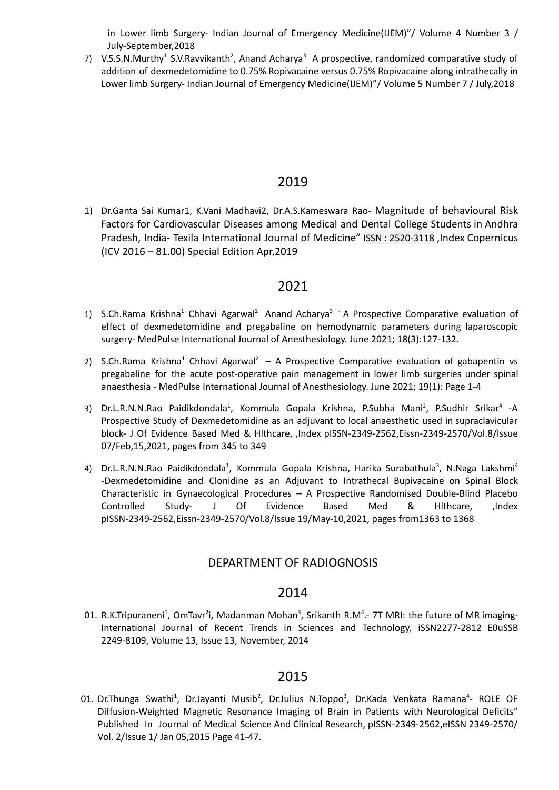in Lower limb Surgery- Indian Journal of Emergency Medicine(IJEM)"/ Volume 4 Number 3 / July-September,2018

7) V.S.S.N.Murthy<sup>1</sup> S.V.Ravvikanth<sup>2</sup>, Anand Acharya<sup>3</sup> A prospective, randomized comparative study of addition of dexmedetomidine to 0.75% Ropivacaine versus 0.75% Ropivacaine along intrathecally in Lower limb Surgery- Indian Journal of Emergency Medicine(IJEM)"/ Volume 5 Number 7 / July,2018

#### 2019

1) Dr.Ganta Sai Kumar1, K.Vani Madhavi2, Dr.A.S.Kameswara Rao- Magnitude of behavioural Risk Factors for Cardiovascular Diseases among Medical and Dental College Students in Andhra Pradesh, India- Texila International Journal of Medicine" ISSN : 2520-3118 ,Index Copernicus (ICV 2016 – 81.00) Special Edition Apr,2019

### 2021

- 1) S.Ch.Rama Krishna<sup>1</sup> Chhavi Agarwal<sup>2</sup> Anand Acharya<sup>3</sup> A Prospective Comparative evaluation of effect of dexmedetomidine and pregabaline on hemodynamic parameters during laparoscopic surgery- MedPulse International Journal of Anesthesiology. June 2021; 18(3):127-132.
- 2) S.Ch.Rama Krishna<sup>1</sup> Chhavi Agarwal<sup>2</sup> A Prospective Comparative evaluation of gabapentin vs pregabaline for the acute post-operative pain management in lower limb surgeries under spinal anaesthesia - MedPulse International Journal of Anesthesiology. June 2021; 19(1): Page 1-4
- 3) Dr.L.R.N.N.Rao Paidikdondala<sup>1</sup>, Kommula Gopala Krishna, P.Subha Mani<sup>3</sup>, P.Sudhir Srikar<sup>4</sup> -A Prospective Study of Dexmedetomidine as an adjuvant to local anaesthetic used in supraclavicular block- J Of Evidence Based Med & Hlthcare, ,Index pISSN-2349-2562,Eissn-2349-2570/Vol.8/Issue 07/Feb,15,2021, pages from 345 to 349
- 4) Dr.L.R.N.N.Rao Paidikdondala<sup>1</sup>, Kommula Gopala Krishna, Harika Surabathula<sup>3</sup>, N.Naga Lakshmi<sup>4</sup> -Dexmedetomidine and Clonidine as an Adjuvant to Intrathecal Bupivacaine on Spinal Block Characteristic in Gynaecological Procedures – A Prospective Randomised Double-Blind Placebo Controlled Study- J Of Evidence Based Med & Hlthcare, ,Index pISSN-2349-2562,Eissn-2349-2570/Vol.8/Issue 19/May-10,2021, pages from1363 to 1368

#### DEPARTMENT OF RADIOGNOSIS

#### 2014

01. R.K.Tripuraneni<sup>1</sup>, OmTavr<sup>2</sup>i, Madanman Mohan<sup>3</sup>, Srikanth R.M<sup>4</sup>.- 7T MRI: the future of MR imaging-International Journal of Recent Trends in Sciences and Technology, iSSN2277-2812 E0uSSB 2249-8109, Volume 13, Issue 13, November, 2014

### 2015

01. Dr.Thunga Swathi<sup>1</sup>, Dr.Jayanti Musib<sup>2</sup>, Dr.Julius N.Toppo<sup>3</sup>, Dr.Kada Venkata Ramana<sup>4</sup>- ROLE OF Diffusion-Weighted Magnetic Resonance Imaging of Brain in Patients with Neurological Deficits" Published In Journal of Medical Science And Clinical Research, pISSN-2349-2562,eISSN 2349-2570/ Vol. 2/Issue 1/ Jan 05,2015 Page 41-47.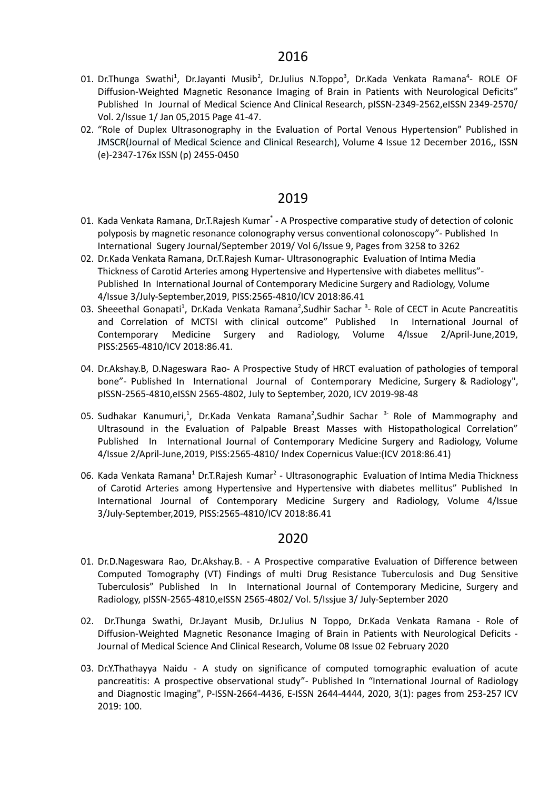- 01. Dr.Thunga Swathi<sup>1</sup>, Dr.Jayanti Musib<sup>2</sup>, Dr.Julius N.Toppo<sup>3</sup>, Dr.Kada Venkata Ramana<sup>4</sup>- ROLE OF Diffusion-Weighted Magnetic Resonance Imaging of Brain in Patients with Neurological Deficits" Published In Journal of Medical Science And Clinical Research, pISSN-2349-2562,eISSN 2349-2570/ Vol. 2/Issue 1/ Jan 05,2015 Page 41-47.
- 02. "Role of Duplex Ultrasonography in the Evaluation of Portal Venous Hypertension" Published in JMSCR(Journal of Medical Science and Clinical Research), Volume 4 Issue 12 December 2016,, ISSN (e)-2347-176x ISSN (p) 2455-0450

- 01. Kada Venkata Ramana, Dr.T.Rajesh Kumar<sup>\*</sup> A Prospective comparative study of detection of colonic polyposis by magnetic resonance colonography versus conventional colonoscopy"- Published In International Sugery Journal/September 2019/ Vol 6/Issue 9, Pages from 3258 to 3262
- 02. Dr.Kada Venkata Ramana, Dr.T.Rajesh Kumar- Ultrasonographic Evaluation of Intima Media Thickness of Carotid Arteries among Hypertensive and Hypertensive with diabetes mellitus"- Published In International Journal of Contemporary Medicine Surgery and Radiology, Volume 4/Issue 3/July-September,2019, PISS:2565-4810/ICV 2018:86.41
- 03. Sheeethal Gonapati<sup>1</sup>, Dr.Kada Venkata Ramana<sup>2</sup>,Sudhir Sachar <sup>3</sup>- Role of CECT in Acute Pancreatitis and Correlation of MCTSI with clinical outcome" Published In International Journal of Contemporary Medicine Surgery and Radiology, Volume 4/Issue 2/April-June,2019, PISS:2565-4810/ICV 2018:86.41.
- 04. Dr.Akshay.B, D.Nageswara Rao- A Prospective Study of HRCT evaluation of pathologies of temporal bone"- Published In International Journal of Contemporary Medicine, Surgery & Radiology", pISSN-2565-4810,eISSN 2565-4802, July to September, 2020, ICV 2019-98-48
- 05. Sudhakar Kanumuri,<sup>1</sup>, Dr.Kada Venkata Ramana<sup>2</sup>,Sudhir Sachar<sup>3-</sup> Role of Mammography and Ultrasound in the Evaluation of Palpable Breast Masses with Histopathological Correlation" Published In International Journal of Contemporary Medicine Surgery and Radiology, Volume 4/Issue 2/April-June,2019, PISS:2565-4810/ Index Copernicus Value:(ICV 2018:86.41)
- 06. Kada Venkata Ramana<sup>1</sup> Dr.T.Rajesh Kumar<sup>2</sup> Ultrasonographic Evaluation of Intima Media Thickness of Carotid Arteries among Hypertensive and Hypertensive with diabetes mellitus" Published In International Journal of Contemporary Medicine Surgery and Radiology, Volume 4/Issue 3/July-September,2019, PISS:2565-4810/ICV 2018:86.41

- 01. Dr.D.Nageswara Rao, Dr.Akshay.B. A Prospective comparative Evaluation of Difference between Computed Tomography (VT) Findings of multi Drug Resistance Tuberculosis and Dug Sensitive Tuberculosis" Published In In International Journal of Contemporary Medicine, Surgery and Radiology, pISSN-2565-4810,eISSN 2565-4802/ Vol. 5/Issjue 3/ July-September 2020
- 02. Dr.Thunga Swathi, Dr.Jayant Musib, Dr.Julius N Toppo, Dr.Kada Venkata Ramana Role of Diffusion-Weighted Magnetic Resonance Imaging of Brain in Patients with Neurological Deficits - Journal of Medical Science And Clinical Research, Volume 08 Issue 02 February 2020
- 03. Dr.Y.Thathayya Naidu A study on significance of computed tomographic evaluation of acute pancreatitis: A prospective observational study"- Published In "International Journal of Radiology and Diagnostic Imaging", P-ISSN-2664-4436, E-ISSN 2644-4444, 2020, 3(1): pages from 253-257 ICV 2019: 100.